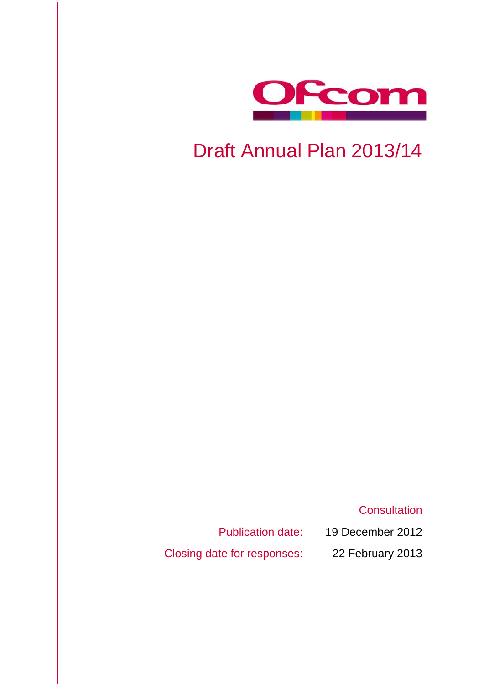

# Draft Annual Plan 2013/14

**Consultation** 

Publication date: 19 December 2012

Closing date for responses: 22 February 2013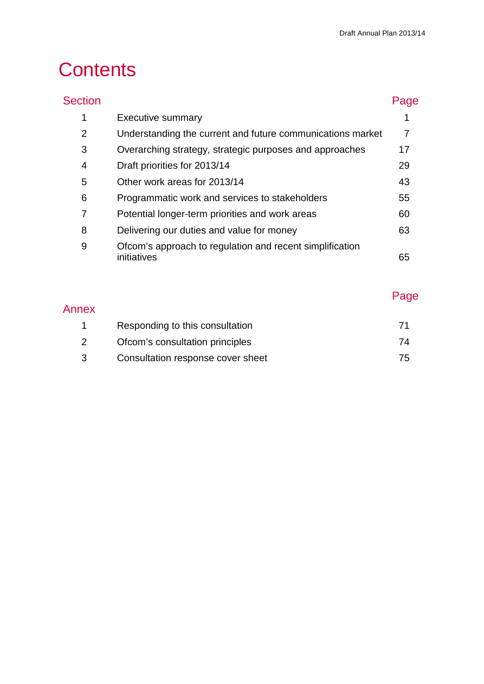# **Contents**

| <b>Section</b> |                                                                         | Page |
|----------------|-------------------------------------------------------------------------|------|
| 1              | <b>Executive summary</b>                                                |      |
| $\overline{2}$ | Understanding the current and future communications market              | 7    |
| 3              | Overarching strategy, strategic purposes and approaches                 | 17   |
| 4              | Draft priorities for 2013/14                                            | 29   |
| 5              | Other work areas for 2013/14                                            | 43   |
| 6              | Programmatic work and services to stakeholders                          | 55   |
| 7              | Potential longer-term priorities and work areas                         | 60   |
| 8              | Delivering our duties and value for money                               | 63   |
| 9              | Ofcom's approach to regulation and recent simplification<br>initiatives | 65   |
|                |                                                                         |      |

# Annex

# Page

| Responding to this consultation   |    |
|-----------------------------------|----|
| Ofcom's consultation principles   | 74 |
| Consultation response cover sheet | 75 |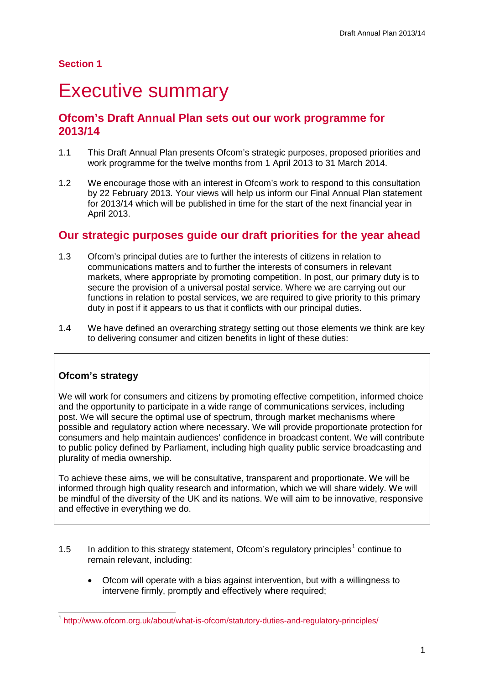# **Section 1**

# <span id="page-3-0"></span>**Executive summary**

# **Ofcom's Draft Annual Plan sets out our work programme for 2013/14**

- 1.1 This Draft Annual Plan presents Ofcom's strategic purposes, proposed priorities and work programme for the twelve months from 1 April 2013 to 31 March 2014.
- 1.2 We encourage those with an interest in Ofcom's work to respond to this consultation by 22 February 2013. Your views will help us inform our Final Annual Plan statement for 2013/14 which will be published in time for the start of the next financial year in April 2013.

# **Our strategic purposes guide our draft priorities for the year ahead**

- 1.3 Ofcom's principal duties are to further the interests of citizens in relation to communications matters and to further the interests of consumers in relevant markets, where appropriate by promoting competition. In post, our primary duty is to secure the provision of a universal postal service. Where we are carrying out our functions in relation to postal services, we are required to give priority to this primary duty in post if it appears to us that it conflicts with our principal duties.
- 1.4 We have defined an overarching strategy setting out those elements we think are key to delivering consumer and citizen benefits in light of these duties:

## **Ofcom's strategy**

We will work for consumers and citizens by promoting effective competition, informed choice and the opportunity to participate in a wide range of communications services, including post. We will secure the optimal use of spectrum, through market mechanisms where possible and regulatory action where necessary. We will provide proportionate protection for consumers and help maintain audiences' confidence in broadcast content. We will contribute to public policy defined by Parliament, including high quality public service broadcasting and plurality of media ownership.

To achieve these aims, we will be consultative, transparent and proportionate. We will be informed through high quality research and information, which we will share widely. We will be mindful of the diversity of the UK and its nations. We will aim to be innovative, responsive and effective in everything we do.

- [1](#page-3-1).5 In addition to this strategy statement, Ofcom's regulatory principles<sup>1</sup> continue to remain relevant, including:
	- Ofcom will operate with a bias against intervention, but with a willingness to intervene firmly, promptly and effectively where required;

<span id="page-3-1"></span> <sup>1</sup> <http://www.ofcom.org.uk/about/what-is-ofcom/statutory-duties-and-regulatory-principles/>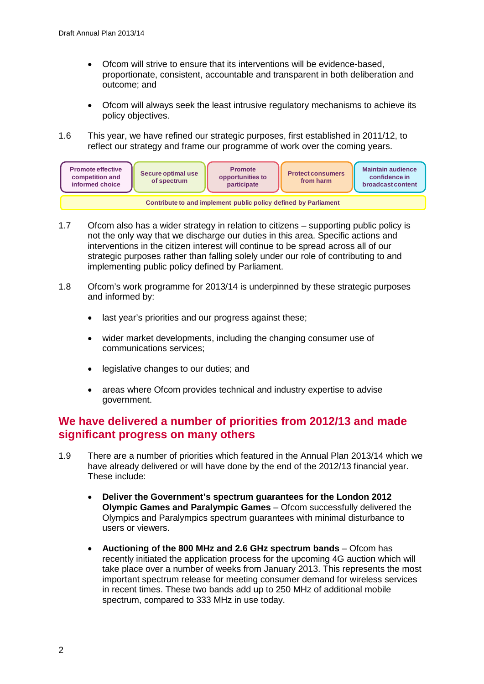- Ofcom will strive to ensure that its interventions will be evidence-based, proportionate, consistent, accountable and transparent in both deliberation and outcome; and
- Ofcom will always seek the least intrusive regulatory mechanisms to achieve its policy objectives.
- 1.6 This year, we have refined our strategic purposes, first established in 2011/12, to reflect our strategy and frame our programme of work over the coming years.



- 1.7 Ofcom also has a wider strategy in relation to citizens supporting public policy is not the only way that we discharge our duties in this area. Specific actions and interventions in the citizen interest will continue to be spread across all of our strategic purposes rather than falling solely under our role of contributing to and implementing public policy defined by Parliament.
- 1.8 Ofcom's work programme for 2013/14 is underpinned by these strategic purposes and informed by:
	- last year's priorities and our progress against these;
	- wider market developments, including the changing consumer use of communications services;
	- legislative changes to our duties; and
	- areas where Ofcom provides technical and industry expertise to advise government.

# **We have delivered a number of priorities from 2012/13 and made significant progress on many others**

- 1.9 There are a number of priorities which featured in the Annual Plan 2013/14 which we have already delivered or will have done by the end of the 2012/13 financial year. These include:
	- **Deliver the Government's spectrum guarantees for the London 2012 Olympic Games and Paralympic Games** – Ofcom successfully delivered the Olympics and Paralympics spectrum guarantees with minimal disturbance to users or viewers.
	- **Auctioning of the 800 MHz and 2.6 GHz spectrum bands**  Ofcom has recently initiated the application process for the upcoming 4G auction which will take place over a number of weeks from January 2013. This represents the most important spectrum release for meeting consumer demand for wireless services in recent times. These two bands add up to 250 MHz of additional mobile spectrum, compared to 333 MHz in use today.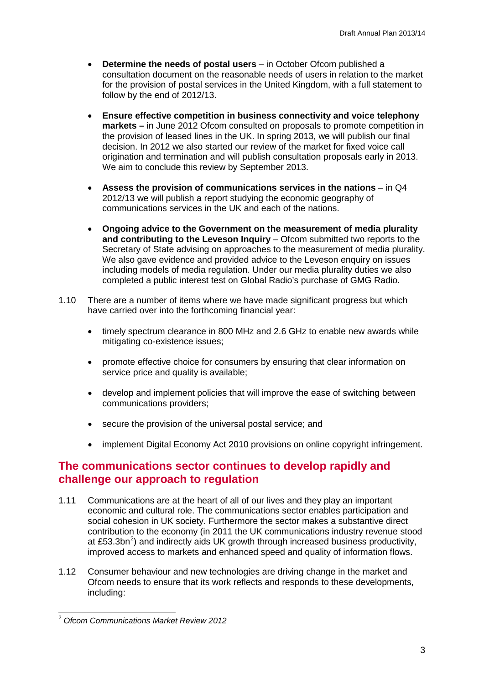- **Determine the needs of postal users** in October Ofcom published a consultation document on the reasonable needs of users in relation to the market for the provision of postal services in the United Kingdom, with a full statement to follow by the end of 2012/13.
- **Ensure effective competition in business connectivity and voice telephony markets –** in June 2012 Ofcom consulted on proposals to promote competition in the provision of leased lines in the UK. In spring 2013, we will publish our final decision. In 2012 we also started our review of the market for fixed voice call origination and termination and will publish consultation proposals early in 2013. We aim to conclude this review by September 2013.
- Assess the provision of communications services in the nations in Q4 2012/13 we will publish a report studying the economic geography of communications services in the UK and each of the nations.
- **Ongoing advice to the Government on the measurement of media plurality and contributing to the Leveson Inquiry** – Ofcom submitted two reports to the Secretary of State advising on approaches to the measurement of media plurality. We also gave evidence and provided advice to the Leveson enquiry on issues including models of media regulation. Under our media plurality duties we also completed a public interest test on Global Radio's purchase of GMG Radio.
- 1.10 There are a number of items where we have made significant progress but which have carried over into the forthcoming financial year:
	- timely spectrum clearance in 800 MHz and 2.6 GHz to enable new awards while mitigating co-existence issues;
	- promote effective choice for consumers by ensuring that clear information on service price and quality is available:
	- develop and implement policies that will improve the ease of switching between communications providers;
	- secure the provision of the universal postal service; and
	- implement Digital Economy Act 2010 provisions on online copyright infringement.

# **The communications sector continues to develop rapidly and challenge our approach to regulation**

- 1.11 Communications are at the heart of all of our lives and they play an important economic and cultural role. The communications sector enables participation and social cohesion in UK society. Furthermore the sector makes a substantive direct contribution to the economy (in 2011 the UK communications industry revenue stood at £53.3bn<sup>[2](#page-5-0)</sup>) and indirectly aids UK growth through increased business productivity, improved access to markets and enhanced speed and quality of information flows.
- 1.12 Consumer behaviour and new technologies are driving change in the market and Ofcom needs to ensure that its work reflects and responds to these developments, including:

<span id="page-5-0"></span> <sup>2</sup> *Ofcom Communications Market Review 2012*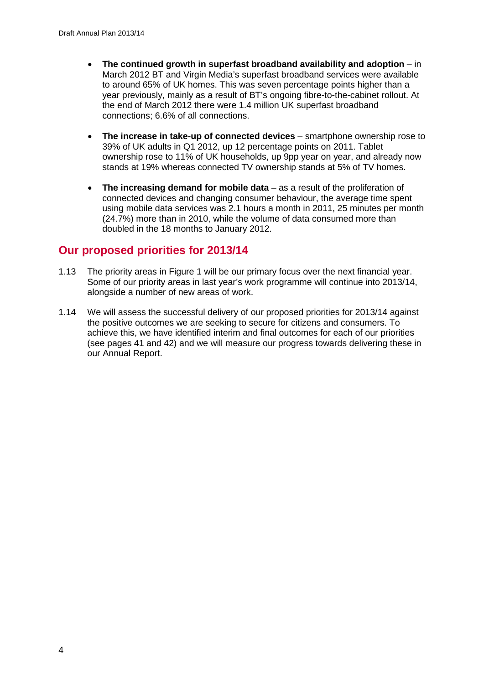- **The continued growth in superfast broadband availability and adoption** in March 2012 BT and Virgin Media's superfast broadband services were available to around 65% of UK homes. This was seven percentage points higher than a year previously, mainly as a result of BT's ongoing fibre-to-the-cabinet rollout. At the end of March 2012 there were 1.4 million UK superfast broadband connections; 6.6% of all connections.
- **The increase in take-up of connected devices** smartphone ownership rose to 39% of UK adults in Q1 2012, up 12 percentage points on 2011. Tablet ownership rose to 11% of UK households, up 9pp year on year, and already now stands at 19% whereas connected TV ownership stands at 5% of TV homes.
- **The increasing demand for mobile data**  as a result of the proliferation of connected devices and changing consumer behaviour, the average time spent using mobile data services was 2.1 hours a month in 2011, 25 minutes per month (24.7%) more than in 2010, while the volume of data consumed more than doubled in the 18 months to January 2012.

# **Our proposed priorities for 2013/14**

- 1.13 The priority areas in Figure 1 will be our primary focus over the next financial year. Some of our priority areas in last year's work programme will continue into 2013/14, alongside a number of new areas of work.
- 1.14 We will assess the successful delivery of our proposed priorities for 2013/14 against the positive outcomes we are seeking to secure for citizens and consumers. To achieve this, we have identified interim and final outcomes for each of our priorities (see pages 41 and 42) and we will measure our progress towards delivering these in our Annual Report.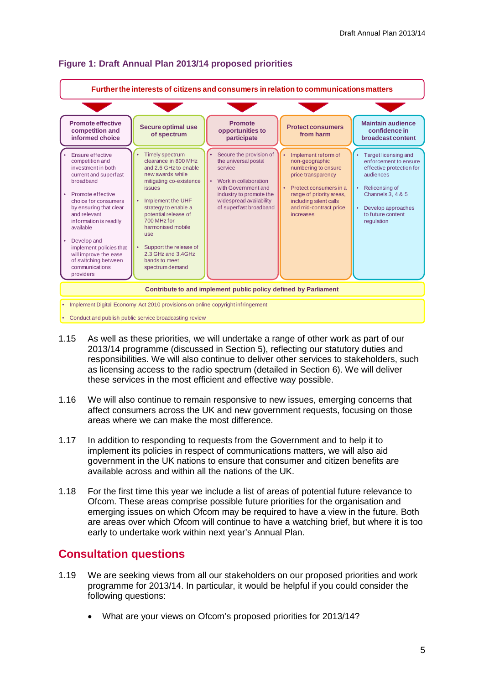

#### **Figure 1: Draft Annual Plan 2013/14 proposed priorities**

- 1.15 As well as these priorities, we will undertake a range of other work as part of our 2013/14 programme (discussed in Section 5), reflecting our statutory duties and responsibilities. We will also continue to deliver other services to stakeholders, such as licensing access to the radio spectrum (detailed in Section 6). We will deliver these services in the most efficient and effective way possible.
- 1.16 We will also continue to remain responsive to new issues, emerging concerns that affect consumers across the UK and new government requests, focusing on those areas where we can make the most difference.
- 1.17 In addition to responding to requests from the Government and to help it to implement its policies in respect of communications matters, we will also aid government in the UK nations to ensure that consumer and citizen benefits are available across and within all the nations of the UK.
- 1.18 For the first time this year we include a list of areas of potential future relevance to Ofcom. These areas comprise possible future priorities for the organisation and emerging issues on which Ofcom may be required to have a view in the future. Both are areas over which Ofcom will continue to have a watching brief, but where it is too early to undertake work within next year's Annual Plan.

# **Consultation questions**

- 1.19 We are seeking views from all our stakeholders on our proposed priorities and work programme for 2013/14. In particular, it would be helpful if you could consider the following questions:
	- What are your views on Ofcom's proposed priorities for 2013/14?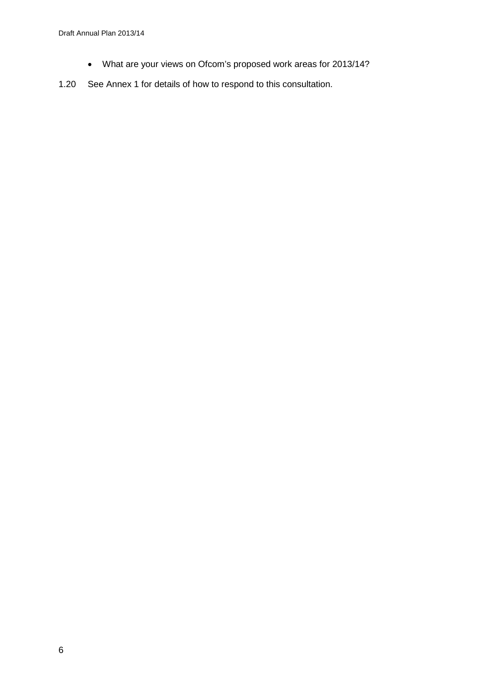- What are your views on Ofcom's proposed work areas for 2013/14?
- 1.20 See Annex 1 for details of how to respond to this consultation.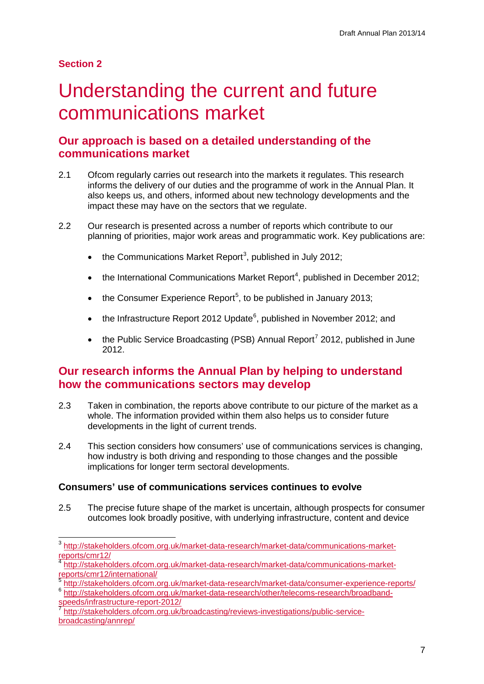# **Section 2**

# <span id="page-9-0"></span>Understanding the current and future communications market

# **Our approach is based on a detailed understanding of the communications market**

- 2.1 Ofcom regularly carries out research into the markets it regulates. This research informs the delivery of our duties and the programme of work in the Annual Plan. It also keeps us, and others, informed about new technology developments and the impact these may have on the sectors that we regulate.
- 2.2 Our research is presented across a number of reports which contribute to our planning of priorities, major work areas and programmatic work. Key publications are:
	- $\bullet$  the Communications Market Report<sup>[3](#page-9-1)</sup>, published in July 2012;
	- $\bullet$  the International Communications Market Report<sup>[4](#page-9-2)</sup>, published in December 2012;
	- $\bullet$  the Consumer Experience Report<sup>[5](#page-9-3)</sup>, to be published in January 2013;
	- the Infrastructure Report 2012 Update $^6$  $^6$ , published in November 2012; and
	- the Public Service Broadcasting (PSB) Annual Report<sup>[7](#page-9-5)</sup> 2012, published in June 2012.

# **Our research informs the Annual Plan by helping to understand how the communications sectors may develop**

- 2.3 Taken in combination, the reports above contribute to our picture of the market as a whole. The information provided within them also helps us to consider future developments in the light of current trends.
- 2.4 This section considers how consumers' use of communications services is changing, how industry is both driving and responding to those changes and the possible implications for longer term sectoral developments.

## **Consumers' use of communications services continues to evolve**

2.5 The precise future shape of the market is uncertain, although prospects for consumer outcomes look broadly positive, with underlying infrastructure, content and device

<span id="page-9-1"></span> <sup>3</sup> [http://stakeholders.ofcom.org.uk/market-data-research/market-data/communications-market](http://stakeholders.ofcom.org.uk/market-data-research/market-data/communications-market-reports/cmr12/)[reports/cmr12/](http://stakeholders.ofcom.org.uk/market-data-research/market-data/communications-market-reports/cmr12/)

<span id="page-9-2"></span>[http://stakeholders.ofcom.org.uk/market-data-research/market-data/communications-market](http://stakeholders.ofcom.org.uk/market-data-research/market-data/communications-market-reports/cmr12/international/)[reports/cmr12/international/](http://stakeholders.ofcom.org.uk/market-data-research/market-data/communications-market-reports/cmr12/international/)<br>
Feborts/cmr12/international/<br>
For http://stakeholders.ofcom.org.uk/market-data-research/market-data/consumer-experience-reports/

<span id="page-9-4"></span><span id="page-9-3"></span><sup>6</sup> http://stakeholders.ofcom.org.uk/market-data-research/other/telecoms-research/broadband-<br>speeds/infrastructure-report-2012/

<span id="page-9-5"></span>[http://stakeholders.ofcom.org.uk/broadcasting/reviews-investigations/public-service](http://stakeholders.ofcom.org.uk/broadcasting/reviews-investigations/public-service-broadcasting/annrep/)[broadcasting/annrep/](http://stakeholders.ofcom.org.uk/broadcasting/reviews-investigations/public-service-broadcasting/annrep/)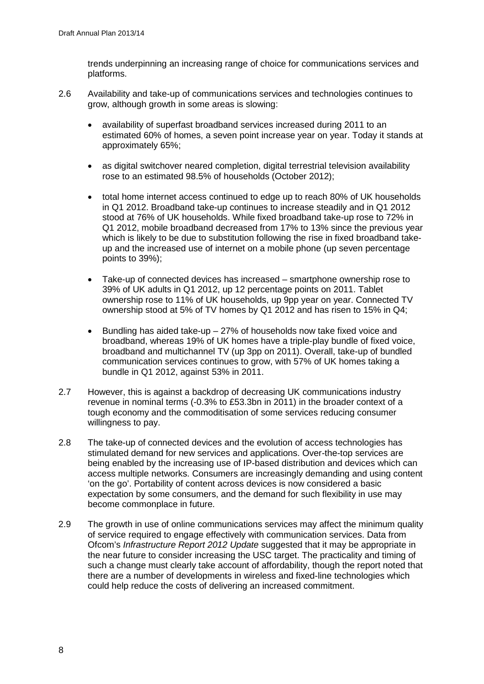trends underpinning an increasing range of choice for communications services and platforms.

- 2.6 Availability and take-up of communications services and technologies continues to grow, although growth in some areas is slowing:
	- availability of superfast broadband services increased during 2011 to an estimated 60% of homes, a seven point increase year on year. Today it stands at approximately 65%;
	- as digital switchover neared completion, digital terrestrial television availability rose to an estimated 98.5% of households (October 2012);
	- total home internet access continued to edge up to reach 80% of UK households in Q1 2012. Broadband take-up continues to increase steadily and in Q1 2012 stood at 76% of UK households. While fixed broadband take-up rose to 72% in Q1 2012, mobile broadband decreased from 17% to 13% since the previous year which is likely to be due to substitution following the rise in fixed broadband takeup and the increased use of internet on a mobile phone (up seven percentage points to 39%);
	- Take-up of connected devices has increased smartphone ownership rose to 39% of UK adults in Q1 2012, up 12 percentage points on 2011. Tablet ownership rose to 11% of UK households, up 9pp year on year. Connected TV ownership stood at 5% of TV homes by Q1 2012 and has risen to 15% in Q4;
	- Bundling has aided take-up  $-27\%$  of households now take fixed voice and broadband, whereas 19% of UK homes have a triple-play bundle of fixed voice, broadband and multichannel TV (up 3pp on 2011). Overall, take-up of bundled communication services continues to grow, with 57% of UK homes taking a bundle in Q1 2012, against 53% in 2011.
- 2.7 However, this is against a backdrop of decreasing UK communications industry revenue in nominal terms (-0.3% to £53.3bn in 2011) in the broader context of a tough economy and the commoditisation of some services reducing consumer willingness to pay.
- 2.8 The take-up of connected devices and the evolution of access technologies has stimulated demand for new services and applications. Over-the-top services are being enabled by the increasing use of IP-based distribution and devices which can access multiple networks. Consumers are increasingly demanding and using content 'on the go'. Portability of content across devices is now considered a basic expectation by some consumers, and the demand for such flexibility in use may become commonplace in future.
- 2.9 The growth in use of online communications services may affect the minimum quality of service required to engage effectively with communication services. Data from Ofcom's *Infrastructure Report 2012 Update* suggested that it may be appropriate in the near future to consider increasing the USC target. The practicality and timing of such a change must clearly take account of affordability, though the report noted that there are a number of developments in wireless and fixed-line technologies which could help reduce the costs of delivering an increased commitment.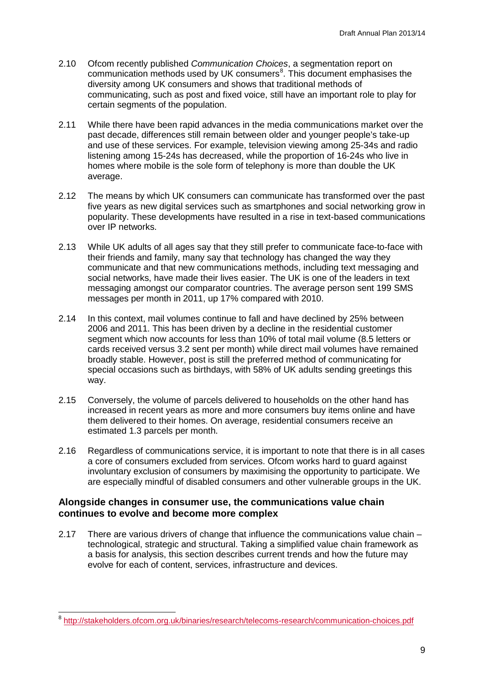- 2.10 Ofcom recently published *Communication Choices*, a segmentation report on communication methods used by UK consumers<sup>[8](#page-11-0)</sup>. This document emphasises the diversity among UK consumers and shows that traditional methods of communicating, such as post and fixed voice, still have an important role to play for certain segments of the population.
- 2.11 While there have been rapid advances in the media communications market over the past decade, differences still remain between older and younger people's take-up and use of these services. For example, television viewing among 25-34s and radio listening among 15-24s has decreased, while the proportion of 16-24s who live in homes where mobile is the sole form of telephony is more than double the UK average.
- 2.12 The means by which UK consumers can communicate has transformed over the past five years as new digital services such as smartphones and social networking grow in popularity. These developments have resulted in a rise in text-based communications over IP networks.
- 2.13 While UK adults of all ages say that they still prefer to communicate face-to-face with their friends and family, many say that technology has changed the way they communicate and that new communications methods, including text messaging and social networks, have made their lives easier. The UK is one of the leaders in text messaging amongst our comparator countries. The average person sent 199 SMS messages per month in 2011, up 17% compared with 2010.
- 2.14 In this context, mail volumes continue to fall and have declined by 25% between 2006 and 2011. This has been driven by a decline in the residential customer segment which now accounts for less than 10% of total mail volume (8.5 letters or cards received versus 3.2 sent per month) while direct mail volumes have remained broadly stable. However, post is still the preferred method of communicating for special occasions such as birthdays, with 58% of UK adults sending greetings this way.
- 2.15 Conversely, the volume of parcels delivered to households on the other hand has increased in recent years as more and more consumers buy items online and have them delivered to their homes. On average, residential consumers receive an estimated 1.3 parcels per month.
- 2.16 Regardless of communications service, it is important to note that there is in all cases a core of consumers excluded from services. Ofcom works hard to guard against involuntary exclusion of consumers by maximising the opportunity to participate. We are especially mindful of disabled consumers and other vulnerable groups in the UK.

## **Alongside changes in consumer use, the communications value chain continues to evolve and become more complex**

2.17 There are various drivers of change that influence the communications value chain – technological, strategic and structural. Taking a simplified value chain framework as a basis for analysis, this section describes current trends and how the future may evolve for each of content, services, infrastructure and devices.

<span id="page-11-0"></span> <sup>8</sup> <http://stakeholders.ofcom.org.uk/binaries/research/telecoms-research/communication-choices.pdf>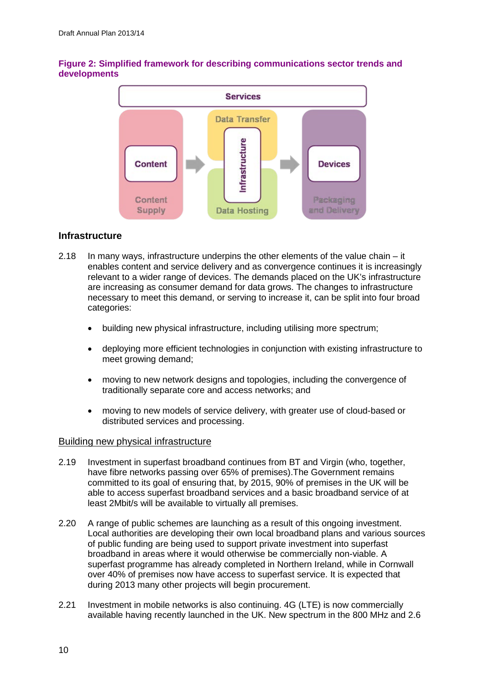

## **Figure 2: Simplified framework for describing communications sector trends and developments**

## **Infrastructure**

- 2.18 In many ways, infrastructure underpins the other elements of the value chain it enables content and service delivery and as convergence continues it is increasingly relevant to a wider range of devices. The demands placed on the UK's infrastructure are increasing as consumer demand for data grows. The changes to infrastructure necessary to meet this demand, or serving to increase it, can be split into four broad categories:
	- building new physical infrastructure, including utilising more spectrum;
	- deploying more efficient technologies in conjunction with existing infrastructure to meet growing demand;
	- moving to new network designs and topologies, including the convergence of traditionally separate core and access networks; and
	- moving to new models of service delivery, with greater use of cloud-based or distributed services and processing.

## Building new physical infrastructure

- 2.19 Investment in superfast broadband continues from BT and Virgin (who, together, have fibre networks passing over 65% of premises).The Government remains committed to its goal of ensuring that, by 2015, 90% of premises in the UK will be able to access superfast broadband services and a basic broadband service of at least 2Mbit/s will be available to virtually all premises.
- 2.20 A range of public schemes are launching as a result of this ongoing investment. Local authorities are developing their own local broadband plans and various sources of public funding are being used to support private investment into superfast broadband in areas where it would otherwise be commercially non-viable. A superfast programme has already completed in Northern Ireland, while in Cornwall over 40% of premises now have access to superfast service. It is expected that during 2013 many other projects will begin procurement.
- 2.21 Investment in mobile networks is also continuing. 4G (LTE) is now commercially available having recently launched in the UK. New spectrum in the 800 MHz and 2.6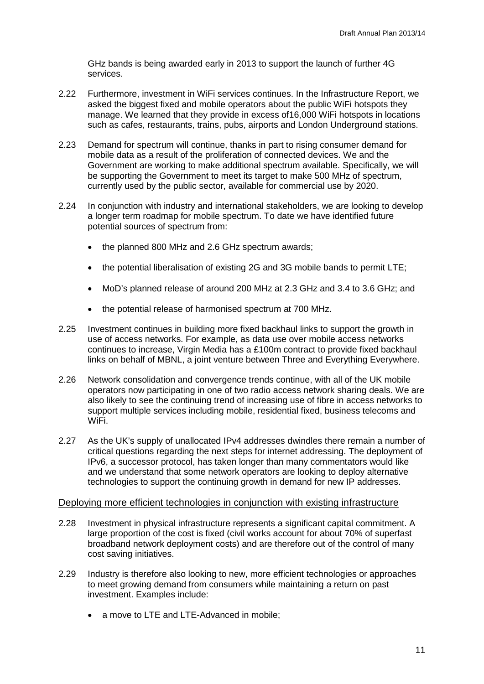GHz bands is being awarded early in 2013 to support the launch of further 4G services.

- 2.22 Furthermore, investment in WiFi services continues. In the Infrastructure Report, we asked the biggest fixed and mobile operators about the public WiFi hotspots they manage. We learned that they provide in excess of16,000 WiFi hotspots in locations such as cafes, restaurants, trains, pubs, airports and London Underground stations.
- 2.23 Demand for spectrum will continue, thanks in part to rising consumer demand for mobile data as a result of the proliferation of connected devices. We and the Government are working to make additional spectrum available. Specifically, we will be supporting the Government to meet its target to make 500 MHz of spectrum, currently used by the public sector, available for commercial use by 2020.
- 2.24 In conjunction with industry and international stakeholders, we are looking to develop a longer term roadmap for mobile spectrum. To date we have identified future potential sources of spectrum from:
	- the planned 800 MHz and 2.6 GHz spectrum awards;
	- the potential liberalisation of existing 2G and 3G mobile bands to permit LTE;
	- MoD's planned release of around 200 MHz at 2.3 GHz and 3.4 to 3.6 GHz; and
	- the potential release of harmonised spectrum at 700 MHz.
- 2.25 Investment continues in building more fixed backhaul links to support the growth in use of access networks. For example, as data use over mobile access networks continues to increase, Virgin Media has a £100m contract to provide fixed backhaul links on behalf of MBNL, a joint venture between Three and Everything Everywhere.
- 2.26 Network consolidation and convergence trends continue, with all of the UK mobile operators now participating in one of two radio access network sharing deals. We are also likely to see the continuing trend of increasing use of fibre in access networks to support multiple services including mobile, residential fixed, business telecoms and WiFi.
- 2.27 As the UK's supply of unallocated IPv4 addresses dwindles there remain a number of critical questions regarding the next steps for internet addressing. The deployment of IPv6, a successor protocol, has taken longer than many commentators would like and we understand that some network operators are looking to deploy alternative technologies to support the continuing growth in demand for new IP addresses.

## Deploying more efficient technologies in conjunction with existing infrastructure

- 2.28 Investment in physical infrastructure represents a significant capital commitment. A large proportion of the cost is fixed (civil works account for about 70% of superfast broadband network deployment costs) and are therefore out of the control of many cost saving initiatives.
- 2.29 Industry is therefore also looking to new, more efficient technologies or approaches to meet growing demand from consumers while maintaining a return on past investment. Examples include:
	- a move to LTE and LTE-Advanced in mobile;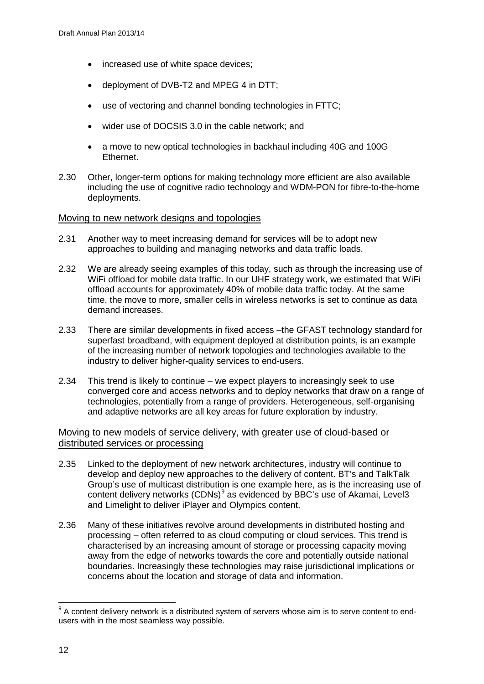- increased use of white space devices;
- deployment of DVB-T2 and MPEG 4 in DTT;
- use of vectoring and channel bonding technologies in FTTC:
- wider use of DOCSIS 3.0 in the cable network; and
- a move to new optical technologies in backhaul including 40G and 100G Ethernet.
- 2.30 Other, longer-term options for making technology more efficient are also available including the use of cognitive radio technology and WDM-PON for fibre-to-the-home deployments.

#### Moving to new network designs and topologies

- 2.31 Another way to meet increasing demand for services will be to adopt new approaches to building and managing networks and data traffic loads.
- 2.32 We are already seeing examples of this today, such as through the increasing use of WiFi offload for mobile data traffic. In our UHF strategy work, we estimated that WiFi offload accounts for approximately 40% of mobile data traffic today. At the same time, the move to more, smaller cells in wireless networks is set to continue as data demand increases.
- 2.33 There are similar developments in fixed access –the GFAST technology standard for superfast broadband, with equipment deployed at distribution points, is an example of the increasing number of network topologies and technologies available to the industry to deliver higher-quality services to end-users.
- 2.34 This trend is likely to continue we expect players to increasingly seek to use converged core and access networks and to deploy networks that draw on a range of technologies, potentially from a range of providers. Heterogeneous, self-organising and adaptive networks are all key areas for future exploration by industry.

## Moving to new models of service delivery, with greater use of cloud-based or distributed services or processing

- 2.35 Linked to the deployment of new network architectures, industry will continue to develop and deploy new approaches to the delivery of content. BT's and TalkTalk Group's use of multicast distribution is one example here, as is the increasing use of content delivery networks (CDNs)<sup>[9](#page-14-0)</sup> as evidenced by BBC's use of Akamai, Level3 and Limelight to deliver iPlayer and Olympics content.
- 2.36 Many of these initiatives revolve around developments in distributed hosting and processing – often referred to as cloud computing or cloud services. This trend is characterised by an increasing amount of storage or processing capacity moving away from the edge of networks towards the core and potentially outside national boundaries. Increasingly these technologies may raise jurisdictional implications or concerns about the location and storage of data and information.

<span id="page-14-0"></span> $9$  A content delivery network is a distributed system of servers whose aim is to serve content to endusers with in the most seamless way possible.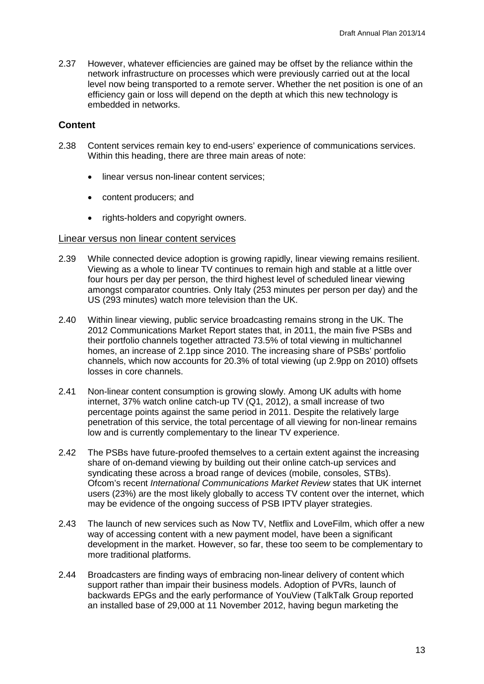2.37 However, whatever efficiencies are gained may be offset by the reliance within the network infrastructure on processes which were previously carried out at the local level now being transported to a remote server. Whether the net position is one of an efficiency gain or loss will depend on the depth at which this new technology is embedded in networks.

#### **Content**

- 2.38 Content services remain key to end-users' experience of communications services. Within this heading, there are three main areas of note:
	- linear versus non-linear content services;
	- content producers; and
	- rights-holders and copyright owners.

#### Linear versus non linear content services

- 2.39 While connected device adoption is growing rapidly, linear viewing remains resilient. Viewing as a whole to linear TV continues to remain high and stable at a little over four hours per day per person, the third highest level of scheduled linear viewing amongst comparator countries. Only Italy (253 minutes per person per day) and the US (293 minutes) watch more television than the UK.
- 2.40 Within linear viewing, public service broadcasting remains strong in the UK. The 2012 Communications Market Report states that, in 2011, the main five PSBs and their portfolio channels together attracted 73.5% of total viewing in multichannel homes, an increase of 2.1pp since 2010. The increasing share of PSBs' portfolio channels, which now accounts for 20.3% of total viewing (up 2.9pp on 2010) offsets losses in core channels.
- 2.41 Non-linear content consumption is growing slowly. Among UK adults with home internet, 37% watch online catch-up TV (Q1, 2012), a small increase of two percentage points against the same period in 2011. Despite the relatively large penetration of this service, the total percentage of all viewing for non-linear remains low and is currently complementary to the linear TV experience.
- 2.42 The PSBs have future-proofed themselves to a certain extent against the increasing share of on-demand viewing by building out their online catch-up services and syndicating these across a broad range of devices (mobile, consoles, STBs). Ofcom's recent *International Communications Market Review* states that UK internet users (23%) are the most likely globally to access TV content over the internet, which may be evidence of the ongoing success of PSB IPTV player strategies.
- 2.43 The launch of new services such as Now TV, Netflix and LoveFilm, which offer a new way of accessing content with a new payment model, have been a significant development in the market. However, so far, these too seem to be complementary to more traditional platforms.
- 2.44 Broadcasters are finding ways of embracing non-linear delivery of content which support rather than impair their business models. Adoption of PVRs, launch of backwards EPGs and the early performance of YouView (TalkTalk Group reported an installed base of 29,000 at 11 November 2012, having begun marketing the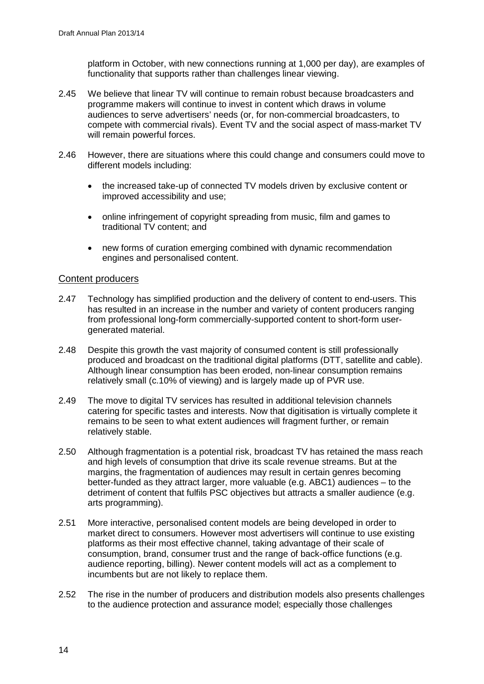platform in October, with new connections running at 1,000 per day), are examples of functionality that supports rather than challenges linear viewing.

- 2.45 We believe that linear TV will continue to remain robust because broadcasters and programme makers will continue to invest in content which draws in volume audiences to serve advertisers' needs (or, for non-commercial broadcasters, to compete with commercial rivals). Event TV and the social aspect of mass-market TV will remain powerful forces.
- 2.46 However, there are situations where this could change and consumers could move to different models including:
	- the increased take-up of connected TV models driven by exclusive content or improved accessibility and use;
	- online infringement of copyright spreading from music, film and games to traditional TV content; and
	- new forms of curation emerging combined with dynamic recommendation engines and personalised content.

## Content producers

- 2.47 Technology has simplified production and the delivery of content to end-users. This has resulted in an increase in the number and variety of content producers ranging from professional long-form commercially-supported content to short-form usergenerated material.
- 2.48 Despite this growth the vast majority of consumed content is still professionally produced and broadcast on the traditional digital platforms (DTT, satellite and cable). Although linear consumption has been eroded, non-linear consumption remains relatively small (c.10% of viewing) and is largely made up of PVR use.
- 2.49 The move to digital TV services has resulted in additional television channels catering for specific tastes and interests. Now that digitisation is virtually complete it remains to be seen to what extent audiences will fragment further, or remain relatively stable.
- 2.50 Although fragmentation is a potential risk, broadcast TV has retained the mass reach and high levels of consumption that drive its scale revenue streams. But at the margins, the fragmentation of audiences may result in certain genres becoming better-funded as they attract larger, more valuable (e.g. ABC1) audiences – to the detriment of content that fulfils PSC objectives but attracts a smaller audience (e.g. arts programming).
- 2.51 More interactive, personalised content models are being developed in order to market direct to consumers. However most advertisers will continue to use existing platforms as their most effective channel, taking advantage of their scale of consumption, brand, consumer trust and the range of back-office functions (e.g. audience reporting, billing). Newer content models will act as a complement to incumbents but are not likely to replace them.
- 2.52 The rise in the number of producers and distribution models also presents challenges to the audience protection and assurance model; especially those challenges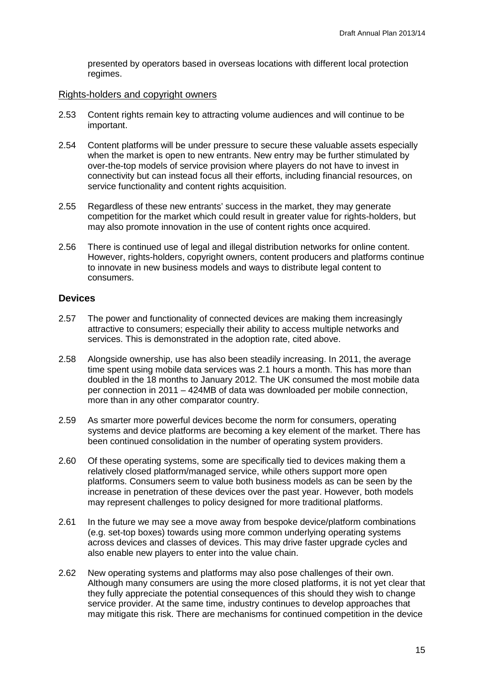presented by operators based in overseas locations with different local protection regimes.

#### Rights-holders and copyright owners

- 2.53 Content rights remain key to attracting volume audiences and will continue to be important.
- 2.54 Content platforms will be under pressure to secure these valuable assets especially when the market is open to new entrants. New entry may be further stimulated by over-the-top models of service provision where players do not have to invest in connectivity but can instead focus all their efforts, including financial resources, on service functionality and content rights acquisition.
- 2.55 Regardless of these new entrants' success in the market, they may generate competition for the market which could result in greater value for rights-holders, but may also promote innovation in the use of content rights once acquired.
- 2.56 There is continued use of legal and illegal distribution networks for online content. However, rights-holders, copyright owners, content producers and platforms continue to innovate in new business models and ways to distribute legal content to consumers.

#### **Devices**

- 2.57 The power and functionality of connected devices are making them increasingly attractive to consumers; especially their ability to access multiple networks and services. This is demonstrated in the adoption rate, cited above.
- 2.58 Alongside ownership, use has also been steadily increasing. In 2011, the average time spent using mobile data services was 2.1 hours a month. This has more than doubled in the 18 months to January 2012. The UK consumed the most mobile data per connection in 2011 – 424MB of data was downloaded per mobile connection, more than in any other comparator country.
- 2.59 As smarter more powerful devices become the norm for consumers, operating systems and device platforms are becoming a key element of the market. There has been continued consolidation in the number of operating system providers.
- 2.60 Of these operating systems, some are specifically tied to devices making them a relatively closed platform/managed service, while others support more open platforms. Consumers seem to value both business models as can be seen by the increase in penetration of these devices over the past year. However, both models may represent challenges to policy designed for more traditional platforms.
- 2.61 In the future we may see a move away from bespoke device/platform combinations (e.g. set-top boxes) towards using more common underlying operating systems across devices and classes of devices. This may drive faster upgrade cycles and also enable new players to enter into the value chain.
- 2.62 New operating systems and platforms may also pose challenges of their own. Although many consumers are using the more closed platforms, it is not yet clear that they fully appreciate the potential consequences of this should they wish to change service provider. At the same time, industry continues to develop approaches that may mitigate this risk. There are mechanisms for continued competition in the device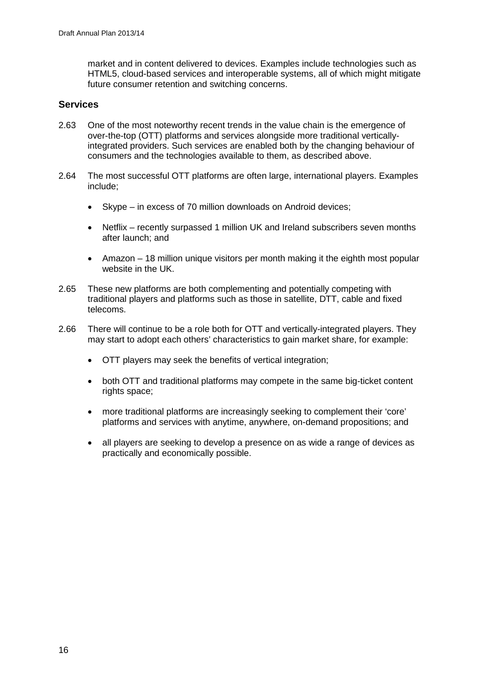market and in content delivered to devices. Examples include technologies such as HTML5, cloud-based services and interoperable systems, all of which might mitigate future consumer retention and switching concerns.

## **Services**

- 2.63 One of the most noteworthy recent trends in the value chain is the emergence of over-the-top (OTT) platforms and services alongside more traditional verticallyintegrated providers. Such services are enabled both by the changing behaviour of consumers and the technologies available to them, as described above.
- 2.64 The most successful OTT platforms are often large, international players. Examples include;
	- Skype in excess of 70 million downloads on Android devices;
	- Netflix recently surpassed 1 million UK and Ireland subscribers seven months after launch; and
	- Amazon 18 million unique visitors per month making it the eighth most popular website in the UK.
- 2.65 These new platforms are both complementing and potentially competing with traditional players and platforms such as those in satellite, DTT, cable and fixed telecoms.
- 2.66 There will continue to be a role both for OTT and vertically-integrated players. They may start to adopt each others' characteristics to gain market share, for example:
	- OTT players may seek the benefits of vertical integration;
	- both OTT and traditional platforms may compete in the same big-ticket content rights space;
	- more traditional platforms are increasingly seeking to complement their 'core' platforms and services with anytime, anywhere, on-demand propositions; and
	- all players are seeking to develop a presence on as wide a range of devices as practically and economically possible.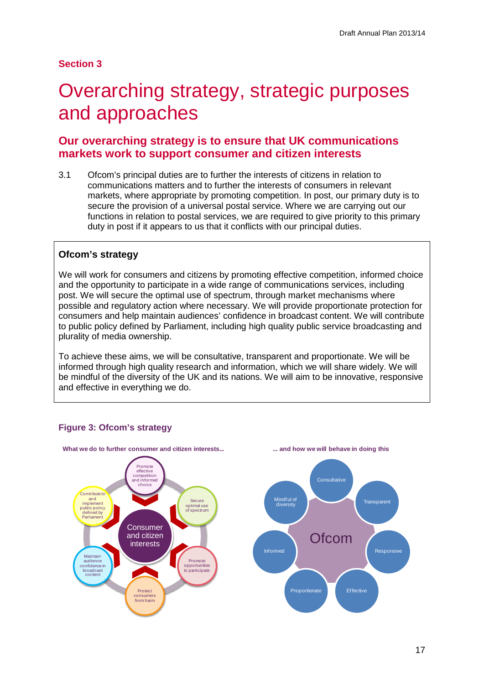# **Section 3**

# <span id="page-19-0"></span>3 Overarching strategy, strategic purposes and approaches

# **Our overarching strategy is to ensure that UK communications markets work to support consumer and citizen interests**

3.1 Ofcom's principal duties are to further the interests of citizens in relation to communications matters and to further the interests of consumers in relevant markets, where appropriate by promoting competition. In post, our primary duty is to secure the provision of a universal postal service. Where we are carrying out our functions in relation to postal services, we are required to give priority to this primary duty in post if it appears to us that it conflicts with our principal duties.

# **Ofcom's strategy**

We will work for consumers and citizens by promoting effective competition, informed choice and the opportunity to participate in a wide range of communications services, including post. We will secure the optimal use of spectrum, through market mechanisms where possible and regulatory action where necessary. We will provide proportionate protection for consumers and help maintain audiences' confidence in broadcast content. We will contribute to public policy defined by Parliament, including high quality public service broadcasting and plurality of media ownership.

To achieve these aims, we will be consultative, transparent and proportionate. We will be informed through high quality research and information, which we will share widely. We will be mindful of the diversity of the UK and its nations. We will aim to be innovative, responsive and effective in everything we do.



## **Figure 3: Ofcom's strategy**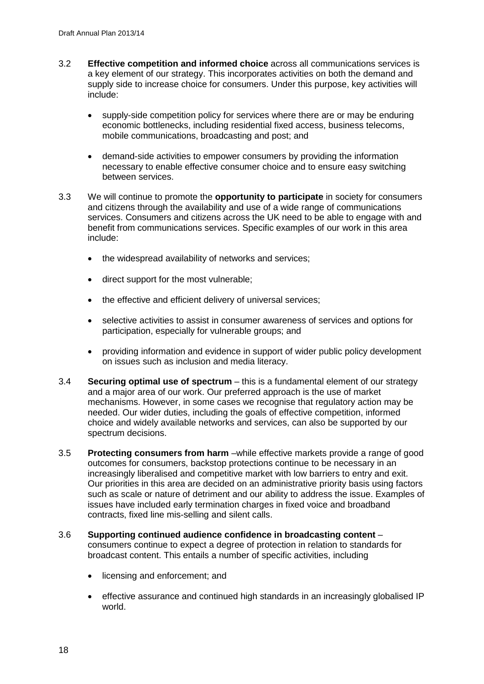- 3.2 **Effective competition and informed choice** across all communications services is a key element of our strategy. This incorporates activities on both the demand and supply side to increase choice for consumers. Under this purpose, key activities will include:
	- supply-side competition policy for services where there are or may be enduring economic bottlenecks, including residential fixed access, business telecoms, mobile communications, broadcasting and post; and
	- demand-side activities to empower consumers by providing the information necessary to enable effective consumer choice and to ensure easy switching between services.
- 3.3 We will continue to promote the **opportunity to participate** in society for consumers and citizens through the availability and use of a wide range of communications services. Consumers and citizens across the UK need to be able to engage with and benefit from communications services. Specific examples of our work in this area include:
	- the widespread availability of networks and services;
	- direct support for the most vulnerable;
	- the effective and efficient delivery of universal services:
	- selective activities to assist in consumer awareness of services and options for participation, especially for vulnerable groups; and
	- providing information and evidence in support of wider public policy development on issues such as inclusion and media literacy.
- 3.4 **Securing optimal use of spectrum** this is a fundamental element of our strategy and a major area of our work. Our preferred approach is the use of market mechanisms. However, in some cases we recognise that regulatory action may be needed. Our wider duties, including the goals of effective competition, informed choice and widely available networks and services, can also be supported by our spectrum decisions.
- 3.5 **Protecting consumers from harm** –while effective markets provide a range of good outcomes for consumers, backstop protections continue to be necessary in an increasingly liberalised and competitive market with low barriers to entry and exit. Our priorities in this area are decided on an administrative priority basis using factors such as scale or nature of detriment and our ability to address the issue. Examples of issues have included early termination charges in fixed voice and broadband contracts, fixed line mis-selling and silent calls.
- 3.6 **Supporting continued audience confidence in broadcasting content** consumers continue to expect a degree of protection in relation to standards for broadcast content. This entails a number of specific activities, including
	- licensing and enforcement; and
	- effective assurance and continued high standards in an increasingly globalised IP world.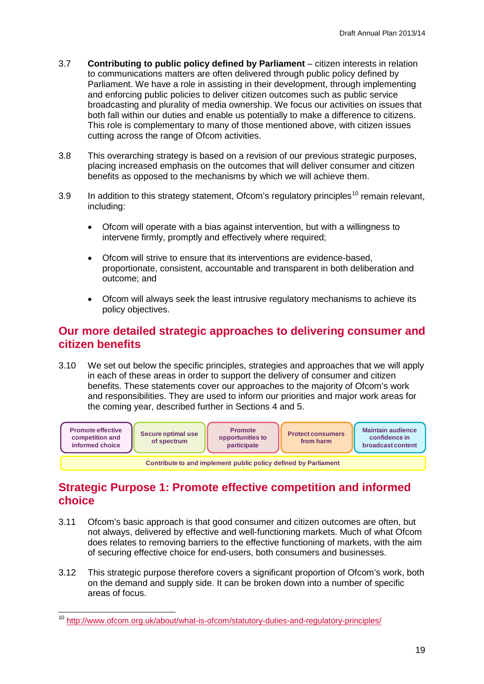- 3.7 **Contributing to public policy defined by Parliament** citizen interests in relation to communications matters are often delivered through public policy defined by Parliament. We have a role in assisting in their development, through implementing and enforcing public policies to deliver citizen outcomes such as public service broadcasting and plurality of media ownership. We focus our activities on issues that both fall within our duties and enable us potentially to make a difference to citizens. This role is complementary to many of those mentioned above, with citizen issues cutting across the range of Ofcom activities.
- 3.8 This overarching strategy is based on a revision of our previous strategic purposes, placing increased emphasis on the outcomes that will deliver consumer and citizen benefits as opposed to the mechanisms by which we will achieve them.
- 3.9 In addition to this strategy statement, Ofcom's regulatory principles<sup>[10](#page-21-0)</sup> remain relevant, including:
	- Ofcom will operate with a bias against intervention, but with a willingness to intervene firmly, promptly and effectively where required;
	- Ofcom will strive to ensure that its interventions are evidence-based, proportionate, consistent, accountable and transparent in both deliberation and outcome; and
	- Ofcom will always seek the least intrusive regulatory mechanisms to achieve its policy objectives.

# **Our more detailed strategic approaches to delivering consumer and citizen benefits**

3.10 We set out below the specific principles, strategies and approaches that we will apply in each of these areas in order to support the delivery of consumer and citizen benefits. These statements cover our approaches to the majority of Ofcom's work and responsibilities. They are used to inform our priorities and major work areas for the coming year, described further in Sections 4 and 5.



# **Strategic Purpose 1: Promote effective competition and informed choice**

- 3.11 Ofcom's basic approach is that good consumer and citizen outcomes are often, but not always, delivered by effective and well-functioning markets. Much of what Ofcom does relates to removing barriers to the effective functioning of markets, with the aim of securing effective choice for end-users, both consumers and businesses.
- 3.12 This strategic purpose therefore covers a significant proportion of Ofcom's work, both on the demand and supply side. It can be broken down into a number of specific areas of focus.

<span id="page-21-0"></span><sup>&</sup>lt;sup>10</sup> <http://www.ofcom.org.uk/about/what-is-ofcom/statutory-duties-and-regulatory-principles/>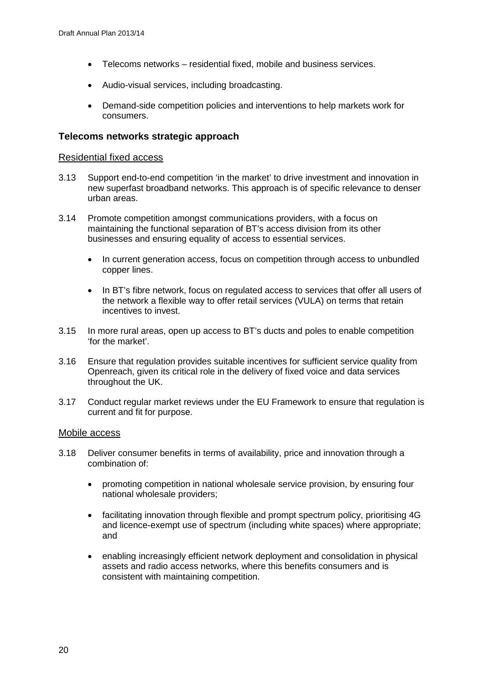- Telecoms networks residential fixed, mobile and business services.
- Audio-visual services, including broadcasting.
- Demand-side competition policies and interventions to help markets work for consumers.

#### **Telecoms networks strategic approach**

#### Residential fixed access

- 3.13 Support end-to-end competition 'in the market' to drive investment and innovation in new superfast broadband networks. This approach is of specific relevance to denser urban areas.
- 3.14 Promote competition amongst communications providers, with a focus on maintaining the functional separation of BT's access division from its other businesses and ensuring equality of access to essential services.
	- In current generation access, focus on competition through access to unbundled copper lines.
	- In BT's fibre network, focus on regulated access to services that offer all users of the network a flexible way to offer retail services (VULA) on terms that retain incentives to invest.
- 3.15 In more rural areas, open up access to BT's ducts and poles to enable competition 'for the market'.
- 3.16 Ensure that regulation provides suitable incentives for sufficient service quality from Openreach, given its critical role in the delivery of fixed voice and data services throughout the UK.
- 3.17 Conduct regular market reviews under the EU Framework to ensure that regulation is current and fit for purpose.

#### Mobile access

- 3.18 Deliver consumer benefits in terms of availability, price and innovation through a combination of:
	- promoting competition in national wholesale service provision, by ensuring four national wholesale providers;
	- facilitating innovation through flexible and prompt spectrum policy, prioritising 4G and licence-exempt use of spectrum (including white spaces) where appropriate; and
	- enabling increasingly efficient network deployment and consolidation in physical assets and radio access networks, where this benefits consumers and is consistent with maintaining competition.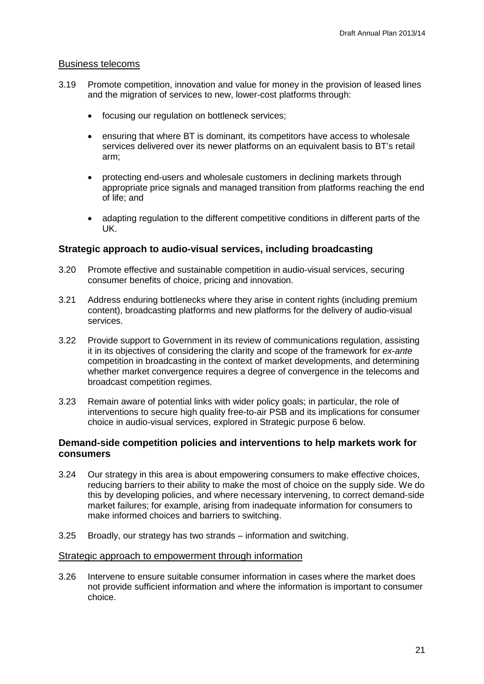## Business telecoms

- 3.19 Promote competition, innovation and value for money in the provision of leased lines and the migration of services to new, lower-cost platforms through:
	- focusing our regulation on bottleneck services;
	- ensuring that where BT is dominant, its competitors have access to wholesale services delivered over its newer platforms on an equivalent basis to BT's retail arm;
	- protecting end-users and wholesale customers in declining markets through appropriate price signals and managed transition from platforms reaching the end of life; and
	- adapting regulation to the different competitive conditions in different parts of the UK.

## **Strategic approach to audio-visual services, including broadcasting**

- 3.20 Promote effective and sustainable competition in audio-visual services, securing consumer benefits of choice, pricing and innovation.
- 3.21 Address enduring bottlenecks where they arise in content rights (including premium content), broadcasting platforms and new platforms for the delivery of audio-visual services.
- 3.22 Provide support to Government in its review of communications regulation, assisting it in its objectives of considering the clarity and scope of the framework for *ex-ante* competition in broadcasting in the context of market developments, and determining whether market convergence requires a degree of convergence in the telecoms and broadcast competition regimes.
- 3.23 Remain aware of potential links with wider policy goals; in particular, the role of interventions to secure high quality free-to-air PSB and its implications for consumer choice in audio-visual services, explored in Strategic purpose 6 below.

## **Demand-side competition policies and interventions to help markets work for consumers**

- 3.24 Our strategy in this area is about empowering consumers to make effective choices, reducing barriers to their ability to make the most of choice on the supply side. We do this by developing policies, and where necessary intervening, to correct demand-side market failures; for example, arising from inadequate information for consumers to make informed choices and barriers to switching.
- 3.25 Broadly, our strategy has two strands information and switching.

#### Strategic approach to empowerment through information

3.26 Intervene to ensure suitable consumer information in cases where the market does not provide sufficient information and where the information is important to consumer choice.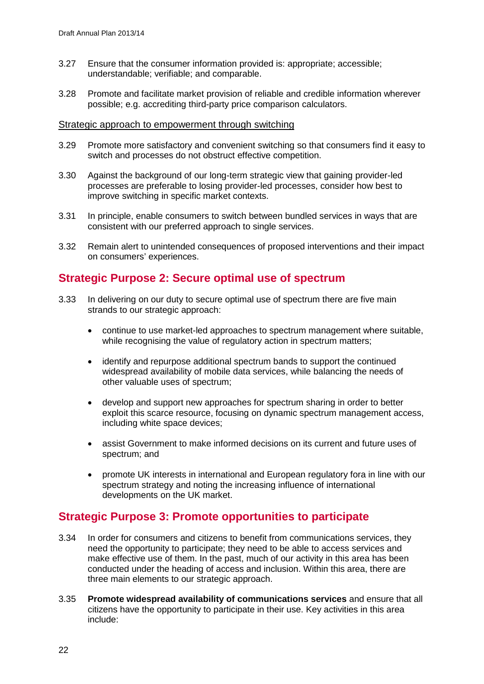- 3.27 Ensure that the consumer information provided is: appropriate; accessible; understandable; verifiable; and comparable.
- 3.28 Promote and facilitate market provision of reliable and credible information wherever possible; e.g. accrediting third-party price comparison calculators.

#### Strategic approach to empowerment through switching

- 3.29 Promote more satisfactory and convenient switching so that consumers find it easy to switch and processes do not obstruct effective competition.
- 3.30 Against the background of our long-term strategic view that gaining provider-led processes are preferable to losing provider-led processes, consider how best to improve switching in specific market contexts.
- 3.31 In principle, enable consumers to switch between bundled services in ways that are consistent with our preferred approach to single services.
- 3.32 Remain alert to unintended consequences of proposed interventions and their impact on consumers' experiences.

# **Strategic Purpose 2: Secure optimal use of spectrum**

- 3.33 In delivering on our duty to secure optimal use of spectrum there are five main strands to our strategic approach:
	- continue to use market-led approaches to spectrum management where suitable, while recognising the value of regulatory action in spectrum matters;
	- identify and repurpose additional spectrum bands to support the continued widespread availability of mobile data services, while balancing the needs of other valuable uses of spectrum;
	- develop and support new approaches for spectrum sharing in order to better exploit this scarce resource, focusing on dynamic spectrum management access, including white space devices;
	- assist Government to make informed decisions on its current and future uses of spectrum; and
	- promote UK interests in international and European regulatory fora in line with our spectrum strategy and noting the increasing influence of international developments on the UK market.

# **Strategic Purpose 3: Promote opportunities to participate**

- 3.34 In order for consumers and citizens to benefit from communications services, they need the opportunity to participate; they need to be able to access services and make effective use of them. In the past, much of our activity in this area has been conducted under the heading of access and inclusion. Within this area, there are three main elements to our strategic approach.
- 3.35 **Promote widespread availability of communications services** and ensure that all citizens have the opportunity to participate in their use. Key activities in this area include: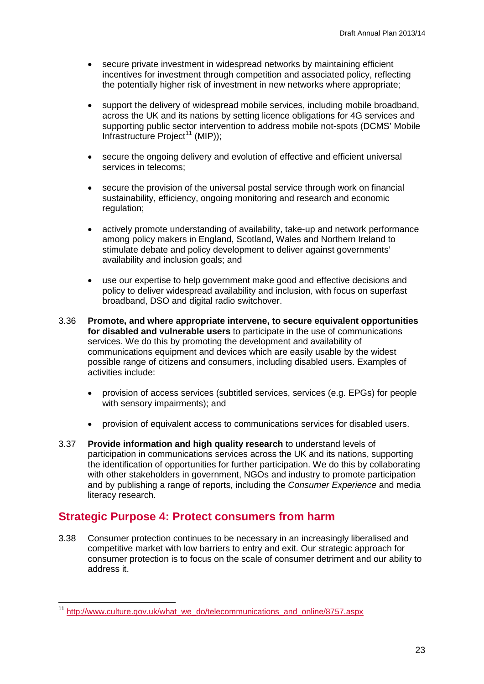- secure private investment in widespread networks by maintaining efficient incentives for investment through competition and associated policy, reflecting the potentially higher risk of investment in new networks where appropriate;
- support the delivery of widespread mobile services, including mobile broadband, across the UK and its nations by setting licence obligations for 4G services and supporting public sector intervention to address mobile not-spots (DCMS' Mobile Infrastructure Project<sup>[11](#page-25-0)</sup> (MIP));
- secure the ongoing delivery and evolution of effective and efficient universal services in telecoms;
- secure the provision of the universal postal service through work on financial sustainability, efficiency, ongoing monitoring and research and economic regulation;
- actively promote understanding of availability, take-up and network performance among policy makers in England, Scotland, Wales and Northern Ireland to stimulate debate and policy development to deliver against governments' availability and inclusion goals; and
- use our expertise to help government make good and effective decisions and policy to deliver widespread availability and inclusion, with focus on superfast broadband, DSO and digital radio switchover.
- 3.36 **Promote, and where appropriate intervene, to secure equivalent opportunities for disabled and vulnerable users** to participate in the use of communications services. We do this by promoting the development and availability of communications equipment and devices which are easily usable by the widest possible range of citizens and consumers, including disabled users. Examples of activities include:
	- provision of access services (subtitled services, services (e.g. EPGs) for people with sensory impairments); and
	- provision of equivalent access to communications services for disabled users.
- 3.37 **Provide information and high quality research** to understand levels of participation in communications services across the UK and its nations, supporting the identification of opportunities for further participation. We do this by collaborating with other stakeholders in government, NGOs and industry to promote participation and by publishing a range of reports, including the *Consumer Experience* and media literacy research.

# **Strategic Purpose 4: Protect consumers from harm**

3.38 Consumer protection continues to be necessary in an increasingly liberalised and competitive market with low barriers to entry and exit. Our strategic approach for consumer protection is to focus on the scale of consumer detriment and our ability to address it.

<span id="page-25-0"></span><sup>&</sup>lt;sup>11</sup> [http://www.culture.gov.uk/what\\_we\\_do/telecommunications\\_and\\_online/8757.aspx](http://www.culture.gov.uk/what_we_do/telecommunications_and_online/8757.aspx)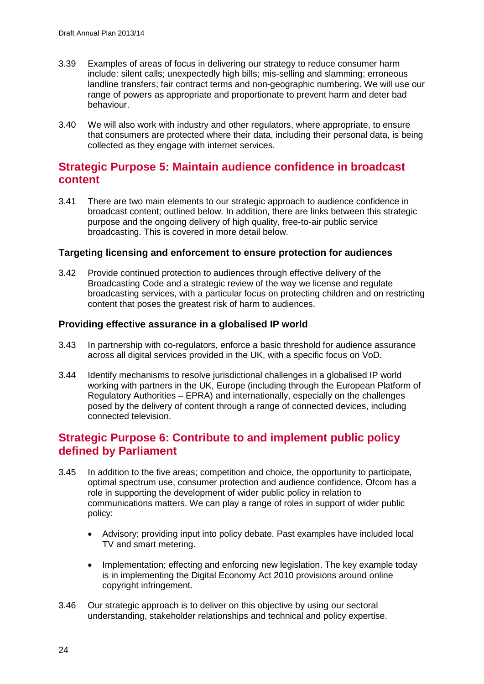- 3.39 Examples of areas of focus in delivering our strategy to reduce consumer harm include: silent calls; unexpectedly high bills; mis-selling and slamming; erroneous landline transfers; fair contract terms and non-geographic numbering. We will use our range of powers as appropriate and proportionate to prevent harm and deter bad behaviour.
- 3.40 We will also work with industry and other regulators, where appropriate, to ensure that consumers are protected where their data, including their personal data, is being collected as they engage with internet services.

# **Strategic Purpose 5: Maintain audience confidence in broadcast content**

3.41 There are two main elements to our strategic approach to audience confidence in broadcast content; outlined below. In addition, there are links between this strategic purpose and the ongoing delivery of high quality, free-to-air public service broadcasting. This is covered in more detail below.

## **Targeting licensing and enforcement to ensure protection for audiences**

3.42 Provide continued protection to audiences through effective delivery of the Broadcasting Code and a strategic review of the way we license and regulate broadcasting services, with a particular focus on protecting children and on restricting content that poses the greatest risk of harm to audiences.

## **Providing effective assurance in a globalised IP world**

- 3.43 In partnership with co-regulators, enforce a basic threshold for audience assurance across all digital services provided in the UK, with a specific focus on VoD.
- 3.44 Identify mechanisms to resolve jurisdictional challenges in a globalised IP world working with partners in the UK, Europe (including through the European Platform of Regulatory Authorities – EPRA) and internationally, especially on the challenges posed by the delivery of content through a range of connected devices, including connected television.

# **Strategic Purpose 6: Contribute to and implement public policy defined by Parliament**

- 3.45 In addition to the five areas; competition and choice, the opportunity to participate, optimal spectrum use, consumer protection and audience confidence, Ofcom has a role in supporting the development of wider public policy in relation to communications matters. We can play a range of roles in support of wider public policy:
	- Advisory; providing input into policy debate. Past examples have included local TV and smart metering.
	- Implementation: effecting and enforcing new legislation. The key example today is in implementing the Digital Economy Act 2010 provisions around online copyright infringement.
- 3.46 Our strategic approach is to deliver on this objective by using our sectoral understanding, stakeholder relationships and technical and policy expertise.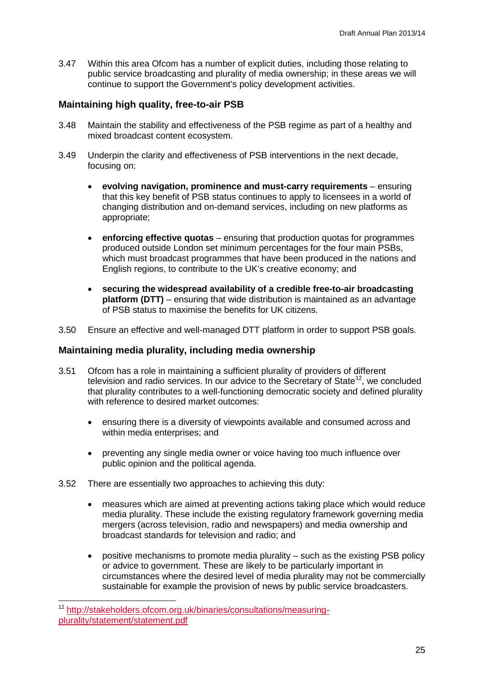3.47 Within this area Ofcom has a number of explicit duties, including those relating to public service broadcasting and plurality of media ownership; in these areas we will continue to support the Government's policy development activities.

## **Maintaining high quality, free-to-air PSB**

- 3.48 Maintain the stability and effectiveness of the PSB regime as part of a healthy and mixed broadcast content ecosystem.
- 3.49 Underpin the clarity and effectiveness of PSB interventions in the next decade, focusing on:
	- **evolving navigation, prominence and must-carry requirements** ensuring that this key benefit of PSB status continues to apply to licensees in a world of changing distribution and on-demand services, including on new platforms as appropriate;
	- **enforcing effective quotas** ensuring that production quotas for programmes produced outside London set minimum percentages for the four main PSBs, which must broadcast programmes that have been produced in the nations and English regions, to contribute to the UK's creative economy; and
	- **securing the widespread availability of a credible free-to-air broadcasting platform (DTT)** – ensuring that wide distribution is maintained as an advantage of PSB status to maximise the benefits for UK citizens.
- 3.50 Ensure an effective and well-managed DTT platform in order to support PSB goals.

## **Maintaining media plurality, including media ownership**

- 3.51 Ofcom has a role in maintaining a sufficient plurality of providers of different television and radio services. In our advice to the Secretary of State<sup>[12](#page-27-0)</sup>, we concluded that plurality contributes to a well-functioning democratic society and defined plurality with reference to desired market outcomes:
	- ensuring there is a diversity of viewpoints available and consumed across and within media enterprises; and
	- preventing any single media owner or voice having too much influence over public opinion and the political agenda.
- 3.52 There are essentially two approaches to achieving this duty:
	- measures which are aimed at preventing actions taking place which would reduce media plurality. These include the existing regulatory framework governing media mergers (across television, radio and newspapers) and media ownership and broadcast standards for television and radio; and
	- positive mechanisms to promote media plurality such as the existing PSB policy or advice to government. These are likely to be particularly important in circumstances where the desired level of media plurality may not be commercially sustainable for example the provision of news by public service broadcasters.

<span id="page-27-0"></span> <sup>12</sup> [http://stakeholders.ofcom.org.uk/binaries/consultations/measuring](http://stakeholders.ofcom.org.uk/binaries/consultations/measuring-plurality/statement/statement.pdf)[plurality/statement/statement.pdf](http://stakeholders.ofcom.org.uk/binaries/consultations/measuring-plurality/statement/statement.pdf)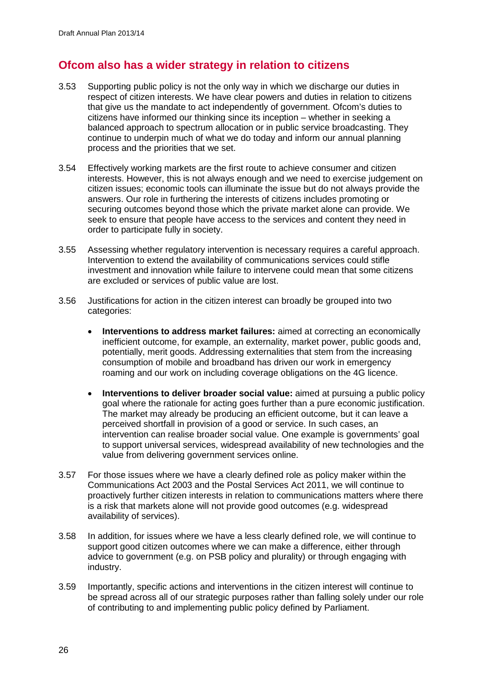# **Ofcom also has a wider strategy in relation to citizens**

- 3.53 Supporting public policy is not the only way in which we discharge our duties in respect of citizen interests. We have clear powers and duties in relation to citizens that give us the mandate to act independently of government. Ofcom's duties to citizens have informed our thinking since its inception – whether in seeking a balanced approach to spectrum allocation or in public service broadcasting. They continue to underpin much of what we do today and inform our annual planning process and the priorities that we set.
- 3.54 Effectively working markets are the first route to achieve consumer and citizen interests. However, this is not always enough and we need to exercise judgement on citizen issues; economic tools can illuminate the issue but do not always provide the answers. Our role in furthering the interests of citizens includes promoting or securing outcomes beyond those which the private market alone can provide. We seek to ensure that people have access to the services and content they need in order to participate fully in society.
- 3.55 Assessing whether regulatory intervention is necessary requires a careful approach. Intervention to extend the availability of communications services could stifle investment and innovation while failure to intervene could mean that some citizens are excluded or services of public value are lost.
- 3.56 Justifications for action in the citizen interest can broadly be grouped into two categories:
	- **Interventions to address market failures:** aimed at correcting an economically inefficient outcome, for example, an externality, market power, public goods and, potentially, merit goods. Addressing externalities that stem from the increasing consumption of mobile and broadband has driven our work in emergency roaming and our work on including coverage obligations on the 4G licence.
	- **Interventions to deliver broader social value:** aimed at pursuing a public policy goal where the rationale for acting goes further than a pure economic justification. The market may already be producing an efficient outcome, but it can leave a perceived shortfall in provision of a good or service. In such cases, an intervention can realise broader social value. One example is governments' goal to support universal services, widespread availability of new technologies and the value from delivering government services online.
- 3.57 For those issues where we have a clearly defined role as policy maker within the Communications Act 2003 and the Postal Services Act 2011, we will continue to proactively further citizen interests in relation to communications matters where there is a risk that markets alone will not provide good outcomes (e.g. widespread availability of services).
- 3.58 In addition, for issues where we have a less clearly defined role, we will continue to support good citizen outcomes where we can make a difference, either through advice to government (e.g. on PSB policy and plurality) or through engaging with industry.
- 3.59 Importantly, specific actions and interventions in the citizen interest will continue to be spread across all of our strategic purposes rather than falling solely under our role of contributing to and implementing public policy defined by Parliament.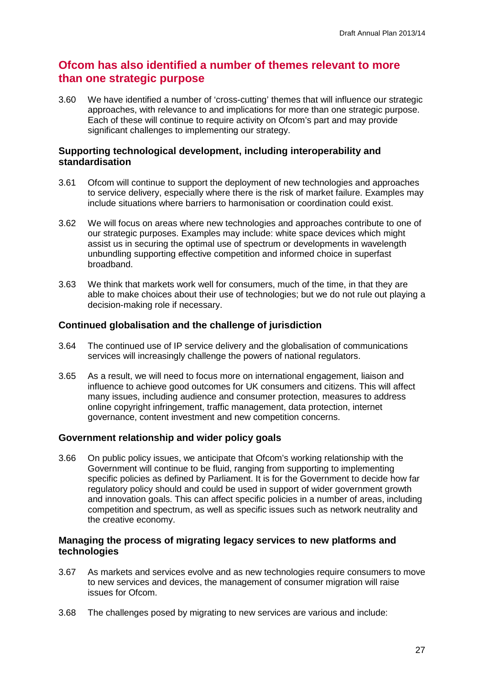# **Ofcom has also identified a number of themes relevant to more than one strategic purpose**

3.60 We have identified a number of 'cross-cutting' themes that will influence our strategic approaches, with relevance to and implications for more than one strategic purpose. Each of these will continue to require activity on Ofcom's part and may provide significant challenges to implementing our strategy.

## **Supporting technological development, including interoperability and standardisation**

- 3.61 Ofcom will continue to support the deployment of new technologies and approaches to service delivery, especially where there is the risk of market failure. Examples may include situations where barriers to harmonisation or coordination could exist.
- 3.62 We will focus on areas where new technologies and approaches contribute to one of our strategic purposes. Examples may include: white space devices which might assist us in securing the optimal use of spectrum or developments in wavelength unbundling supporting effective competition and informed choice in superfast broadband.
- 3.63 We think that markets work well for consumers, much of the time, in that they are able to make choices about their use of technologies; but we do not rule out playing a decision-making role if necessary.

## **Continued globalisation and the challenge of jurisdiction**

- 3.64 The continued use of IP service delivery and the globalisation of communications services will increasingly challenge the powers of national regulators.
- 3.65 As a result, we will need to focus more on international engagement, liaison and influence to achieve good outcomes for UK consumers and citizens. This will affect many issues, including audience and consumer protection, measures to address online copyright infringement, traffic management, data protection, internet governance, content investment and new competition concerns.

## **Government relationship and wider policy goals**

3.66 On public policy issues, we anticipate that Ofcom's working relationship with the Government will continue to be fluid, ranging from supporting to implementing specific policies as defined by Parliament. It is for the Government to decide how far regulatory policy should and could be used in support of wider government growth and innovation goals. This can affect specific policies in a number of areas, including competition and spectrum, as well as specific issues such as network neutrality and the creative economy.

## **Managing the process of migrating legacy services to new platforms and technologies**

- 3.67 As markets and services evolve and as new technologies require consumers to move to new services and devices, the management of consumer migration will raise issues for Ofcom.
- 3.68 The challenges posed by migrating to new services are various and include: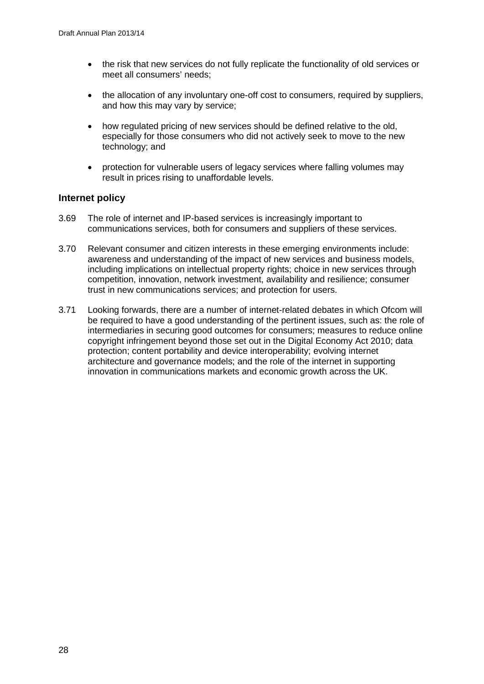- the risk that new services do not fully replicate the functionality of old services or meet all consumers' needs;
- the allocation of any involuntary one-off cost to consumers, required by suppliers, and how this may vary by service;
- how regulated pricing of new services should be defined relative to the old, especially for those consumers who did not actively seek to move to the new technology; and
- protection for vulnerable users of legacy services where falling volumes may result in prices rising to unaffordable levels.

## **Internet policy**

- 3.69 The role of internet and IP-based services is increasingly important to communications services, both for consumers and suppliers of these services.
- 3.70 Relevant consumer and citizen interests in these emerging environments include: awareness and understanding of the impact of new services and business models, including implications on intellectual property rights; choice in new services through competition, innovation, network investment, availability and resilience; consumer trust in new communications services; and protection for users.
- 3.71 Looking forwards, there are a number of internet-related debates in which Ofcom will be required to have a good understanding of the pertinent issues, such as: the role of intermediaries in securing good outcomes for consumers; measures to reduce online copyright infringement beyond those set out in the Digital Economy Act 2010; data protection; content portability and device interoperability; evolving internet architecture and governance models; and the role of the internet in supporting innovation in communications markets and economic growth across the UK.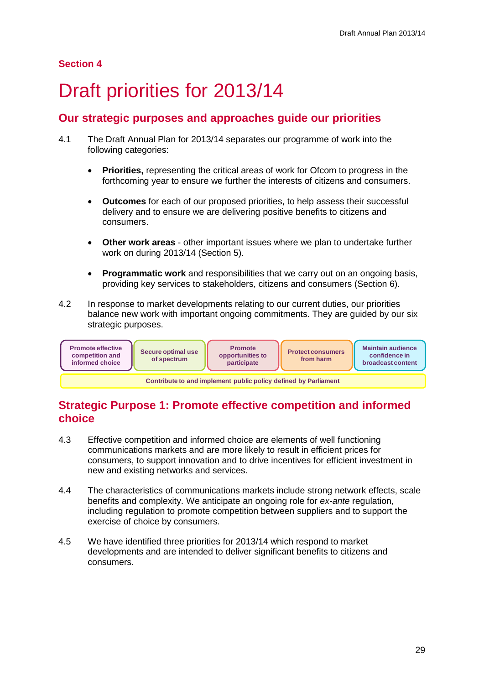# **Section 4**

# <span id="page-31-0"></span>Draft priorities for 2013/14

# **Our strategic purposes and approaches guide our priorities**

- 4.1 The Draft Annual Plan for 2013/14 separates our programme of work into the following categories:
	- **Priorities,** representing the critical areas of work for Ofcom to progress in the forthcoming year to ensure we further the interests of citizens and consumers.
	- **Outcomes** for each of our proposed priorities, to help assess their successful delivery and to ensure we are delivering positive benefits to citizens and consumers.
	- **Other work areas** other important issues where we plan to undertake further work on during 2013/14 (Section 5).
	- **Programmatic work** and responsibilities that we carry out on an ongoing basis, providing key services to stakeholders, citizens and consumers (Section 6).
- 4.2 In response to market developments relating to our current duties, our priorities balance new work with important ongoing commitments. They are guided by our six strategic purposes.



# **Strategic Purpose 1: Promote effective competition and informed choice**

- 4.3 Effective competition and informed choice are elements of well functioning communications markets and are more likely to result in efficient prices for consumers, to support innovation and to drive incentives for efficient investment in new and existing networks and services.
- 4.4 The characteristics of communications markets include strong network effects, scale benefits and complexity. We anticipate an ongoing role for *ex-ante* regulation, including regulation to promote competition between suppliers and to support the exercise of choice by consumers.
- 4.5 We have identified three priorities for 2013/14 which respond to market developments and are intended to deliver significant benefits to citizens and consumers.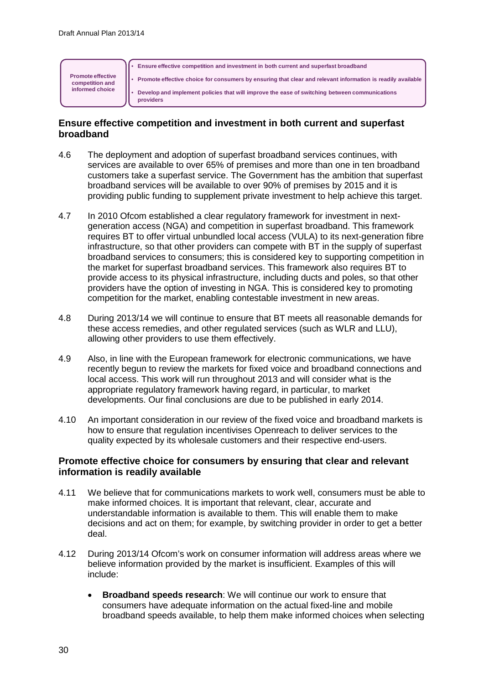

## **Ensure effective competition and investment in both current and superfast broadband**

- 4.6 The deployment and adoption of superfast broadband services continues, with services are available to over 65% of premises and more than one in ten broadband customers take a superfast service. The Government has the ambition that superfast broadband services will be available to over 90% of premises by 2015 and it is providing public funding to supplement private investment to help achieve this target.
- 4.7 In 2010 Ofcom established a clear regulatory framework for investment in nextgeneration access (NGA) and competition in superfast broadband. This framework requires BT to offer virtual unbundled local access (VULA) to its next-generation fibre infrastructure, so that other providers can compete with BT in the supply of superfast broadband services to consumers; this is considered key to supporting competition in the market for superfast broadband services. This framework also requires BT to provide access to its physical infrastructure, including ducts and poles, so that other providers have the option of investing in NGA. This is considered key to promoting competition for the market, enabling contestable investment in new areas.
- 4.8 During 2013/14 we will continue to ensure that BT meets all reasonable demands for these access remedies, and other regulated services (such as WLR and LLU), allowing other providers to use them effectively.
- 4.9 Also, in line with the European framework for electronic communications, we have recently begun to review the markets for fixed voice and broadband connections and local access. This work will run throughout 2013 and will consider what is the appropriate regulatory framework having regard, in particular, to market developments. Our final conclusions are due to be published in early 2014.
- 4.10 An important consideration in our review of the fixed voice and broadband markets is how to ensure that regulation incentivises Openreach to deliver services to the quality expected by its wholesale customers and their respective end-users.

## **Promote effective choice for consumers by ensuring that clear and relevant information is readily available**

- 4.11 We believe that for communications markets to work well, consumers must be able to make informed choices. It is important that relevant, clear, accurate and understandable information is available to them. This will enable them to make decisions and act on them; for example, by switching provider in order to get a better deal.
- 4.12 During 2013/14 Ofcom's work on consumer information will address areas where we believe information provided by the market is insufficient. Examples of this will include:
	- **Broadband speeds research**: We will continue our work to ensure that consumers have adequate information on the actual fixed-line and mobile broadband speeds available, to help them make informed choices when selecting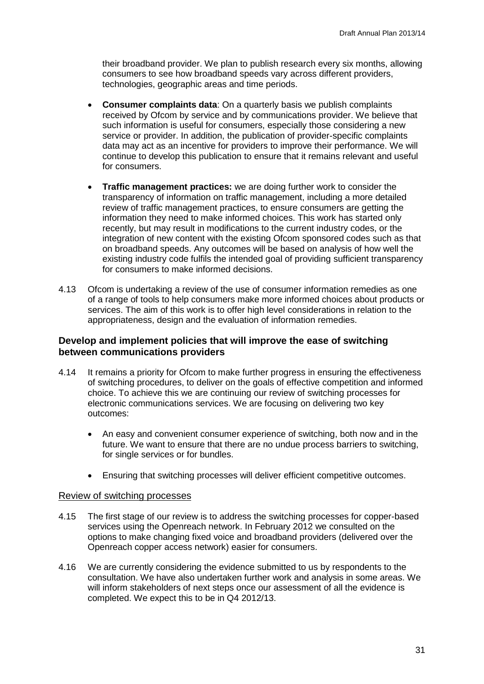their broadband provider. We plan to publish research every six months, allowing consumers to see how broadband speeds vary across different providers, technologies, geographic areas and time periods.

- **Consumer complaints data**: On a quarterly basis we publish complaints received by Ofcom by service and by communications provider. We believe that such information is useful for consumers, especially those considering a new service or provider. In addition, the publication of provider-specific complaints data may act as an incentive for providers to improve their performance. We will continue to develop this publication to ensure that it remains relevant and useful for consumers.
- **Traffic management practices:** we are doing further work to consider the transparency of information on traffic management, including a more detailed review of traffic management practices, to ensure consumers are getting the information they need to make informed choices. This work has started only recently, but may result in modifications to the current industry codes, or the integration of new content with the existing Ofcom sponsored codes such as that on broadband speeds. Any outcomes will be based on analysis of how well the existing industry code fulfils the intended goal of providing sufficient transparency for consumers to make informed decisions.
- 4.13 Ofcom is undertaking a review of the use of consumer information remedies as one of a range of tools to help consumers make more informed choices about products or services. The aim of this work is to offer high level considerations in relation to the appropriateness, design and the evaluation of information remedies.

## **Develop and implement policies that will improve the ease of switching between communications providers**

- 4.14 It remains a priority for Ofcom to make further progress in ensuring the effectiveness of switching procedures, to deliver on the goals of effective competition and informed choice. To achieve this we are continuing our review of switching processes for electronic communications services. We are focusing on delivering two key outcomes:
	- An easy and convenient consumer experience of switching, both now and in the future. We want to ensure that there are no undue process barriers to switching, for single services or for bundles.
	- Ensuring that switching processes will deliver efficient competitive outcomes.

#### Review of switching processes

- 4.15 The first stage of our review is to address the switching processes for copper-based services using the Openreach network. In February 2012 we consulted on the options to make changing fixed voice and broadband providers (delivered over the Openreach copper access network) easier for consumers.
- 4.16 We are currently considering the evidence submitted to us by respondents to the consultation. We have also undertaken further work and analysis in some areas. We will inform stakeholders of next steps once our assessment of all the evidence is completed. We expect this to be in Q4 2012/13.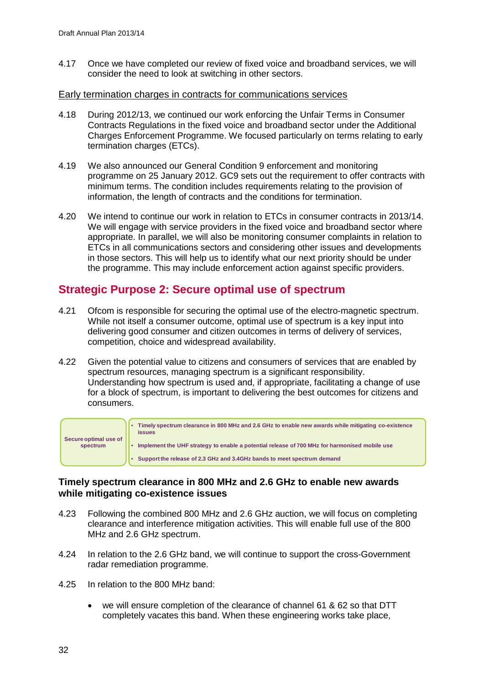4.17 Once we have completed our review of fixed voice and broadband services, we will consider the need to look at switching in other sectors.

#### Early termination charges in contracts for communications services

- 4.18 During 2012/13, we continued our work enforcing the Unfair Terms in Consumer Contracts Regulations in the fixed voice and broadband sector under the Additional Charges Enforcement Programme. We focused particularly on terms relating to early termination charges (ETCs).
- 4.19 We also announced our General Condition 9 enforcement and monitoring programme on 25 January 2012. GC9 sets out the requirement to offer contracts with minimum terms. The condition includes requirements relating to the provision of information, the length of contracts and the conditions for termination.
- 4.20 We intend to continue our work in relation to ETCs in consumer contracts in 2013/14. We will engage with service providers in the fixed voice and broadband sector where appropriate. In parallel, we will also be monitoring consumer complaints in relation to ETCs in all communications sectors and considering other issues and developments in those sectors. This will help us to identify what our next priority should be under the programme. This may include enforcement action against specific providers.

# **Strategic Purpose 2: Secure optimal use of spectrum**

- 4.21 Ofcom is responsible for securing the optimal use of the electro-magnetic spectrum. While not itself a consumer outcome, optimal use of spectrum is a key input into delivering good consumer and citizen outcomes in terms of delivery of services, competition, choice and widespread availability.
- 4.22 Given the potential value to citizens and consumers of services that are enabled by spectrum resources, managing spectrum is a significant responsibility. Understanding how spectrum is used and, if appropriate, facilitating a change of use for a block of spectrum, is important to delivering the best outcomes for citizens and consumers.



## **Timely spectrum clearance in 800 MHz and 2.6 GHz to enable new awards while mitigating co-existence issues**

- 4.23 Following the combined 800 MHz and 2.6 GHz auction, we will focus on completing clearance and interference mitigation activities. This will enable full use of the 800 MHz and 2.6 GHz spectrum.
- 4.24 In relation to the 2.6 GHz band, we will continue to support the cross-Government radar remediation programme.
- 4.25 In relation to the 800 MHz band:
	- we will ensure completion of the clearance of channel 61 & 62 so that DTT completely vacates this band. When these engineering works take place,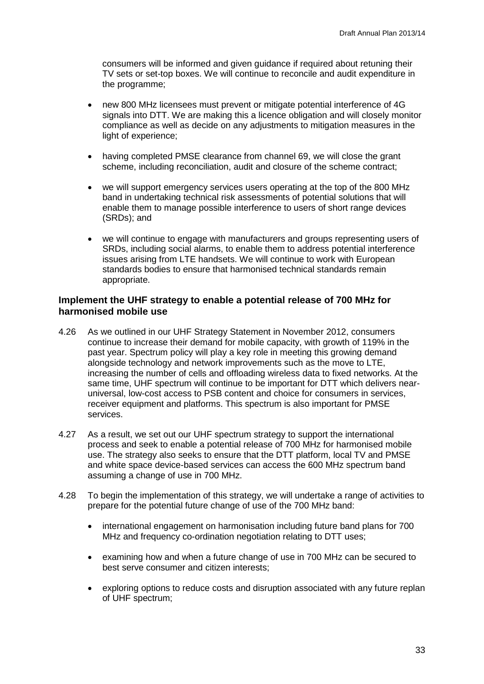consumers will be informed and given guidance if required about retuning their TV sets or set-top boxes. We will continue to reconcile and audit expenditure in the programme;

- new 800 MHz licensees must prevent or mitigate potential interference of 4G signals into DTT. We are making this a licence obligation and will closely monitor compliance as well as decide on any adjustments to mitigation measures in the light of experience;
- having completed PMSE clearance from channel 69, we will close the grant scheme, including reconciliation, audit and closure of the scheme contract;
- we will support emergency services users operating at the top of the 800 MHz band in undertaking technical risk assessments of potential solutions that will enable them to manage possible interference to users of short range devices (SRDs); and
- we will continue to engage with manufacturers and groups representing users of SRDs, including social alarms, to enable them to address potential interference issues arising from LTE handsets. We will continue to work with European standards bodies to ensure that harmonised technical standards remain appropriate.

## **Implement the UHF strategy to enable a potential release of 700 MHz for harmonised mobile use**

- 4.26 As we outlined in our UHF Strategy Statement in November 2012, consumers continue to increase their demand for mobile capacity, with growth of 119% in the past year. Spectrum policy will play a key role in meeting this growing demand alongside technology and network improvements such as the move to LTE, increasing the number of cells and offloading wireless data to fixed networks. At the same time, UHF spectrum will continue to be important for DTT which delivers nearuniversal, low-cost access to PSB content and choice for consumers in services, receiver equipment and platforms. This spectrum is also important for PMSE services.
- 4.27 As a result, we set out our UHF spectrum strategy to support the international process and seek to enable a potential release of 700 MHz for harmonised mobile use. The strategy also seeks to ensure that the DTT platform, local TV and PMSE and white space device-based services can access the 600 MHz spectrum band assuming a change of use in 700 MHz.
- 4.28 To begin the implementation of this strategy, we will undertake a range of activities to prepare for the potential future change of use of the 700 MHz band:
	- international engagement on harmonisation including future band plans for 700 MHz and frequency co-ordination negotiation relating to DTT uses;
	- examining how and when a future change of use in 700 MHz can be secured to best serve consumer and citizen interests;
	- exploring options to reduce costs and disruption associated with any future replan of UHF spectrum;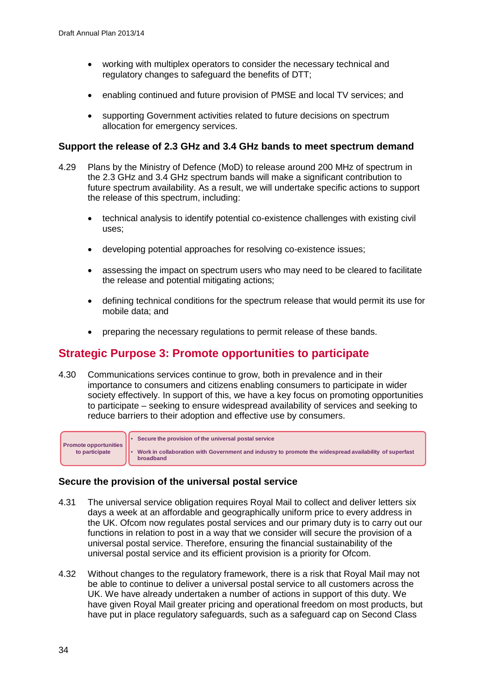- working with multiplex operators to consider the necessary technical and regulatory changes to safeguard the benefits of DTT;
- enabling continued and future provision of PMSE and local TV services; and
- supporting Government activities related to future decisions on spectrum allocation for emergency services.

#### **Support the release of 2.3 GHz and 3.4 GHz bands to meet spectrum demand**

- 4.29 Plans by the Ministry of Defence (MoD) to release around 200 MHz of spectrum in the 2.3 GHz and 3.4 GHz spectrum bands will make a significant contribution to future spectrum availability. As a result, we will undertake specific actions to support the release of this spectrum, including:
	- technical analysis to identify potential co-existence challenges with existing civil uses;
	- developing potential approaches for resolving co-existence issues;
	- assessing the impact on spectrum users who may need to be cleared to facilitate the release and potential mitigating actions;
	- defining technical conditions for the spectrum release that would permit its use for mobile data; and
	- preparing the necessary regulations to permit release of these bands.

## **Strategic Purpose 3: Promote opportunities to participate**

4.30 Communications services continue to grow, both in prevalence and in their importance to consumers and citizens enabling consumers to participate in wider society effectively. In support of this, we have a key focus on promoting opportunities to participate – seeking to ensure widespread availability of services and seeking to reduce barriers to their adoption and effective use by consumers.



## **Secure the provision of the universal postal service**

- 4.31 The universal service obligation requires Royal Mail to collect and deliver letters six days a week at an affordable and geographically uniform price to every address in the UK. Ofcom now regulates postal services and our primary duty is to carry out our functions in relation to post in a way that we consider will secure the provision of a universal postal service. Therefore, ensuring the financial sustainability of the universal postal service and its efficient provision is a priority for Ofcom.
- 4.32 Without changes to the regulatory framework, there is a risk that Royal Mail may not be able to continue to deliver a universal postal service to all customers across the UK. We have already undertaken a number of actions in support of this duty. We have given Royal Mail greater pricing and operational freedom on most products, but have put in place regulatory safeguards, such as a safeguard cap on Second Class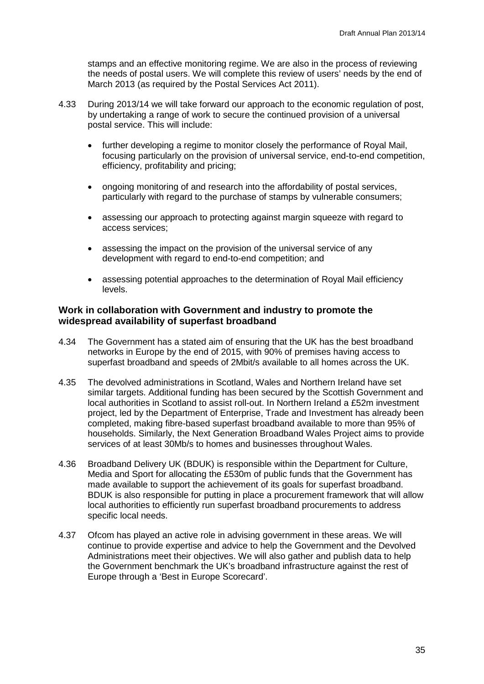stamps and an effective monitoring regime. We are also in the process of reviewing the needs of postal users. We will complete this review of users' needs by the end of March 2013 (as required by the Postal Services Act 2011).

- 4.33 During 2013/14 we will take forward our approach to the economic regulation of post, by undertaking a range of work to secure the continued provision of a universal postal service. This will include:
	- further developing a regime to monitor closely the performance of Royal Mail, focusing particularly on the provision of universal service, end-to-end competition, efficiency, profitability and pricing;
	- ongoing monitoring of and research into the affordability of postal services, particularly with regard to the purchase of stamps by vulnerable consumers;
	- assessing our approach to protecting against margin squeeze with regard to access services;
	- assessing the impact on the provision of the universal service of any development with regard to end-to-end competition; and
	- assessing potential approaches to the determination of Royal Mail efficiency levels.

#### **Work in collaboration with Government and industry to promote the widespread availability of superfast broadband**

- 4.34 The Government has a stated aim of ensuring that the UK has the best broadband networks in Europe by the end of 2015, with 90% of premises having access to superfast broadband and speeds of 2Mbit/s available to all homes across the UK.
- 4.35 The devolved administrations in Scotland, Wales and Northern Ireland have set similar targets. Additional funding has been secured by the Scottish Government and local authorities in Scotland to assist roll-out. In Northern Ireland a £52m investment project, led by the Department of Enterprise, Trade and Investment has already been completed, making fibre-based superfast broadband available to more than 95% of households. Similarly, the Next Generation Broadband Wales Project aims to provide services of at least 30Mb/s to homes and businesses throughout Wales.
- 4.36 Broadband Delivery UK (BDUK) is responsible within the Department for Culture, Media and Sport for allocating the £530m of public funds that the Government has made available to support the achievement of its goals for superfast broadband. BDUK is also responsible for putting in place a procurement framework that will allow local authorities to efficiently run superfast broadband procurements to address specific local needs.
- 4.37 Ofcom has played an active role in advising government in these areas. We will continue to provide expertise and advice to help the Government and the Devolved Administrations meet their objectives. We will also gather and publish data to help the Government benchmark the UK's broadband infrastructure against the rest of Europe through a 'Best in Europe Scorecard'.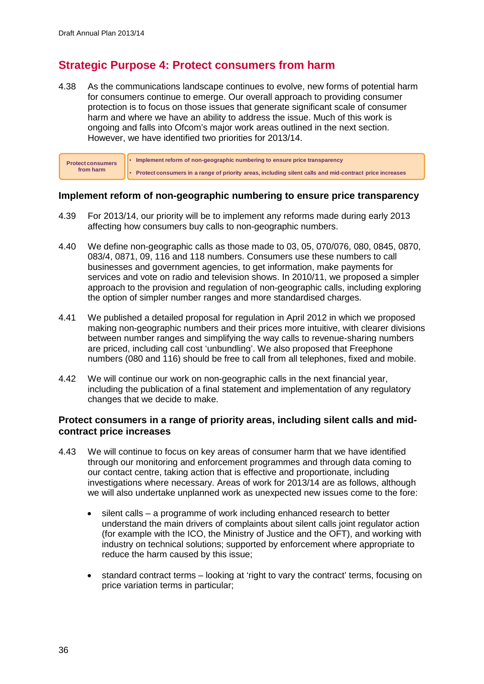# **Strategic Purpose 4: Protect consumers from harm**

4.38 As the communications landscape continues to evolve, new forms of potential harm for consumers continue to emerge. Our overall approach to providing consumer protection is to focus on those issues that generate significant scale of consumer harm and where we have an ability to address the issue. Much of this work is ongoing and falls into Ofcom's major work areas outlined in the next section. However, we have identified two priorities for 2013/14.

| <b>Protect consumers</b> | I • Implement reform of non-geographic numbering to ensure price transparency                           |
|--------------------------|---------------------------------------------------------------------------------------------------------|
| from harm                | Protect consumers in a range of priority areas, including silent calls and mid-contract price increases |

## **Implement reform of non-geographic numbering to ensure price transparency**

- 4.39 For 2013/14, our priority will be to implement any reforms made during early 2013 affecting how consumers buy calls to non-geographic numbers.
- 4.40 We define non-geographic calls as those made to 03, 05, 070/076, 080, 0845, 0870, 083/4, 0871, 09, 116 and 118 numbers. Consumers use these numbers to call businesses and government agencies, to get information, make payments for services and vote on radio and television shows. In 2010/11, we proposed a simpler approach to the provision and regulation of non-geographic calls, including exploring the option of simpler number ranges and more standardised charges.
- 4.41 We published a detailed proposal for regulation in April 2012 in which we proposed making non-geographic numbers and their prices more intuitive, with clearer divisions between number ranges and simplifying the way calls to revenue-sharing numbers are priced, including call cost 'unbundling'. We also proposed that Freephone numbers (080 and 116) should be free to call from all telephones, fixed and mobile.
- 4.42 We will continue our work on non-geographic calls in the next financial year, including the publication of a final statement and implementation of any regulatory changes that we decide to make.

## **Protect consumers in a range of priority areas, including silent calls and midcontract price increases**

- 4.43 We will continue to focus on key areas of consumer harm that we have identified through our monitoring and enforcement programmes and through data coming to our contact centre, taking action that is effective and proportionate, including investigations where necessary. Areas of work for 2013/14 are as follows, although we will also undertake unplanned work as unexpected new issues come to the fore:
	- silent calls a programme of work including enhanced research to better understand the main drivers of complaints about silent calls joint regulator action (for example with the ICO, the Ministry of Justice and the OFT), and working with industry on technical solutions; supported by enforcement where appropriate to reduce the harm caused by this issue;
	- standard contract terms looking at 'right to vary the contract' terms, focusing on price variation terms in particular;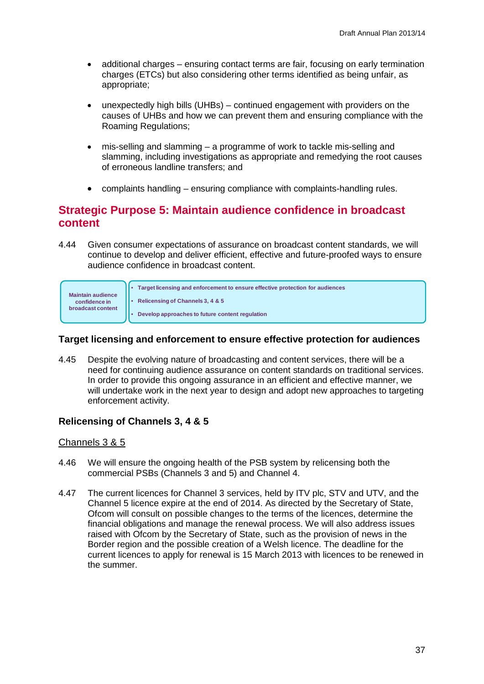- additional charges ensuring contact terms are fair, focusing on early termination charges (ETCs) but also considering other terms identified as being unfair, as appropriate;
- unexpectedly high bills (UHBs) continued engagement with providers on the causes of UHBs and how we can prevent them and ensuring compliance with the Roaming Regulations;
- mis-selling and slamming a programme of work to tackle mis-selling and slamming, including investigations as appropriate and remedying the root causes of erroneous landline transfers; and
- complaints handling ensuring compliance with complaints-handling rules.

## **Strategic Purpose 5: Maintain audience confidence in broadcast content**

4.44 Given consumer expectations of assurance on broadcast content standards, we will continue to develop and deliver efficient, effective and future-proofed ways to ensure audience confidence in broadcast content.



## **Target licensing and enforcement to ensure effective protection for audiences**

4.45 Despite the evolving nature of broadcasting and content services, there will be a need for continuing audience assurance on content standards on traditional services. In order to provide this ongoing assurance in an efficient and effective manner, we will undertake work in the next year to design and adopt new approaches to targeting enforcement activity.

## **Relicensing of Channels 3, 4 & 5**

## Channels 3 & 5

- 4.46 We will ensure the ongoing health of the PSB system by relicensing both the commercial PSBs (Channels 3 and 5) and Channel 4.
- 4.47 The current licences for Channel 3 services, held by ITV plc, STV and UTV, and the Channel 5 licence expire at the end of 2014. As directed by the Secretary of State, Ofcom will consult on possible changes to the terms of the licences, determine the financial obligations and manage the renewal process. We will also address issues raised with Ofcom by the Secretary of State, such as the provision of news in the Border region and the possible creation of a Welsh licence. The deadline for the current licences to apply for renewal is 15 March 2013 with licences to be renewed in the summer.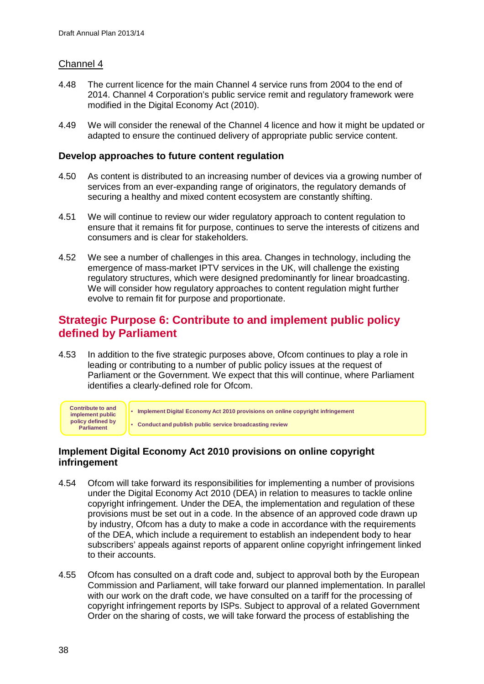## Channel 4

- 4.48 The current licence for the main Channel 4 service runs from 2004 to the end of 2014. Channel 4 Corporation's public service remit and regulatory framework were modified in the Digital Economy Act (2010).
- 4.49 We will consider the renewal of the Channel 4 licence and how it might be updated or adapted to ensure the continued delivery of appropriate public service content.

#### **Develop approaches to future content regulation**

- 4.50 As content is distributed to an increasing number of devices via a growing number of services from an ever-expanding range of originators, the regulatory demands of securing a healthy and mixed content ecosystem are constantly shifting.
- 4.51 We will continue to review our wider regulatory approach to content regulation to ensure that it remains fit for purpose, continues to serve the interests of citizens and consumers and is clear for stakeholders.
- 4.52 We see a number of challenges in this area. Changes in technology, including the emergence of mass-market IPTV services in the UK, will challenge the existing regulatory structures, which were designed predominantly for linear broadcasting. We will consider how regulatory approaches to content regulation might further evolve to remain fit for purpose and proportionate.

## **Strategic Purpose 6: Contribute to and implement public policy defined by Parliament**

4.53 In addition to the five strategic purposes above, Ofcom continues to play a role in leading or contributing to a number of public policy issues at the request of Parliament or the Government. We expect that this will continue, where Parliament identifies a clearly-defined role for Ofcom.



## **Implement Digital Economy Act 2010 provisions on online copyright infringement**

- 4.54 Ofcom will take forward its responsibilities for implementing a number of provisions under the Digital Economy Act 2010 (DEA) in relation to measures to tackle online copyright infringement. Under the DEA, the implementation and regulation of these provisions must be set out in a code. In the absence of an approved code drawn up by industry, Ofcom has a duty to make a code in accordance with the requirements of the DEA, which include a requirement to establish an independent body to hear subscribers' appeals against reports of apparent online copyright infringement linked to their accounts.
- 4.55 Ofcom has consulted on a draft code and, subject to approval both by the European Commission and Parliament, will take forward our planned implementation. In parallel with our work on the draft code, we have consulted on a tariff for the processing of copyright infringement reports by ISPs. Subject to approval of a related Government Order on the sharing of costs, we will take forward the process of establishing the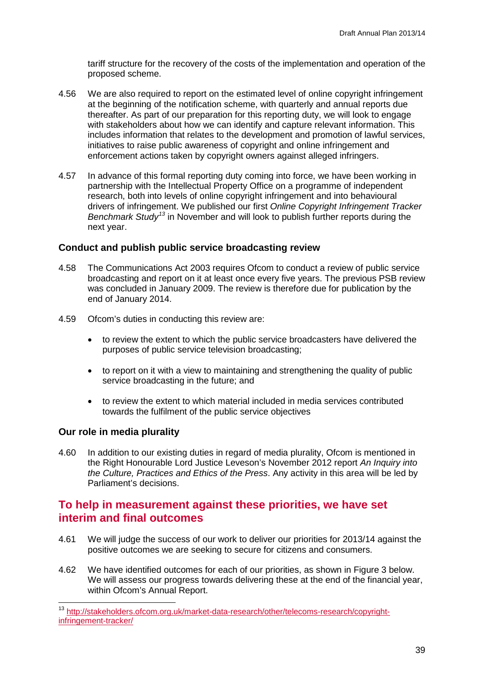tariff structure for the recovery of the costs of the implementation and operation of the proposed scheme.

- 4.56 We are also required to report on the estimated level of online copyright infringement at the beginning of the notification scheme, with quarterly and annual reports due thereafter. As part of our preparation for this reporting duty, we will look to engage with stakeholders about how we can identify and capture relevant information. This includes information that relates to the development and promotion of lawful services, initiatives to raise public awareness of copyright and online infringement and enforcement actions taken by copyright owners against alleged infringers.
- 4.57 In advance of this formal reporting duty coming into force, we have been working in partnership with the Intellectual Property Office on a programme of independent research, both into levels of online copyright infringement and into behavioural drivers of infringement. We published our first *Online Copyright Infringement Tracker Benchmark Study[13](#page-41-0)* in November and will look to publish further reports during the next year.

## **Conduct and publish public service broadcasting review**

- 4.58 The Communications Act 2003 requires Ofcom to conduct a review of public service broadcasting and report on it at least once every five years. The previous PSB review was concluded in January 2009. The review is therefore due for publication by the end of January 2014.
- 4.59 Ofcom's duties in conducting this review are:
	- to review the extent to which the public service broadcasters have delivered the purposes of public service television broadcasting;
	- to report on it with a view to maintaining and strengthening the quality of public service broadcasting in the future; and
	- to review the extent to which material included in media services contributed towards the fulfilment of the public service objectives

## **Our role in media plurality**

4.60 In addition to our existing duties in regard of media plurality, Ofcom is mentioned in the Right Honourable Lord Justice Leveson's November 2012 report *An Inquiry into the Culture, Practices and Ethics of the Press*. Any activity in this area will be led by Parliament's decisions.

## **To help in measurement against these priorities, we have set interim and final outcomes**

- 4.61 We will judge the success of our work to deliver our priorities for 2013/14 against the positive outcomes we are seeking to secure for citizens and consumers.
- 4.62 We have identified outcomes for each of our priorities, as shown in Figure 3 below. We will assess our progress towards delivering these at the end of the financial year, within Ofcom's Annual Report.

<span id="page-41-0"></span> <sup>13</sup> [http://stakeholders.ofcom.org.uk/market-data-research/other/telecoms-research/copyright](http://stakeholders.ofcom.org.uk/market-data-research/other/telecoms-research/copyright-infringement-tracker/)[infringement-tracker/](http://stakeholders.ofcom.org.uk/market-data-research/other/telecoms-research/copyright-infringement-tracker/)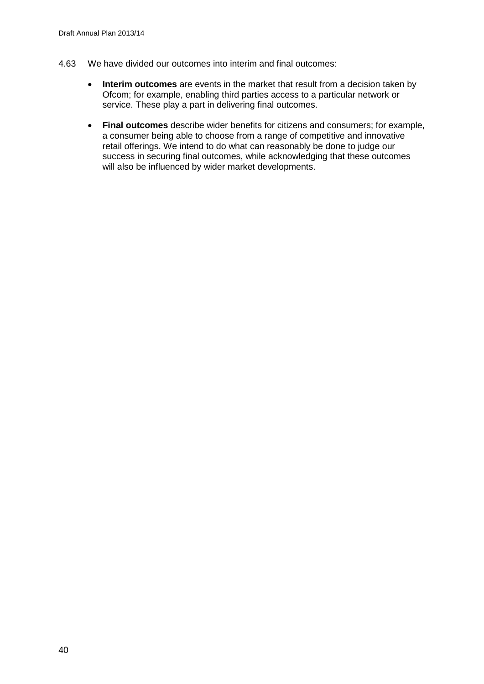- 4.63 We have divided our outcomes into interim and final outcomes:
	- **Interim outcomes** are events in the market that result from a decision taken by Ofcom; for example, enabling third parties access to a particular network or service. These play a part in delivering final outcomes.
	- **Final outcomes** describe wider benefits for citizens and consumers; for example, a consumer being able to choose from a range of competitive and innovative retail offerings. We intend to do what can reasonably be done to judge our success in securing final outcomes, while acknowledging that these outcomes will also be influenced by wider market developments.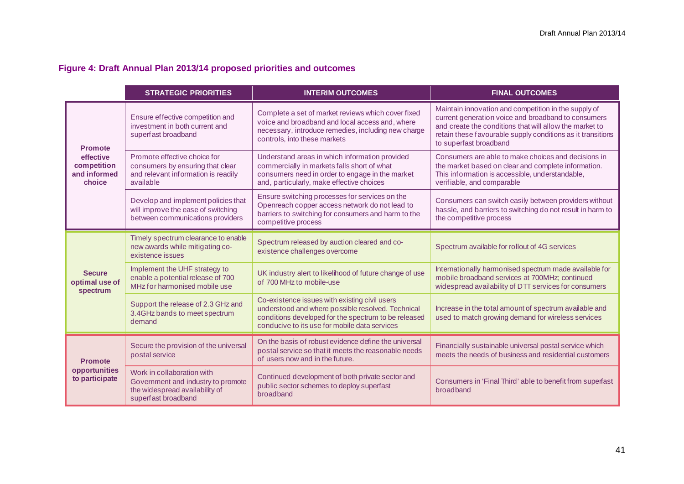## **Figure 4: Draft Annual Plan 2013/14 proposed priorities and outcomes**

|                                                                      | <b>STRATEGIC PRIORITIES</b>                                                                                               | <b>INTERIM OUTCOMES</b>                                                                                                                                                                                     | <b>FINAL OUTCOMES</b>                                                                                                                                                                                                                                           |
|----------------------------------------------------------------------|---------------------------------------------------------------------------------------------------------------------------|-------------------------------------------------------------------------------------------------------------------------------------------------------------------------------------------------------------|-----------------------------------------------------------------------------------------------------------------------------------------------------------------------------------------------------------------------------------------------------------------|
| <b>Promote</b><br>effective<br>competition<br>and informed<br>choice | Ensure effective competition and<br>investment in both current and<br>superfast broadband                                 | Complete a set of market reviews which cover fixed<br>voice and broadband and local access and, where<br>necessary, introduce remedies, including new charge<br>controls, into these markets                | Maintain innovation and competition in the supply of<br>current generation voice and broadband to consumers<br>and create the conditions that will allow the market to<br>retain these favourable supply conditions as it transitions<br>to superfast broadband |
|                                                                      | Promote effective choice for<br>consumers by ensuring that clear<br>and relevant information is readily<br>available      | Understand areas in which information provided<br>commercially in markets falls short of what<br>consumers need in order to engage in the market<br>and, particularly, make effective choices               | Consumers are able to make choices and decisions in<br>the market based on clear and complete information.<br>This information is accessible, understandable,<br>verifiable, and comparable                                                                     |
|                                                                      | Develop and implement policies that<br>will improve the ease of switching<br>between communications providers             | Ensure switching processes for services on the<br>Openreach copper access network do not lead to<br>barriers to switching for consumers and harm to the<br>competitive process                              | Consumers can switch easily between providers without<br>hassle, and barriers to switching do not result in harm to<br>the competitive process                                                                                                                  |
| <b>Secure</b><br>optimal use of<br>spectrum                          | Timely spectrum clearance to enable<br>new awards while mitigating co-<br>existence issues                                | Spectrum released by auction cleared and co-<br>existence challenges overcome                                                                                                                               | Spectrum available for rollout of 4G services                                                                                                                                                                                                                   |
|                                                                      | Implement the UHF strategy to<br>enable a potential release of 700<br>MHz for harmonised mobile use                       | UK industry alert to likelihood of future change of use<br>of 700 MHz to mobile-use                                                                                                                         | Internationally harmonised spectrum made available for<br>mobile broadband services at 700MHz; continued<br>widespread availability of DTT services for consumers                                                                                               |
|                                                                      | Support the release of 2.3 GHz and<br>3.4GHz bands to meet spectrum<br>demand                                             | Co-existence issues with existing civil users<br>understood and where possible resolved. Technical<br>conditions developed for the spectrum to be released<br>conducive to its use for mobile data services | Increase in the total amount of spectrum available and<br>used to match growing demand for wireless services                                                                                                                                                    |
| <b>Promote</b><br>opportunities<br>to participate                    | Secure the provision of the universal<br>postal service                                                                   | On the basis of robust evidence define the universal<br>postal service so that it meets the reasonable needs<br>of users now and in the future.                                                             | Financially sustainable universal postal service which<br>meets the needs of business and residential customers                                                                                                                                                 |
|                                                                      | Work in collaboration with<br>Government and industry to promote<br>the widespread availability of<br>superfast broadband | Continued development of both private sector and<br>public sector schemes to deploy superfast<br>broadband                                                                                                  | Consumers in 'Final Third' able to benefit from superfast<br>broadband                                                                                                                                                                                          |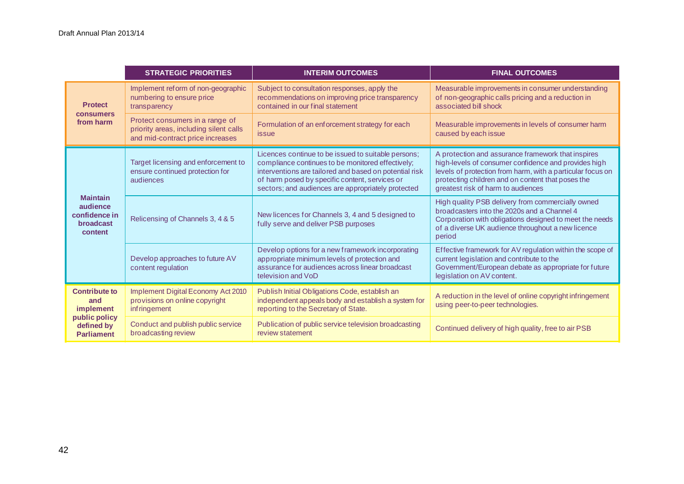|                                                                                              | <b>STRATEGIC PRIORITIES</b>                                                                                   | <b>INTERIM OUTCOMES</b>                                                                                                                                                                                                                                                    | <b>FINAL OUTCOMES</b>                                                                                                                                                                                                                                               |
|----------------------------------------------------------------------------------------------|---------------------------------------------------------------------------------------------------------------|----------------------------------------------------------------------------------------------------------------------------------------------------------------------------------------------------------------------------------------------------------------------------|---------------------------------------------------------------------------------------------------------------------------------------------------------------------------------------------------------------------------------------------------------------------|
| <b>Protect</b><br><b>consumers</b><br>from harm                                              | Implement reform of non-geographic<br>numbering to ensure price<br>transparency                               | Subject to consultation responses, apply the<br>recommendations on improving price transparency<br>contained in our final statement                                                                                                                                        | Measurable improvements in consumer understanding<br>of non-geographic calls pricing and a reduction in<br>associated bill shock                                                                                                                                    |
|                                                                                              | Protect consumers in a range of<br>priority areas, including silent calls<br>and mid-contract price increases | Formulation of an enforcement strategy for each<br>issue                                                                                                                                                                                                                   | Measurable improvements in levels of consumer harm<br>caused by each issue                                                                                                                                                                                          |
| <b>Maintain</b><br>audience<br>confidence in<br><b>broadcast</b><br>content                  | Target licensing and enforcement to<br>ensure continued protection for<br>audiences                           | Licences continue to be issued to suitable persons;<br>compliance continues to be monitored effectively;<br>interventions are tailored and based on potential risk<br>of harm posed by specific content, services or<br>sectors; and audiences are appropriately protected | A protection and assurance framework that inspires<br>high-levels of consumer confidence and provides high<br>levels of protection from harm, with a particular focus on<br>protecting children and on content that poses the<br>greatest risk of harm to audiences |
|                                                                                              | Relicensing of Channels 3, 4 & 5                                                                              | New licences for Channels 3, 4 and 5 designed to<br>fully serve and deliver PSB purposes                                                                                                                                                                                   | High quality PSB delivery from commercially owned<br>broadcasters into the 2020s and a Channel 4<br>Corporation with obligations designed to meet the needs<br>of a diverse UK audience throughout a new licence<br>period                                          |
|                                                                                              | Develop approaches to future AV<br>content regulation                                                         | Develop options for a new framework incorporating<br>appropriate minimum levels of protection and<br>assurance for audiences across linear broadcast<br>television and VoD                                                                                                 | Effective framework for AV regulation within the scope of<br>current legislation and contribute to the<br>Government/European debate as appropriate for future<br>legislation on AV content.                                                                        |
| <b>Contribute to</b><br>and<br>implement<br>public policy<br>defined by<br><b>Parliament</b> | Implement Digital Economy Act 2010<br>provisions on online copyright<br>inf ringement                         | Publish Initial Obligations Code, establish an<br>independent appeals body and establish a system for<br>reporting to the Secretary of State.                                                                                                                              | A reduction in the level of online copyright infringement<br>using peer-to-peer technologies.                                                                                                                                                                       |
|                                                                                              | Conduct and publish public service<br>broadcasting review                                                     | Publication of public service television broadcasting<br>review statement                                                                                                                                                                                                  | Continued delivery of high quality, free to air PSB                                                                                                                                                                                                                 |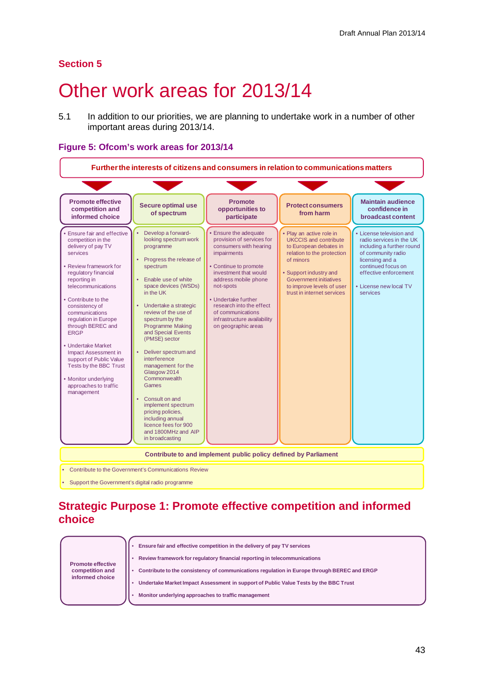## **Section 5**

# 5 Other work areas for 2013/14

5.1 In addition to our priorities, we are planning to undertake work in a number of other important areas during 2013/14.

#### **Figure 5: Ofcom's work areas for 2013/14**



# **Strategic Purpose 1: Promote effective competition and informed choice**

|                                             | Ensure fair and effective competition in the delivery of pay TV services                    |
|---------------------------------------------|---------------------------------------------------------------------------------------------|
|                                             | Review framework for regulatory financial reporting in telecommunications                   |
| <b>Promote effective</b><br>competition and | Contribute to the consistency of communications regulation in Europe through BEREC and ERGP |
| informed choice                             | Undertake Market Impact Assessment in support of Public Value Tests by the BBC Trust        |
|                                             | Monitor underlying approaches to traffic management                                         |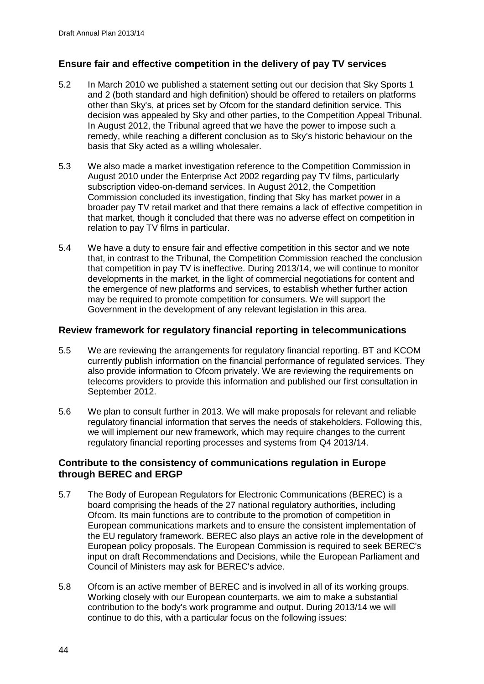## **Ensure fair and effective competition in the delivery of pay TV services**

- 5.2 In March 2010 we published a statement setting out our decision that Sky Sports 1 and 2 (both standard and high definition) should be offered to retailers on platforms other than Sky's, at prices set by Ofcom for the standard definition service. This decision was appealed by Sky and other parties, to the Competition Appeal Tribunal. In August 2012, the Tribunal agreed that we have the power to impose such a remedy, while reaching a different conclusion as to Sky's historic behaviour on the basis that Sky acted as a willing wholesaler.
- 5.3 We also made a market investigation reference to the Competition Commission in August 2010 under the Enterprise Act 2002 regarding pay TV films, particularly subscription video-on-demand services. In August 2012, the Competition Commission concluded its investigation, finding that Sky has market power in a broader pay TV retail market and that there remains a lack of effective competition in that market, though it concluded that there was no adverse effect on competition in relation to pay TV films in particular.
- 5.4 We have a duty to ensure fair and effective competition in this sector and we note that, in contrast to the Tribunal, the Competition Commission reached the conclusion that competition in pay TV is ineffective. During 2013/14, we will continue to monitor developments in the market, in the light of commercial negotiations for content and the emergence of new platforms and services, to establish whether further action may be required to promote competition for consumers. We will support the Government in the development of any relevant legislation in this area.

## **Review framework for regulatory financial reporting in telecommunications**

- 5.5 We are reviewing the arrangements for regulatory financial reporting. BT and KCOM currently publish information on the financial performance of regulated services. They also provide information to Ofcom privately. We are reviewing the requirements on telecoms providers to provide this information and published our first consultation in September 2012.
- 5.6 We plan to consult further in 2013. We will make proposals for relevant and reliable regulatory financial information that serves the needs of stakeholders. Following this, we will implement our new framework, which may require changes to the current regulatory financial reporting processes and systems from Q4 2013/14.

## **Contribute to the consistency of communications regulation in Europe through BEREC and ERGP**

- 5.7 The Body of European Regulators for Electronic Communications (BEREC) is a board comprising the heads of the 27 national regulatory authorities, including Ofcom. Its main functions are to contribute to the promotion of competition in European communications markets and to ensure the consistent implementation of the EU regulatory framework. BEREC also plays an active role in the development of European policy proposals. The European Commission is required to seek BEREC's input on draft Recommendations and Decisions, while the European Parliament and Council of Ministers may ask for BEREC's advice.
- 5.8 Ofcom is an active member of BEREC and is involved in all of its working groups. Working closely with our European counterparts, we aim to make a substantial contribution to the body's work programme and output. During 2013/14 we will continue to do this, with a particular focus on the following issues: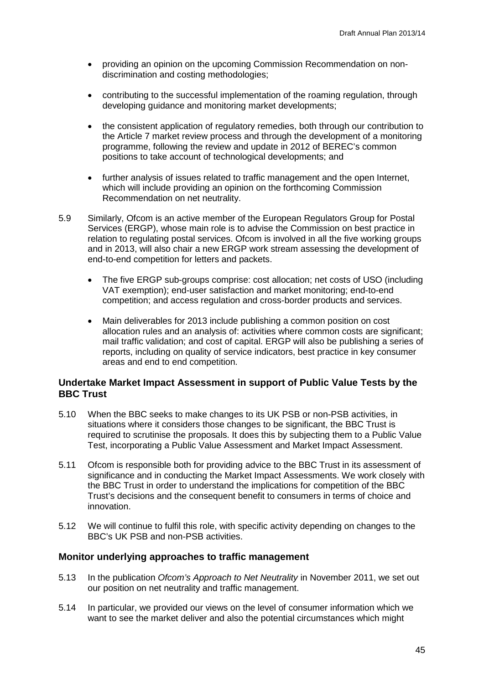- providing an opinion on the upcoming Commission Recommendation on nondiscrimination and costing methodologies;
- contributing to the successful implementation of the roaming regulation, through developing guidance and monitoring market developments;
- the consistent application of regulatory remedies, both through our contribution to the Article 7 market review process and through the development of a monitoring programme, following the review and update in 2012 of BEREC's common positions to take account of technological developments; and
- further analysis of issues related to traffic management and the open Internet, which will include providing an opinion on the forthcoming Commission Recommendation on net neutrality.
- 5.9 Similarly, Ofcom is an active member of the European Regulators Group for Postal Services (ERGP), whose main role is to advise the Commission on best practice in relation to regulating postal services. Ofcom is involved in all the five working groups and in 2013, will also chair a new ERGP work stream assessing the development of end-to-end competition for letters and packets.
	- The five ERGP sub-groups comprise: cost allocation; net costs of USO (including VAT exemption); end-user satisfaction and market monitoring; end-to-end competition; and access regulation and cross-border products and services.
	- Main deliverables for 2013 include publishing a common position on cost allocation rules and an analysis of: activities where common costs are significant; mail traffic validation; and cost of capital. ERGP will also be publishing a series of reports, including on quality of service indicators, best practice in key consumer areas and end to end competition.

## **Undertake Market Impact Assessment in support of Public Value Tests by the BBC Trust**

- 5.10 When the BBC seeks to make changes to its UK PSB or non-PSB activities, in situations where it considers those changes to be significant, the BBC Trust is required to scrutinise the proposals. It does this by subjecting them to a Public Value Test, incorporating a Public Value Assessment and Market Impact Assessment.
- 5.11 Ofcom is responsible both for providing advice to the BBC Trust in its assessment of significance and in conducting the Market Impact Assessments. We work closely with the BBC Trust in order to understand the implications for competition of the BBC Trust's decisions and the consequent benefit to consumers in terms of choice and innovation.
- 5.12 We will continue to fulfil this role, with specific activity depending on changes to the BBC's UK PSB and non-PSB activities.

## **Monitor underlying approaches to traffic management**

- 5.13 In the publication *Ofcom's Approach to Net Neutrality* in November 2011, we set out our position on net neutrality and traffic management.
- 5.14 In particular, we provided our views on the level of consumer information which we want to see the market deliver and also the potential circumstances which might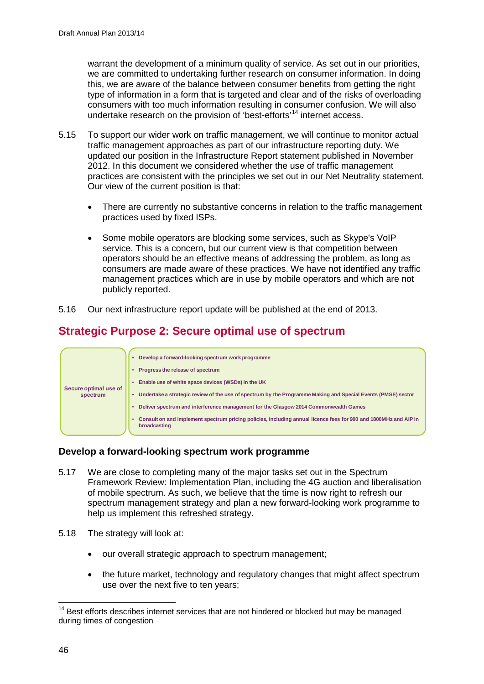warrant the development of a minimum quality of service. As set out in our priorities, we are committed to undertaking further research on consumer information. In doing this, we are aware of the balance between consumer benefits from getting the right type of information in a form that is targeted and clear and of the risks of overloading consumers with too much information resulting in consumer confusion. We will also undertake research on the provision of 'best-efforts'[14](#page-48-0) internet access.

- 5.15 To support our wider work on traffic management, we will continue to monitor actual traffic management approaches as part of our infrastructure reporting duty. We updated our position in the Infrastructure Report statement published in November 2012. In this document we considered whether the use of traffic management practices are consistent with the principles we set out in our Net Neutrality statement. Our view of the current position is that:
	- There are currently no substantive concerns in relation to the traffic management practices used by fixed ISPs.
	- Some mobile operators are blocking some services, such as Skype's VoIP service. This is a concern, but our current view is that competition between operators should be an effective means of addressing the problem, as long as consumers are made aware of these practices. We have not identified any traffic management practices which are in use by mobile operators and which are not publicly reported.
- 5.16 Our next infrastructure report update will be published at the end of 2013.

# **Strategic Purpose 2: Secure optimal use of spectrum**



## **Develop a forward-looking spectrum work programme**

- 5.17 We are close to completing many of the major tasks set out in the Spectrum Framework Review: Implementation Plan, including the 4G auction and liberalisation of mobile spectrum. As such, we believe that the time is now right to refresh our spectrum management strategy and plan a new forward-looking work programme to help us implement this refreshed strategy.
- 5.18 The strategy will look at:
	- our overall strategic approach to spectrum management:
	- the future market, technology and regulatory changes that might affect spectrum use over the next five to ten years;

<span id="page-48-0"></span><sup>&</sup>lt;sup>14</sup> Best efforts describes internet services that are not hindered or blocked but may be managed during times of congestion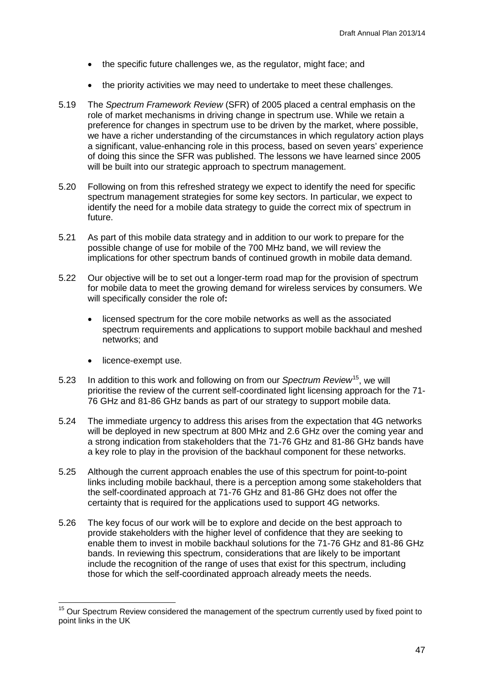- the specific future challenges we, as the regulator, might face; and
- the priority activities we may need to undertake to meet these challenges.
- 5.19 The *Spectrum Framework Review* (SFR) of 2005 placed a central emphasis on the role of market mechanisms in driving change in spectrum use. While we retain a preference for changes in spectrum use to be driven by the market, where possible, we have a richer understanding of the circumstances in which regulatory action plays a significant, value-enhancing role in this process, based on seven years' experience of doing this since the SFR was published. The lessons we have learned since 2005 will be built into our strategic approach to spectrum management.
- 5.20 Following on from this refreshed strategy we expect to identify the need for specific spectrum management strategies for some key sectors. In particular, we expect to identify the need for a mobile data strategy to guide the correct mix of spectrum in future.
- 5.21 As part of this mobile data strategy and in addition to our work to prepare for the possible change of use for mobile of the 700 MHz band, we will review the implications for other spectrum bands of continued growth in mobile data demand.
- 5.22 Our objective will be to set out a longer-term road map for the provision of spectrum for mobile data to meet the growing demand for wireless services by consumers. We will specifically consider the role of**:**
	- licensed spectrum for the core mobile networks as well as the associated spectrum requirements and applications to support mobile backhaul and meshed networks; and
	- licence-exempt use.
- 5.23 In addition to this work and following on from our *Spectrum Review*[15,](#page-49-0) we will prioritise the review of the current self-coordinated light licensing approach for the 71- 76 GHz and 81-86 GHz bands as part of our strategy to support mobile data.
- 5.24 The immediate urgency to address this arises from the expectation that 4G networks will be deployed in new spectrum at 800 MHz and 2.6 GHz over the coming year and a strong indication from stakeholders that the 71-76 GHz and 81-86 GHz bands have a key role to play in the provision of the backhaul component for these networks.
- 5.25 Although the current approach enables the use of this spectrum for point-to-point links including mobile backhaul, there is a perception among some stakeholders that the self-coordinated approach at 71-76 GHz and 81-86 GHz does not offer the certainty that is required for the applications used to support 4G networks.
- 5.26 The key focus of our work will be to explore and decide on the best approach to provide stakeholders with the higher level of confidence that they are seeking to enable them to invest in mobile backhaul solutions for the 71-76 GHz and 81-86 GHz bands. In reviewing this spectrum, considerations that are likely to be important include the recognition of the range of uses that exist for this spectrum, including those for which the self-coordinated approach already meets the needs.

<span id="page-49-0"></span><sup>&</sup>lt;sup>15</sup> Our Spectrum Review considered the management of the spectrum currently used by fixed point to point links in the UK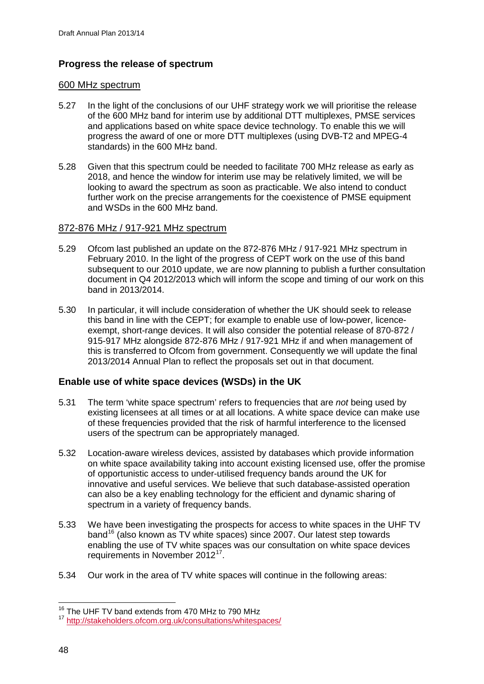## **Progress the release of spectrum**

#### 600 MHz spectrum

- 5.27 In the light of the conclusions of our UHF strategy work we will prioritise the release of the 600 MHz band for interim use by additional DTT multiplexes, PMSE services and applications based on white space device technology. To enable this we will progress the award of one or more DTT multiplexes (using DVB-T2 and MPEG-4 standards) in the 600 MHz band.
- 5.28 Given that this spectrum could be needed to facilitate 700 MHz release as early as 2018, and hence the window for interim use may be relatively limited, we will be looking to award the spectrum as soon as practicable. We also intend to conduct further work on the precise arrangements for the coexistence of PMSE equipment and WSDs in the 600 MHz band.

## 872-876 MHz / 917-921 MHz spectrum

- 5.29 Ofcom last published an update on the 872-876 MHz / 917-921 MHz spectrum in February 2010. In the light of the progress of CEPT work on the use of this band subsequent to our 2010 update, we are now planning to publish a further consultation document in Q4 2012/2013 which will inform the scope and timing of our work on this band in 2013/2014.
- 5.30 In particular, it will include consideration of whether the UK should seek to release this band in line with the CEPT; for example to enable use of low-power, licenceexempt, short-range devices. It will also consider the potential release of 870-872 / 915-917 MHz alongside 872-876 MHz / 917-921 MHz if and when management of this is transferred to Ofcom from government. Consequently we will update the final 2013/2014 Annual Plan to reflect the proposals set out in that document.

## **Enable use of white space devices (WSDs) in the UK**

- 5.31 The term 'white space spectrum' refers to frequencies that are *not* being used by existing licensees at all times or at all locations. A white space device can make use of these frequencies provided that the risk of harmful interference to the licensed users of the spectrum can be appropriately managed.
- 5.32 Location-aware wireless devices, assisted by databases which provide information on white space availability taking into account existing licensed use, offer the promise of opportunistic access to under-utilised frequency bands around the UK for innovative and useful services. We believe that such database-assisted operation can also be a key enabling technology for the efficient and dynamic sharing of spectrum in a variety of frequency bands.
- 5.33 We have been investigating the prospects for access to white spaces in the UHF TV band<sup>[16](#page-50-0)</sup> (also known as TV white spaces) since 2007. Our latest step towards enabling the use of TV white spaces was our consultation on white space devices requirements in November 2012[17](#page-50-1).
- 5.34 Our work in the area of TV white spaces will continue in the following areas:

<sup>&</sup>lt;sup>16</sup> The UHF TV band extends from 470 MHz to 790 MHz

<span id="page-50-1"></span><span id="page-50-0"></span><sup>17</sup> <http://stakeholders.ofcom.org.uk/consultations/whitespaces/>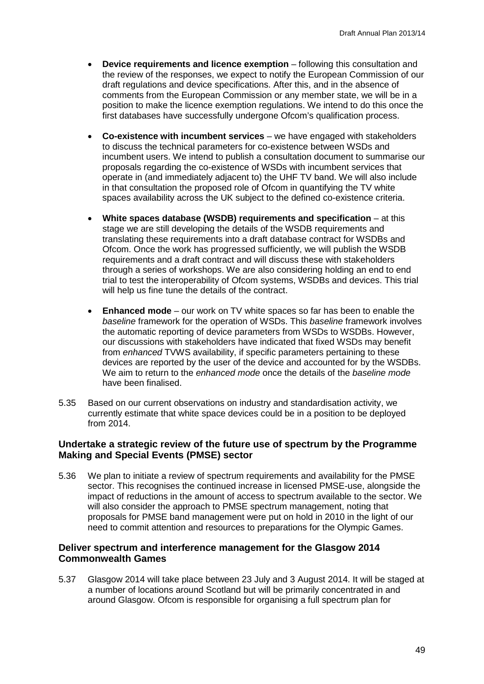- **Device requirements and licence exemption** following this consultation and the review of the responses, we expect to notify the European Commission of our draft regulations and device specifications. After this, and in the absence of comments from the European Commission or any member state, we will be in a position to make the licence exemption regulations. We intend to do this once the first databases have successfully undergone Ofcom's qualification process.
- **Co-existence with incumbent services**  we have engaged with stakeholders to discuss the technical parameters for co-existence between WSDs and incumbent users. We intend to publish a consultation document to summarise our proposals regarding the co-existence of WSDs with incumbent services that operate in (and immediately adjacent to) the UHF TV band. We will also include in that consultation the proposed role of Ofcom in quantifying the TV white spaces availability across the UK subject to the defined co-existence criteria.
- **White spaces database (WSDB) requirements and specification** at this stage we are still developing the details of the WSDB requirements and translating these requirements into a draft database contract for WSDBs and Ofcom. Once the work has progressed sufficiently, we will publish the WSDB requirements and a draft contract and will discuss these with stakeholders through a series of workshops. We are also considering holding an end to end trial to test the interoperability of Ofcom systems, WSDBs and devices. This trial will help us fine tune the details of the contract.
- **Enhanced mode** our work on TV white spaces so far has been to enable the *baseline* framework for the operation of WSDs. This *baseline* framework involves the automatic reporting of device parameters from WSDs to WSDBs. However, our discussions with stakeholders have indicated that fixed WSDs may benefit from *enhanced* TVWS availability, if specific parameters pertaining to these devices are reported by the user of the device and accounted for by the WSDBs. We aim to return to the *enhanced mode* once the details of the *baseline mode* have been finalised.
- 5.35 Based on our current observations on industry and standardisation activity, we currently estimate that white space devices could be in a position to be deployed from 2014.

## **Undertake a strategic review of the future use of spectrum by the Programme Making and Special Events (PMSE) sector**

5.36 We plan to initiate a review of spectrum requirements and availability for the PMSE sector. This recognises the continued increase in licensed PMSE-use, alongside the impact of reductions in the amount of access to spectrum available to the sector. We will also consider the approach to PMSE spectrum management, noting that proposals for PMSE band management were put on hold in 2010 in the light of our need to commit attention and resources to preparations for the Olympic Games.

## **Deliver spectrum and interference management for the Glasgow 2014 Commonwealth Games**

5.37 Glasgow 2014 will take place between 23 July and 3 August 2014. It will be staged at a number of locations around Scotland but will be primarily concentrated in and around Glasgow. Ofcom is responsible for organising a full spectrum plan for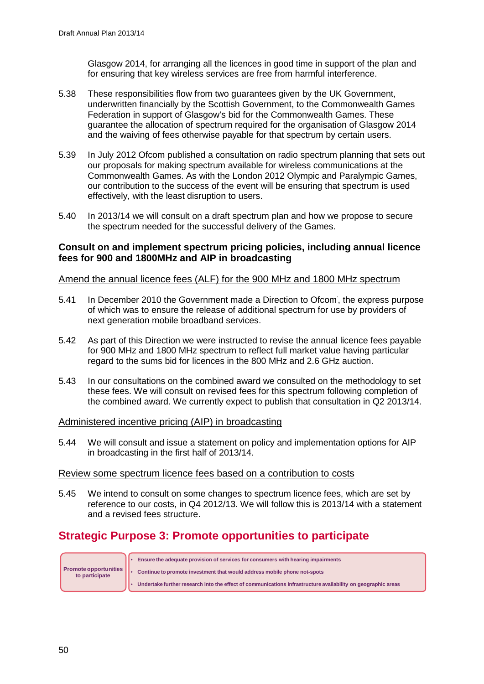Glasgow 2014, for arranging all the licences in good time in support of the plan and for ensuring that key wireless services are free from harmful interference.

- 5.38 These responsibilities flow from two guarantees given by the UK Government, underwritten financially by the Scottish Government, to the Commonwealth Games Federation in support of Glasgow's bid for the Commonwealth Games. These guarantee the allocation of spectrum required for the organisation of Glasgow 2014 and the waiving of fees otherwise payable for that spectrum by certain users.
- 5.39 In July 2012 Ofcom published a consultation on radio spectrum planning that sets out our proposals for making spectrum available for wireless communications at the Commonwealth Games. As with the London 2012 Olympic and Paralympic Games, our contribution to the success of the event will be ensuring that spectrum is used effectively, with the least disruption to users.
- 5.40 In 2013/14 we will consult on a draft spectrum plan and how we propose to secure the spectrum needed for the successful delivery of the Games.

## **Consult on and implement spectrum pricing policies, including annual licence fees for 900 and 1800MHz and AIP in broadcasting**

## Amend the annual licence fees (ALF) for the 900 MHz and 1800 MHz spectrum

- 5.41 In December 2010 the Government made a Direction to Ofcom, , the express purpose of which was to ensure the release of additional spectrum for use by providers of next generation mobile broadband services.
- 5.42 As part of this Direction we were instructed to revise the annual licence fees payable for 900 MHz and 1800 MHz spectrum to reflect full market value having particular regard to the sums bid for licences in the 800 MHz and 2.6 GHz auction.
- 5.43 In our consultations on the combined award we consulted on the methodology to set these fees. We will consult on revised fees for this spectrum following completion of the combined award. We currently expect to publish that consultation in Q2 2013/14.

#### Administered incentive pricing (AIP) in broadcasting

5.44 We will consult and issue a statement on policy and implementation options for AIP in broadcasting in the first half of 2013/14.

#### Review some spectrum licence fees based on a contribution to costs

5.45 We intend to consult on some changes to spectrum licence fees, which are set by reference to our costs, in Q4 2012/13. We will follow this is 2013/14 with a statement and a revised fees structure.

# **Strategic Purpose 3: Promote opportunities to participate**

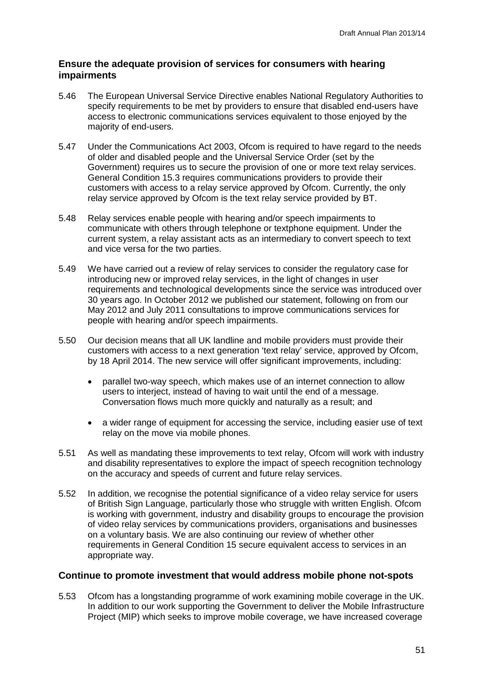## **Ensure the adequate provision of services for consumers with hearing impairments**

- 5.46 The European Universal Service Directive enables National Regulatory Authorities to specify requirements to be met by providers to ensure that disabled end-users have access to electronic communications services equivalent to those enjoyed by the majority of end-users.
- 5.47 Under the Communications Act 2003, Ofcom is required to have regard to the needs of older and disabled people and the Universal Service Order (set by the Government) requires us to secure the provision of one or more text relay services. General Condition 15.3 requires communications providers to provide their customers with access to a relay service approved by Ofcom. Currently, the only relay service approved by Ofcom is the text relay service provided by BT.
- 5.48 Relay services enable people with hearing and/or speech impairments to communicate with others through telephone or textphone equipment. Under the current system, a relay assistant acts as an intermediary to convert speech to text and vice versa for the two parties.
- 5.49 We have carried out a review of relay services to consider the regulatory case for introducing new or improved relay services, in the light of changes in user requirements and technological developments since the service was introduced over 30 years ago. In October 2012 we published our statement, following on from our May 2012 and July 2011 consultations to improve communications services for people with hearing and/or speech impairments.
- 5.50 Our decision means that all UK landline and mobile providers must provide their customers with access to a next generation 'text relay' service, approved by Ofcom, by 18 April 2014. The new service will offer significant improvements, including:
	- parallel two-way speech, which makes use of an internet connection to allow users to interject, instead of having to wait until the end of a message. Conversation flows much more quickly and naturally as a result; and
	- a wider range of equipment for accessing the service, including easier use of text relay on the move via mobile phones.
- 5.51 As well as mandating these improvements to text relay, Ofcom will work with industry and disability representatives to explore the impact of speech recognition technology on the accuracy and speeds of current and future relay services.
- 5.52 In addition, we recognise the potential significance of a video relay service for users of British Sign Language, particularly those who struggle with written English. Ofcom is working with government, industry and disability groups to encourage the provision of video relay services by communications providers, organisations and businesses on a voluntary basis. We are also continuing our review of whether other requirements in General Condition 15 secure equivalent access to services in an appropriate way.

## **Continue to promote investment that would address mobile phone not-spots**

5.53 Ofcom has a longstanding programme of work examining mobile coverage in the UK. In addition to our work supporting the Government to deliver the Mobile Infrastructure Project (MIP) which seeks to improve mobile coverage, we have increased coverage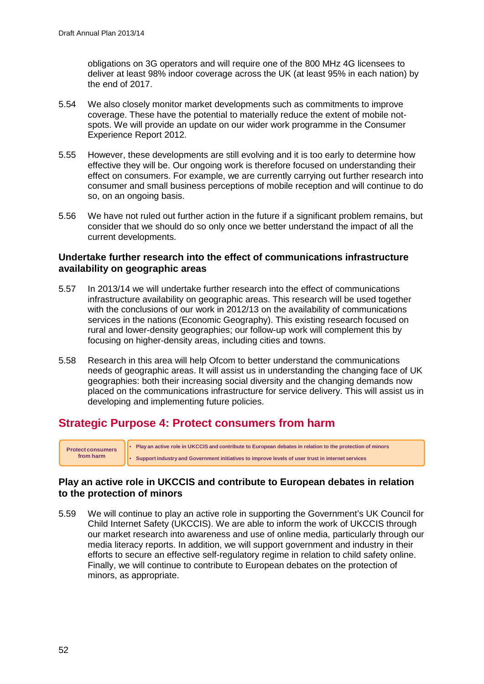obligations on 3G operators and will require one of the 800 MHz 4G licensees to deliver at least 98% indoor coverage across the UK (at least 95% in each nation) by the end of 2017.

- 5.54 We also closely monitor market developments such as commitments to improve coverage. These have the potential to materially reduce the extent of mobile notspots. We will provide an update on our wider work programme in the Consumer Experience Report 2012.
- 5.55 However, these developments are still evolving and it is too early to determine how effective they will be. Our ongoing work is therefore focused on understanding their effect on consumers. For example, we are currently carrying out further research into consumer and small business perceptions of mobile reception and will continue to do so, on an ongoing basis.
- 5.56 We have not ruled out further action in the future if a significant problem remains, but consider that we should do so only once we better understand the impact of all the current developments.

## **Undertake further research into the effect of communications infrastructure availability on geographic areas**

- 5.57 In 2013/14 we will undertake further research into the effect of communications infrastructure availability on geographic areas. This research will be used together with the conclusions of our work in 2012/13 on the availability of communications services in the nations (Economic Geography). This existing research focused on rural and lower-density geographies; our follow-up work will complement this by focusing on higher-density areas, including cities and towns.
- 5.58 Research in this area will help Ofcom to better understand the communications needs of geographic areas. It will assist us in understanding the changing face of UK geographies: both their increasing social diversity and the changing demands now placed on the communications infrastructure for service delivery. This will assist us in developing and implementing future policies.

## **Strategic Purpose 4: Protect consumers from harm**

• **Play an active role in UKCCIS and contribute to European debates in relation to the protection of minors** • **Support industry and Government initiatives to improve levels of user trust in internet services Protect consumers from harm**

## **Play an active role in UKCCIS and contribute to European debates in relation to the protection of minors**

5.59 We will continue to play an active role in supporting the Government's UK Council for Child Internet Safety (UKCCIS). We are able to inform the work of UKCCIS through our market research into awareness and use of online media, particularly through our media literacy reports. In addition, we will support government and industry in their efforts to secure an effective self-regulatory regime in relation to child safety online. Finally, we will continue to contribute to European debates on the protection of minors, as appropriate.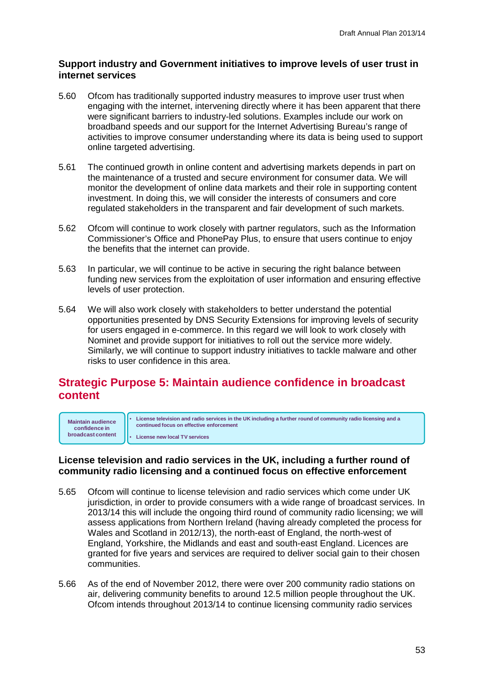## **Support industry and Government initiatives to improve levels of user trust in internet services**

- 5.60 Ofcom has traditionally supported industry measures to improve user trust when engaging with the internet, intervening directly where it has been apparent that there were significant barriers to industry-led solutions. Examples include our work on broadband speeds and our support for the Internet Advertising Bureau's range of activities to improve consumer understanding where its data is being used to support online targeted advertising.
- 5.61 The continued growth in online content and advertising markets depends in part on the maintenance of a trusted and secure environment for consumer data. We will monitor the development of online data markets and their role in supporting content investment. In doing this, we will consider the interests of consumers and core regulated stakeholders in the transparent and fair development of such markets.
- 5.62 Ofcom will continue to work closely with partner regulators, such as the Information Commissioner's Office and PhonePay Plus, to ensure that users continue to enjoy the benefits that the internet can provide.
- 5.63 In particular, we will continue to be active in securing the right balance between funding new services from the exploitation of user information and ensuring effective levels of user protection.
- 5.64 We will also work closely with stakeholders to better understand the potential opportunities presented by DNS Security Extensions for improving levels of security for users engaged in e-commerce. In this regard we will look to work closely with Nominet and provide support for initiatives to roll out the service more widely. Similarly, we will continue to support industry initiatives to tackle malware and other risks to user confidence in this area.

## **Strategic Purpose 5: Maintain audience confidence in broadcast content**

**Maintain audience confidence in broadcast content** • **License television and radio services in the UK including a further round of community radio licensing and a continued focus on effective enforcement**

• **License new local TV services**

## **License television and radio services in the UK, including a further round of community radio licensing and a continued focus on effective enforcement**

- 5.65 Ofcom will continue to license television and radio services which come under UK jurisdiction, in order to provide consumers with a wide range of broadcast services. In 2013/14 this will include the ongoing third round of community radio licensing; we will assess applications from Northern Ireland (having already completed the process for Wales and Scotland in 2012/13), the north-east of England, the north-west of England, Yorkshire, the Midlands and east and south-east England. Licences are granted for five years and services are required to deliver social gain to their chosen communities.
- 5.66 As of the end of November 2012, there were over 200 community radio stations on air, delivering community benefits to around 12.5 million people throughout the UK. Ofcom intends throughout 2013/14 to continue licensing community radio services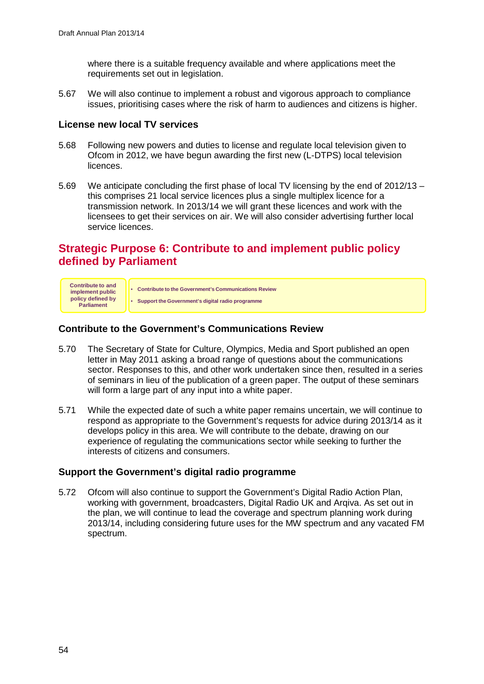where there is a suitable frequency available and where applications meet the requirements set out in legislation.

5.67 We will also continue to implement a robust and vigorous approach to compliance issues, prioritising cases where the risk of harm to audiences and citizens is higher.

## **License new local TV services**

- 5.68 Following new powers and duties to license and regulate local television given to Ofcom in 2012, we have begun awarding the first new (L-DTPS) local television licences.
- 5.69 We anticipate concluding the first phase of local TV licensing by the end of 2012/13 this comprises 21 local service licences plus a single multiplex licence for a transmission network. In 2013/14 we will grant these licences and work with the licensees to get their services on air. We will also consider advertising further local service licences.

# **Strategic Purpose 6: Contribute to and implement public policy defined by Parliament**



## **Contribute to the Government's Communications Review**

- 5.70 The Secretary of State for Culture, Olympics, Media and Sport published an open letter in May 2011 asking a broad range of questions about the communications sector. Responses to this, and other work undertaken since then, resulted in a series of seminars in lieu of the publication of a green paper. The output of these seminars will form a large part of any input into a white paper.
- 5.71 While the expected date of such a white paper remains uncertain, we will continue to respond as appropriate to the Government's requests for advice during 2013/14 as it develops policy in this area. We will contribute to the debate, drawing on our experience of regulating the communications sector while seeking to further the interests of citizens and consumers.

## **Support the Government's digital radio programme**

5.72 Ofcom will also continue to support the Government's Digital Radio Action Plan, working with government, broadcasters, Digital Radio UK and Arqiva. As set out in the plan, we will continue to lead the coverage and spectrum planning work during 2013/14, including considering future uses for the MW spectrum and any vacated FM spectrum.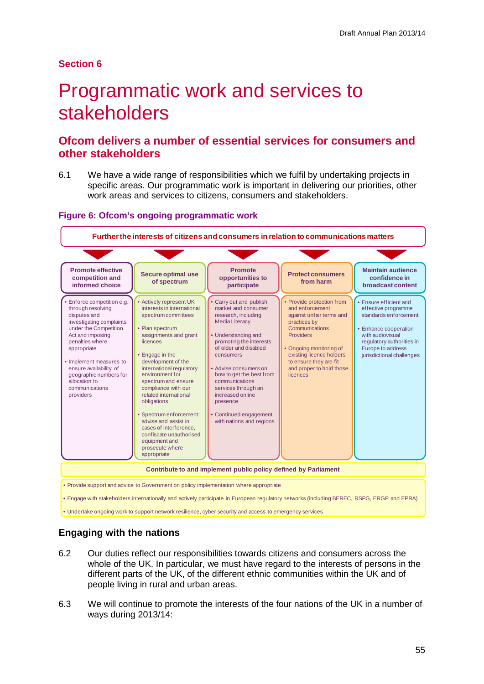## **Section 6**

# Programmatic work and services to stakeholders

## **Ofcom delivers a number of essential services for consumers and other stakeholders**

6.1 We have a wide range of responsibilities which we fulfil by undertaking projects in specific areas. Our programmatic work is important in delivering our priorities, other work areas and services to citizens, consumers and stakeholders.

#### **Figure 6: Ofcom's ongoing programmatic work**



## **Engaging with the nations**

- 6.2 Our duties reflect our responsibilities towards citizens and consumers across the whole of the UK. In particular, we must have regard to the interests of persons in the different parts of the UK, of the different ethnic communities within the UK and of people living in rural and urban areas.
- 6.3 We will continue to promote the interests of the four nations of the UK in a number of ways during 2013/14: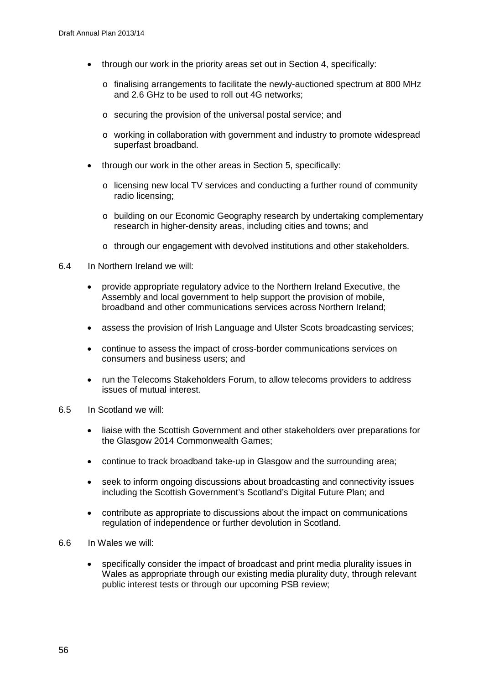- through our work in the priority areas set out in Section 4, specifically:
	- o finalising arrangements to facilitate the newly-auctioned spectrum at 800 MHz and 2.6 GHz to be used to roll out 4G networks;
	- o securing the provision of the universal postal service; and
	- o working in collaboration with government and industry to promote widespread superfast broadband.
- through our work in the other areas in Section 5, specifically:
	- o licensing new local TV services and conducting a further round of community radio licensing;
	- o building on our Economic Geography research by undertaking complementary research in higher-density areas, including cities and towns; and
	- $\circ$  through our engagement with devolved institutions and other stakeholders.
- 6.4 In Northern Ireland we will:
	- provide appropriate regulatory advice to the Northern Ireland Executive, the Assembly and local government to help support the provision of mobile, broadband and other communications services across Northern Ireland;
	- assess the provision of Irish Language and Ulster Scots broadcasting services;
	- continue to assess the impact of cross-border communications services on consumers and business users; and
	- run the Telecoms Stakeholders Forum, to allow telecoms providers to address issues of mutual interest.
- 6.5 In Scotland we will:
	- liaise with the Scottish Government and other stakeholders over preparations for the Glasgow 2014 Commonwealth Games;
	- continue to track broadband take-up in Glasgow and the surrounding area;
	- seek to inform ongoing discussions about broadcasting and connectivity issues including the Scottish Government's Scotland's Digital Future Plan; and
	- contribute as appropriate to discussions about the impact on communications regulation of independence or further devolution in Scotland.
- 6.6 In Wales we will:
	- specifically consider the impact of broadcast and print media plurality issues in Wales as appropriate through our existing media plurality duty, through relevant public interest tests or through our upcoming PSB review;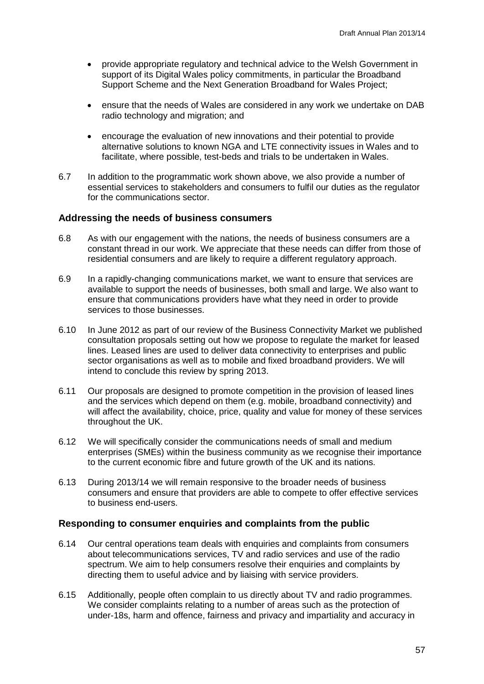- provide appropriate regulatory and technical advice to the Welsh Government in support of its Digital Wales policy commitments, in particular the Broadband Support Scheme and the Next Generation Broadband for Wales Project;
- ensure that the needs of Wales are considered in any work we undertake on DAB radio technology and migration; and
- encourage the evaluation of new innovations and their potential to provide alternative solutions to known NGA and LTE connectivity issues in Wales and to facilitate, where possible, test-beds and trials to be undertaken in Wales.
- 6.7 In addition to the programmatic work shown above, we also provide a number of essential services to stakeholders and consumers to fulfil our duties as the regulator for the communications sector.

#### **Addressing the needs of business consumers**

- 6.8 As with our engagement with the nations, the needs of business consumers are a constant thread in our work. We appreciate that these needs can differ from those of residential consumers and are likely to require a different regulatory approach.
- 6.9 In a rapidly-changing communications market, we want to ensure that services are available to support the needs of businesses, both small and large. We also want to ensure that communications providers have what they need in order to provide services to those businesses.
- 6.10 In June 2012 as part of our review of the Business Connectivity Market we published consultation proposals setting out how we propose to regulate the market for leased lines. Leased lines are used to deliver data connectivity to enterprises and public sector organisations as well as to mobile and fixed broadband providers. We will intend to conclude this review by spring 2013.
- 6.11 Our proposals are designed to promote competition in the provision of leased lines and the services which depend on them (e.g. mobile, broadband connectivity) and will affect the availability, choice, price, quality and value for money of these services throughout the UK.
- 6.12 We will specifically consider the communications needs of small and medium enterprises (SMEs) within the business community as we recognise their importance to the current economic fibre and future growth of the UK and its nations.
- 6.13 During 2013/14 we will remain responsive to the broader needs of business consumers and ensure that providers are able to compete to offer effective services to business end-users.

## **Responding to consumer enquiries and complaints from the public**

- 6.14 Our central operations team deals with enquiries and complaints from consumers about telecommunications services, TV and radio services and use of the radio spectrum. We aim to help consumers resolve their enquiries and complaints by directing them to useful advice and by liaising with service providers.
- 6.15 Additionally, people often complain to us directly about TV and radio programmes. We consider complaints relating to a number of areas such as the protection of under-18s, harm and offence, fairness and privacy and impartiality and accuracy in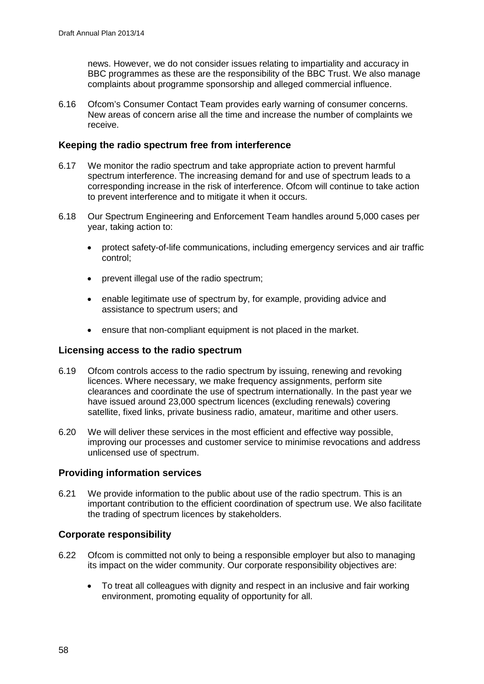news. However, we do not consider issues relating to impartiality and accuracy in BBC programmes as these are the responsibility of the BBC Trust. We also manage complaints about programme sponsorship and alleged commercial influence.

6.16 Ofcom's Consumer Contact Team provides early warning of consumer concerns. New areas of concern arise all the time and increase the number of complaints we receive.

## **Keeping the radio spectrum free from interference**

- 6.17 We monitor the radio spectrum and take appropriate action to prevent harmful spectrum interference. The increasing demand for and use of spectrum leads to a corresponding increase in the risk of interference. Ofcom will continue to take action to prevent interference and to mitigate it when it occurs.
- 6.18 Our Spectrum Engineering and Enforcement Team handles around 5,000 cases per year, taking action to:
	- protect safety-of-life communications, including emergency services and air traffic control;
	- prevent illegal use of the radio spectrum;
	- enable legitimate use of spectrum by, for example, providing advice and assistance to spectrum users; and
	- ensure that non-compliant equipment is not placed in the market.

## **Licensing access to the radio spectrum**

- 6.19 Ofcom controls access to the radio spectrum by issuing, renewing and revoking licences. Where necessary, we make frequency assignments, perform site clearances and coordinate the use of spectrum internationally. In the past year we have issued around 23,000 spectrum licences (excluding renewals) covering satellite, fixed links, private business radio, amateur, maritime and other users.
- 6.20 We will deliver these services in the most efficient and effective way possible, improving our processes and customer service to minimise revocations and address unlicensed use of spectrum.

## **Providing information services**

6.21 We provide information to the public about use of the radio spectrum. This is an important contribution to the efficient coordination of spectrum use. We also facilitate the trading of spectrum licences by stakeholders.

## **Corporate responsibility**

- 6.22 Ofcom is committed not only to being a responsible employer but also to managing its impact on the wider community. Our corporate responsibility objectives are:
	- To treat all colleagues with dignity and respect in an inclusive and fair working environment, promoting equality of opportunity for all.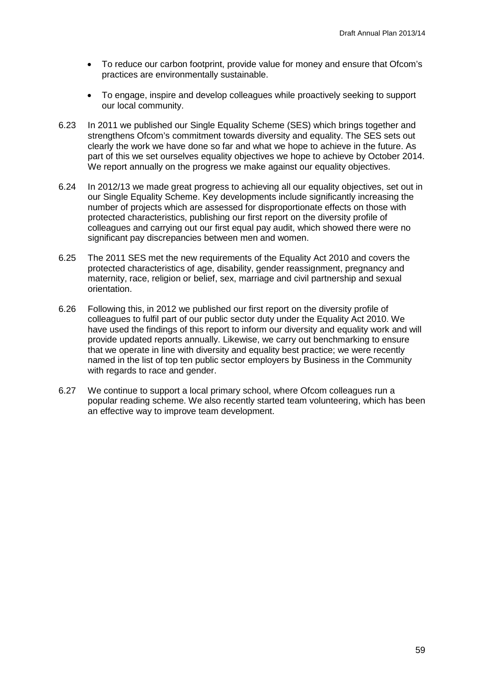- To reduce our carbon footprint, provide value for money and ensure that Ofcom's practices are environmentally sustainable.
- To engage, inspire and develop colleagues while proactively seeking to support our local community.
- 6.23 In 2011 we published our Single Equality Scheme (SES) which brings together and strengthens Ofcom's commitment towards diversity and equality. The SES sets out clearly the work we have done so far and what we hope to achieve in the future. As part of this we set ourselves equality objectives we hope to achieve by October 2014. We report annually on the progress we make against our equality objectives.
- 6.24 In 2012/13 we made great progress to achieving all our equality objectives, set out in our Single Equality Scheme. Key developments include significantly increasing the number of projects which are assessed for disproportionate effects on those with protected characteristics, publishing our first report on the diversity profile of colleagues and carrying out our first equal pay audit, which showed there were no significant pay discrepancies between men and women.
- 6.25 The 2011 SES met the new requirements of the Equality Act 2010 and covers the protected characteristics of age, disability, gender reassignment, pregnancy and maternity, race, religion or belief, sex, marriage and civil partnership and sexual orientation.
- 6.26 Following this, in 2012 we published our first report on the diversity profile of colleagues to fulfil part of our public sector duty under the Equality Act 2010. We have used the findings of this report to inform our diversity and equality work and will provide updated reports annually. Likewise, we carry out benchmarking to ensure that we operate in line with diversity and equality best practice; we were recently named in the list of top ten public sector employers by Business in the Community with regards to race and gender.
- 6.27 We continue to support a local primary school, where Ofcom colleagues run a popular reading scheme. We also recently started team volunteering, which has been an effective way to improve team development.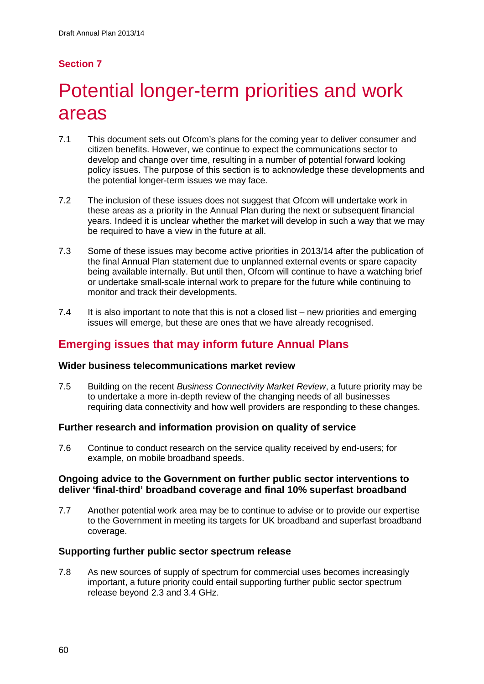# **Section 7**

# Potential longer-term priorities and work areas

- 7.1 This document sets out Ofcom's plans for the coming year to deliver consumer and citizen benefits. However, we continue to expect the communications sector to develop and change over time, resulting in a number of potential forward looking policy issues. The purpose of this section is to acknowledge these developments and the potential longer-term issues we may face.
- 7.2 The inclusion of these issues does not suggest that Ofcom will undertake work in these areas as a priority in the Annual Plan during the next or subsequent financial years. Indeed it is unclear whether the market will develop in such a way that we may be required to have a view in the future at all.
- 7.3 Some of these issues may become active priorities in 2013/14 after the publication of the final Annual Plan statement due to unplanned external events or spare capacity being available internally. But until then, Ofcom will continue to have a watching brief or undertake small-scale internal work to prepare for the future while continuing to monitor and track their developments.
- 7.4 It is also important to note that this is not a closed list new priorities and emerging issues will emerge, but these are ones that we have already recognised.

# **Emerging issues that may inform future Annual Plans**

## **Wider business telecommunications market review**

7.5 Building on the recent *Business Connectivity Market Review*, a future priority may be to undertake a more in-depth review of the changing needs of all businesses requiring data connectivity and how well providers are responding to these changes.

## **Further research and information provision on quality of service**

7.6 Continue to conduct research on the service quality received by end-users; for example, on mobile broadband speeds.

#### **Ongoing advice to the Government on further public sector interventions to deliver 'final-third' broadband coverage and final 10% superfast broadband**

7.7 Another potential work area may be to continue to advise or to provide our expertise to the Government in meeting its targets for UK broadband and superfast broadband coverage.

## **Supporting further public sector spectrum release**

7.8 As new sources of supply of spectrum for commercial uses becomes increasingly important, a future priority could entail supporting further public sector spectrum release beyond 2.3 and 3.4 GHz.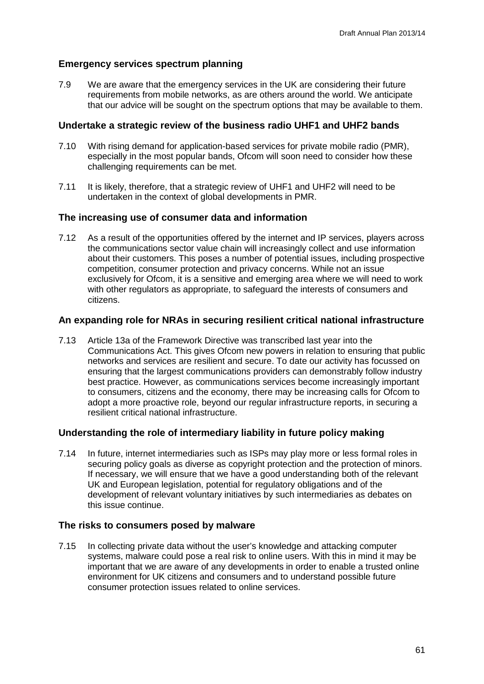## **Emergency services spectrum planning**

7.9 We are aware that the emergency services in the UK are considering their future requirements from mobile networks, as are others around the world. We anticipate that our advice will be sought on the spectrum options that may be available to them.

## **Undertake a strategic review of the business radio UHF1 and UHF2 bands**

- 7.10 With rising demand for application-based services for private mobile radio (PMR), especially in the most popular bands, Ofcom will soon need to consider how these challenging requirements can be met.
- 7.11 It is likely, therefore, that a strategic review of UHF1 and UHF2 will need to be undertaken in the context of global developments in PMR.

## **The increasing use of consumer data and information**

7.12 As a result of the opportunities offered by the internet and IP services, players across the communications sector value chain will increasingly collect and use information about their customers. This poses a number of potential issues, including prospective competition, consumer protection and privacy concerns. While not an issue exclusively for Ofcom, it is a sensitive and emerging area where we will need to work with other regulators as appropriate, to safeguard the interests of consumers and citizens.

## **An expanding role for NRAs in securing resilient critical national infrastructure**

7.13 Article 13a of the Framework Directive was transcribed last year into the Communications Act. This gives Ofcom new powers in relation to ensuring that public networks and services are resilient and secure. To date our activity has focussed on ensuring that the largest communications providers can demonstrably follow industry best practice. However, as communications services become increasingly important to consumers, citizens and the economy, there may be increasing calls for Ofcom to adopt a more proactive role, beyond our regular infrastructure reports, in securing a resilient critical national infrastructure.

## **Understanding the role of intermediary liability in future policy making**

7.14 In future, internet intermediaries such as ISPs may play more or less formal roles in securing policy goals as diverse as copyright protection and the protection of minors. If necessary, we will ensure that we have a good understanding both of the relevant UK and European legislation, potential for regulatory obligations and of the development of relevant voluntary initiatives by such intermediaries as debates on this issue continue.

## **The risks to consumers posed by malware**

7.15 In collecting private data without the user's knowledge and attacking computer systems, malware could pose a real risk to online users. With this in mind it may be important that we are aware of any developments in order to enable a trusted online environment for UK citizens and consumers and to understand possible future consumer protection issues related to online services.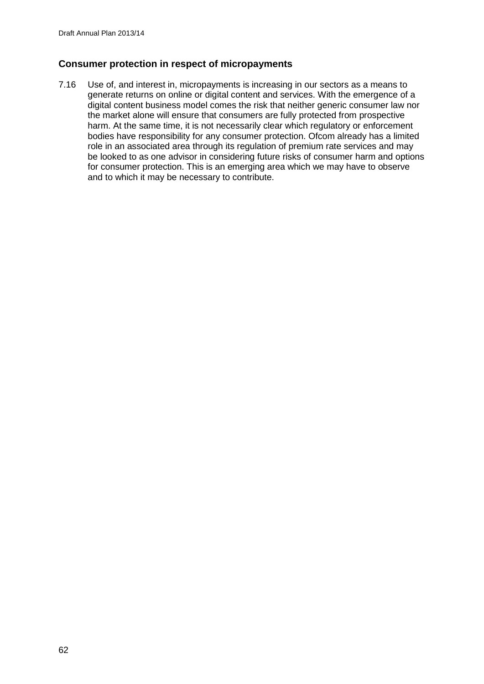## **Consumer protection in respect of micropayments**

7.16 Use of, and interest in, micropayments is increasing in our sectors as a means to generate returns on online or digital content and services. With the emergence of a digital content business model comes the risk that neither generic consumer law nor the market alone will ensure that consumers are fully protected from prospective harm. At the same time, it is not necessarily clear which regulatory or enforcement bodies have responsibility for any consumer protection. Ofcom already has a limited role in an associated area through its regulation of premium rate services and may be looked to as one advisor in considering future risks of consumer harm and options for consumer protection. This is an emerging area which we may have to observe and to which it may be necessary to contribute.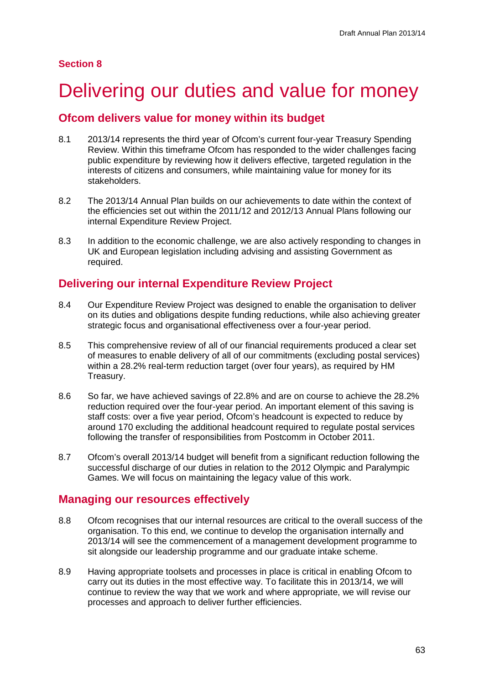# Delivering our duties and value for money

## **Ofcom delivers value for money within its budget**

- 8.1 2013/14 represents the third year of Ofcom's current four-year Treasury Spending Review. Within this timeframe Ofcom has responded to the wider challenges facing public expenditure by reviewing how it delivers effective, targeted regulation in the interests of citizens and consumers, while maintaining value for money for its stakeholders.
- 8.2 The 2013/14 Annual Plan builds on our achievements to date within the context of the efficiencies set out within the 2011/12 and 2012/13 Annual Plans following our internal Expenditure Review Project.
- 8.3 In addition to the economic challenge, we are also actively responding to changes in UK and European legislation including advising and assisting Government as required.

# **Delivering our internal Expenditure Review Project**

- 8.4 Our Expenditure Review Project was designed to enable the organisation to deliver on its duties and obligations despite funding reductions, while also achieving greater strategic focus and organisational effectiveness over a four-year period.
- 8.5 This comprehensive review of all of our financial requirements produced a clear set of measures to enable delivery of all of our commitments (excluding postal services) within a 28.2% real-term reduction target (over four years), as required by HM Treasury.
- 8.6 So far, we have achieved savings of 22.8% and are on course to achieve the 28.2% reduction required over the four-year period. An important element of this saving is staff costs: over a five year period, Ofcom's headcount is expected to reduce by around 170 excluding the additional headcount required to regulate postal services following the transfer of responsibilities from Postcomm in October 2011.
- 8.7 Ofcom's overall 2013/14 budget will benefit from a significant reduction following the successful discharge of our duties in relation to the 2012 Olympic and Paralympic Games. We will focus on maintaining the legacy value of this work.

# **Managing our resources effectively**

- 8.8 Ofcom recognises that our internal resources are critical to the overall success of the organisation. To this end, we continue to develop the organisation internally and 2013/14 will see the commencement of a management development programme to sit alongside our leadership programme and our graduate intake scheme.
- 8.9 Having appropriate toolsets and processes in place is critical in enabling Ofcom to carry out its duties in the most effective way. To facilitate this in 2013/14, we will continue to review the way that we work and where appropriate, we will revise our processes and approach to deliver further efficiencies.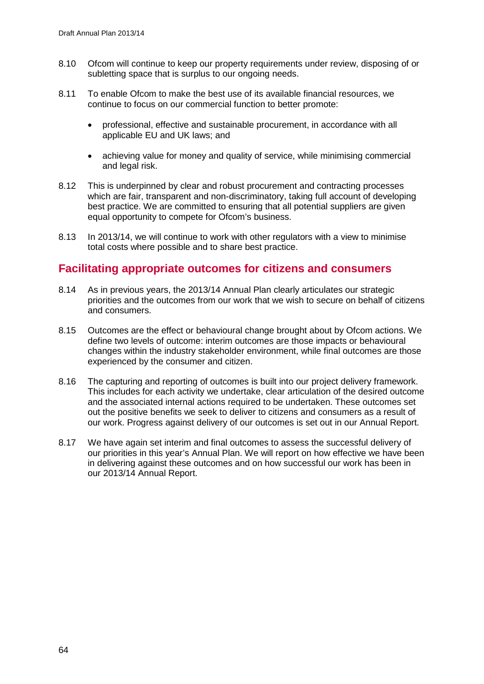- 8.10 Ofcom will continue to keep our property requirements under review, disposing of or subletting space that is surplus to our ongoing needs.
- 8.11 To enable Ofcom to make the best use of its available financial resources, we continue to focus on our commercial function to better promote:
	- professional, effective and sustainable procurement, in accordance with all applicable EU and UK laws; and
	- achieving value for money and quality of service, while minimising commercial and legal risk.
- 8.12 This is underpinned by clear and robust procurement and contracting processes which are fair, transparent and non-discriminatory, taking full account of developing best practice. We are committed to ensuring that all potential suppliers are given equal opportunity to compete for Ofcom's business.
- 8.13 In 2013/14, we will continue to work with other regulators with a view to minimise total costs where possible and to share best practice.

## **Facilitating appropriate outcomes for citizens and consumers**

- 8.14 As in previous years, the 2013/14 Annual Plan clearly articulates our strategic priorities and the outcomes from our work that we wish to secure on behalf of citizens and consumers.
- 8.15 Outcomes are the effect or behavioural change brought about by Ofcom actions. We define two levels of outcome: interim outcomes are those impacts or behavioural changes within the industry stakeholder environment, while final outcomes are those experienced by the consumer and citizen.
- 8.16 The capturing and reporting of outcomes is built into our project delivery framework. This includes for each activity we undertake, clear articulation of the desired outcome and the associated internal actions required to be undertaken. These outcomes set out the positive benefits we seek to deliver to citizens and consumers as a result of our work. Progress against delivery of our outcomes is set out in our Annual Report.
- 8.17 We have again set interim and final outcomes to assess the successful delivery of our priorities in this year's Annual Plan. We will report on how effective we have been in delivering against these outcomes and on how successful our work has been in our 2013/14 Annual Report.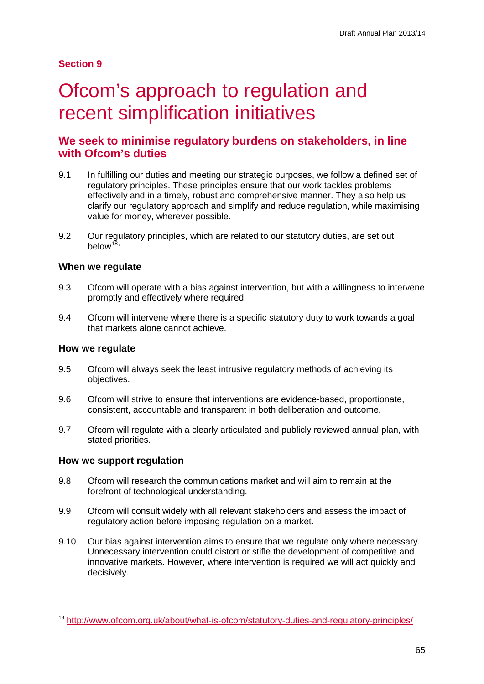## **Section 9**

# Ofcom's approach to regulation and recent simplification initiatives

## **We seek to minimise regulatory burdens on stakeholders, in line with Ofcom's duties**

- 9.1 In fulfilling our duties and meeting our strategic purposes, we follow a defined set of regulatory principles. These principles ensure that our work tackles problems effectively and in a timely, robust and comprehensive manner. They also help us clarify our regulatory approach and simplify and reduce regulation, while maximising value for money, wherever possible.
- 9.2 Our regulatory principles, which are related to our statutory duties, are set out below $18$ .

## **When we regulate**

- 9.3 Ofcom will operate with a bias against intervention, but with a willingness to intervene promptly and effectively where required.
- 9.4 Ofcom will intervene where there is a specific statutory duty to work towards a goal that markets alone cannot achieve.

## **How we regulate**

- 9.5 Ofcom will always seek the least intrusive regulatory methods of achieving its objectives.
- 9.6 Ofcom will strive to ensure that interventions are evidence-based, proportionate, consistent, accountable and transparent in both deliberation and outcome.
- 9.7 Ofcom will regulate with a clearly articulated and publicly reviewed annual plan, with stated priorities.

## **How we support regulation**

- 9.8 Ofcom will research the communications market and will aim to remain at the forefront of technological understanding.
- 9.9 Ofcom will consult widely with all relevant stakeholders and assess the impact of regulatory action before imposing regulation on a market.
- 9.10 Our bias against intervention aims to ensure that we regulate only where necessary. Unnecessary intervention could distort or stifle the development of competitive and innovative markets. However, where intervention is required we will act quickly and decisively.

<span id="page-67-0"></span> <sup>18</sup> <http://www.ofcom.org.uk/about/what-is-ofcom/statutory-duties-and-regulatory-principles/>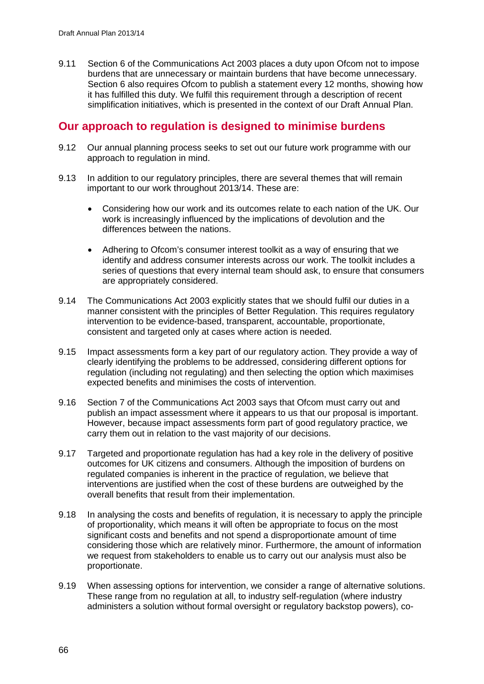9.11 Section 6 of the Communications Act 2003 places a duty upon Ofcom not to impose burdens that are unnecessary or maintain burdens that have become unnecessary. Section 6 also requires Ofcom to publish a statement every 12 months, showing how it has fulfilled this duty. We fulfil this requirement through a description of recent simplification initiatives, which is presented in the context of our Draft Annual Plan.

## **Our approach to regulation is designed to minimise burdens**

- 9.12 Our annual planning process seeks to set out our future work programme with our approach to regulation in mind.
- 9.13 In addition to our regulatory principles, there are several themes that will remain important to our work throughout 2013/14. These are:
	- Considering how our work and its outcomes relate to each nation of the UK. Our work is increasingly influenced by the implications of devolution and the differences between the nations.
	- Adhering to Ofcom's consumer interest toolkit as a way of ensuring that we identify and address consumer interests across our work. The toolkit includes a series of questions that every internal team should ask, to ensure that consumers are appropriately considered.
- 9.14 The Communications Act 2003 explicitly states that we should fulfil our duties in a manner consistent with the principles of Better Regulation. This requires regulatory intervention to be evidence-based, transparent, accountable, proportionate, consistent and targeted only at cases where action is needed.
- 9.15 Impact assessments form a key part of our regulatory action. They provide a way of clearly identifying the problems to be addressed, considering different options for regulation (including not regulating) and then selecting the option which maximises expected benefits and minimises the costs of intervention.
- 9.16 Section 7 of the Communications Act 2003 says that Ofcom must carry out and publish an impact assessment where it appears to us that our proposal is important. However, because impact assessments form part of good regulatory practice, we carry them out in relation to the vast majority of our decisions.
- 9.17 Targeted and proportionate regulation has had a key role in the delivery of positive outcomes for UK citizens and consumers. Although the imposition of burdens on regulated companies is inherent in the practice of regulation, we believe that interventions are justified when the cost of these burdens are outweighed by the overall benefits that result from their implementation.
- 9.18 In analysing the costs and benefits of regulation, it is necessary to apply the principle of proportionality, which means it will often be appropriate to focus on the most significant costs and benefits and not spend a disproportionate amount of time considering those which are relatively minor. Furthermore, the amount of information we request from stakeholders to enable us to carry out our analysis must also be proportionate.
- 9.19 When assessing options for intervention, we consider a range of alternative solutions. These range from no regulation at all, to industry self-regulation (where industry administers a solution without formal oversight or regulatory backstop powers), co-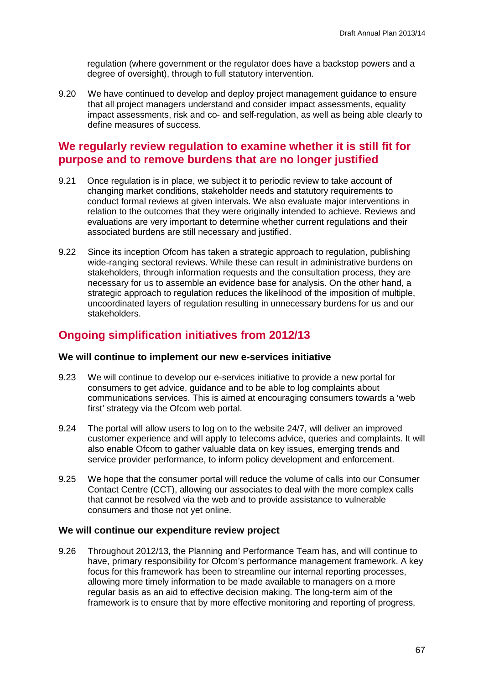regulation (where government or the regulator does have a backstop powers and a degree of oversight), through to full statutory intervention.

9.20 We have continued to develop and deploy project management guidance to ensure that all project managers understand and consider impact assessments, equality impact assessments, risk and co- and self-regulation, as well as being able clearly to define measures of success.

## **We regularly review regulation to examine whether it is still fit for purpose and to remove burdens that are no longer justified**

- 9.21 Once regulation is in place, we subject it to periodic review to take account of changing market conditions, stakeholder needs and statutory requirements to conduct formal reviews at given intervals. We also evaluate major interventions in relation to the outcomes that they were originally intended to achieve. Reviews and evaluations are very important to determine whether current regulations and their associated burdens are still necessary and justified.
- 9.22 Since its inception Ofcom has taken a strategic approach to regulation, publishing wide-ranging sectoral reviews. While these can result in administrative burdens on stakeholders, through information requests and the consultation process, they are necessary for us to assemble an evidence base for analysis. On the other hand, a strategic approach to regulation reduces the likelihood of the imposition of multiple, uncoordinated layers of regulation resulting in unnecessary burdens for us and our stakeholders.

## **Ongoing simplification initiatives from 2012/13**

#### **We will continue to implement our new e-services initiative**

- 9.23 We will continue to develop our e-services initiative to provide a new portal for consumers to get advice, guidance and to be able to log complaints about communications services. This is aimed at encouraging consumers towards a 'web first' strategy via the Ofcom web portal.
- 9.24 The portal will allow users to log on to the website 24/7, will deliver an improved customer experience and will apply to telecoms advice, queries and complaints. It will also enable Ofcom to gather valuable data on key issues, emerging trends and service provider performance, to inform policy development and enforcement.
- 9.25 We hope that the consumer portal will reduce the volume of calls into our Consumer Contact Centre (CCT), allowing our associates to deal with the more complex calls that cannot be resolved via the web and to provide assistance to vulnerable consumers and those not yet online.

## **We will continue our expenditure review project**

9.26 Throughout 2012/13, the Planning and Performance Team has, and will continue to have, primary responsibility for Ofcom's performance management framework. A key focus for this framework has been to streamline our internal reporting processes, allowing more timely information to be made available to managers on a more regular basis as an aid to effective decision making. The long-term aim of the framework is to ensure that by more effective monitoring and reporting of progress,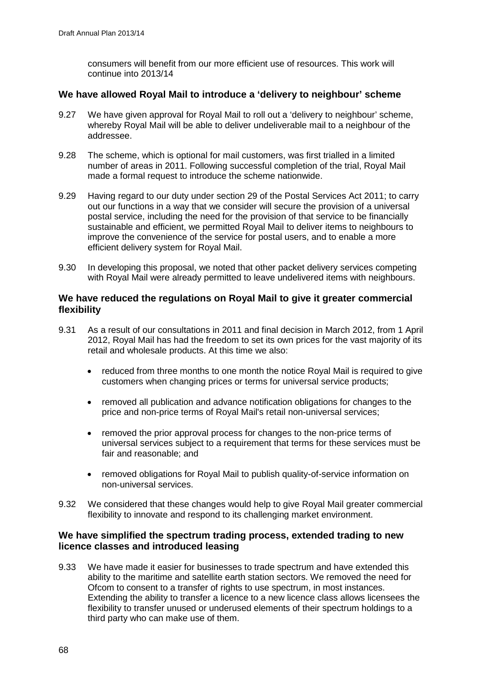consumers will benefit from our more efficient use of resources. This work will continue into 2013/14

## **We have allowed Royal Mail to introduce a 'delivery to neighbour' scheme**

- 9.27 We have given approval for Royal Mail to roll out a 'delivery to neighbour' scheme, whereby Royal Mail will be able to deliver undeliverable mail to a neighbour of the addressee.
- 9.28 The scheme, which is optional for mail customers, was first trialled in a limited number of areas in 2011. Following successful completion of the trial, Royal Mail made a formal request to introduce the scheme nationwide.
- 9.29 Having regard to our duty under section 29 of the Postal Services Act 2011; to carry out our functions in a way that we consider will secure the provision of a universal postal service, including the need for the provision of that service to be financially sustainable and efficient, we permitted Royal Mail to deliver items to neighbours to improve the convenience of the service for postal users, and to enable a more efficient delivery system for Royal Mail.
- 9.30 In developing this proposal, we noted that other packet delivery services competing with Royal Mail were already permitted to leave undelivered items with neighbours.

## **We have reduced the regulations on Royal Mail to give it greater commercial flexibility**

- 9.31 As a result of our consultations in 2011 and final decision in March 2012, from 1 April 2012, Royal Mail has had the freedom to set its own prices for the vast majority of its retail and wholesale products. At this time we also:
	- reduced from three months to one month the notice Royal Mail is required to give customers when changing prices or terms for universal service products;
	- removed all publication and advance notification obligations for changes to the price and non-price terms of Royal Mail's retail non-universal services;
	- removed the prior approval process for changes to the non-price terms of universal services subject to a requirement that terms for these services must be fair and reasonable; and
	- removed obligations for Royal Mail to publish quality-of-service information on non-universal services.
- 9.32 We considered that these changes would help to give Royal Mail greater commercial flexibility to innovate and respond to its challenging market environment.

## **We have simplified the spectrum trading process, extended trading to new licence classes and introduced leasing**

9.33 We have made it easier for businesses to trade spectrum and have extended this ability to the maritime and satellite earth station sectors. We removed the need for Ofcom to consent to a transfer of rights to use spectrum, in most instances. Extending the ability to transfer a licence to a new licence class allows licensees the flexibility to transfer unused or underused elements of their spectrum holdings to a third party who can make use of them.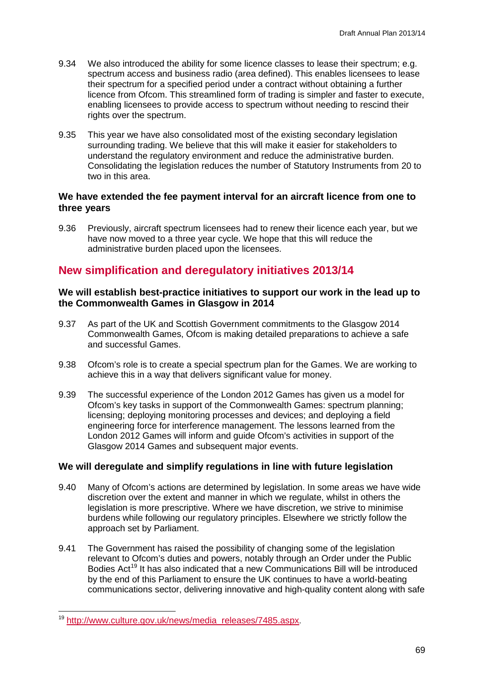- 9.34 We also introduced the ability for some licence classes to lease their spectrum; e.g. spectrum access and business radio (area defined). This enables licensees to lease their spectrum for a specified period under a contract without obtaining a further licence from Ofcom. This streamlined form of trading is simpler and faster to execute, enabling licensees to provide access to spectrum without needing to rescind their rights over the spectrum.
- 9.35 This year we have also consolidated most of the existing secondary legislation surrounding trading. We believe that this will make it easier for stakeholders to understand the regulatory environment and reduce the administrative burden. Consolidating the legislation reduces the number of Statutory Instruments from 20 to two in this area.

## **We have extended the fee payment interval for an aircraft licence from one to three years**

9.36 Previously, aircraft spectrum licensees had to renew their licence each year, but we have now moved to a three year cycle. We hope that this will reduce the administrative burden placed upon the licensees.

# **New simplification and deregulatory initiatives 2013/14**

## **We will establish best-practice initiatives to support our work in the lead up to the Commonwealth Games in Glasgow in 2014**

- 9.37 As part of the UK and Scottish Government commitments to the Glasgow 2014 Commonwealth Games, Ofcom is making detailed preparations to achieve a safe and successful Games.
- 9.38 Ofcom's role is to create a special spectrum plan for the Games. We are working to achieve this in a way that delivers significant value for money.
- 9.39 The successful experience of the London 2012 Games has given us a model for Ofcom's key tasks in support of the Commonwealth Games: spectrum planning; licensing; deploying monitoring processes and devices; and deploying a field engineering force for interference management. The lessons learned from the London 2012 Games will inform and guide Ofcom's activities in support of the Glasgow 2014 Games and subsequent major events.

## **We will deregulate and simplify regulations in line with future legislation**

- 9.40 Many of Ofcom's actions are determined by legislation. In some areas we have wide discretion over the extent and manner in which we regulate, whilst in others the legislation is more prescriptive. Where we have discretion, we strive to minimise burdens while following our regulatory principles. Elsewhere we strictly follow the approach set by Parliament.
- 9.41 The Government has raised the possibility of changing some of the legislation relevant to Ofcom's duties and powers, notably through an Order under the Public Bodies Act<sup>[19](#page-71-0)</sup> It has also indicated that a new Communications Bill will be introduced by the end of this Parliament to ensure the UK continues to have a world-beating communications sector, delivering innovative and high-quality content along with safe

<span id="page-71-0"></span><sup>&</sup>lt;sup>19</sup> [http://www.culture.gov.uk/news/media\\_releases/7485.aspx.](http://www.culture.gov.uk/news/media_releases/7485.aspx)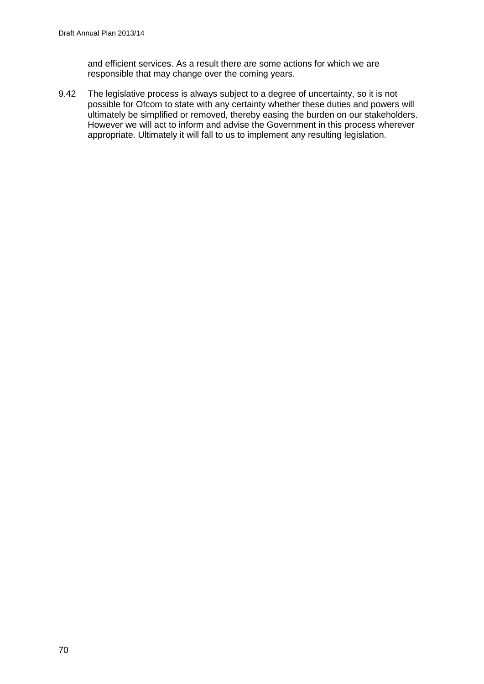and efficient services. As a result there are some actions for which we are responsible that may change over the coming years.

9.42 The legislative process is always subject to a degree of uncertainty, so it is not possible for Ofcom to state with any certainty whether these duties and powers will ultimately be simplified or removed, thereby easing the burden on our stakeholders. However we will act to inform and advise the Government in this process wherever appropriate. Ultimately it will fall to us to implement any resulting legislation.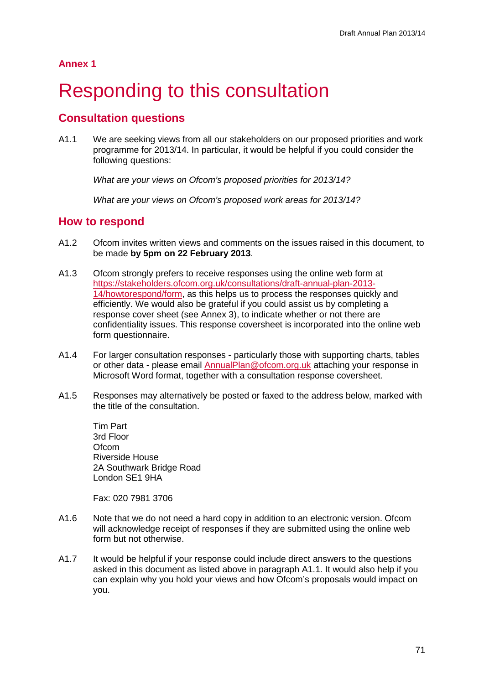**Annex 1**

# Responding to this consultation

### **Consultation questions**

A1.1 We are seeking views from all our stakeholders on our proposed priorities and work programme for 2013/14. In particular, it would be helpful if you could consider the following questions:

*What are your views on Ofcom's proposed priorities for 2013/14?*

*What are your views on Ofcom's proposed work areas for 2013/14?*

#### **How to respond**

- A1.2 Ofcom invites written views and comments on the issues raised in this document, to be made **by 5pm on 22 February 2013**.
- A1.3 Ofcom strongly prefers to receive responses using the online web form at [https://stakeholders.ofcom.org.uk/consultations/draft-annual-plan-2013-](https://stakeholders.ofcom.org.uk/consultations/draft-annual-plan-2013-14/howtorespond/form) [14/howtorespond/form,](https://stakeholders.ofcom.org.uk/consultations/draft-annual-plan-2013-14/howtorespond/form) as this helps us to process the responses quickly and efficiently. We would also be grateful if you could assist us by completing a response cover sheet (see Annex 3), to indicate whether or not there are confidentiality issues. This response coversheet is incorporated into the online web form questionnaire.
- A1.4 For larger consultation responses particularly those with supporting charts, tables or other data - please email [AnnualPlan@ofcom.org.uk](mailto:AnnualPlan@ofcom.org.uk) attaching your response in Microsoft Word format, together with a consultation response coversheet.
- A1.5 Responses may alternatively be posted or faxed to the address below, marked with the title of the consultation.

Tim Part 3rd Floor **Ofcom** Riverside House 2A Southwark Bridge Road London SE1 9HA

Fax: 020 7981 3706

- A1.6 Note that we do not need a hard copy in addition to an electronic version. Ofcom will acknowledge receipt of responses if they are submitted using the online web form but not otherwise.
- A1.7 It would be helpful if your response could include direct answers to the questions asked in this document as listed above in paragraph A1.1. It would also help if you can explain why you hold your views and how Ofcom's proposals would impact on you.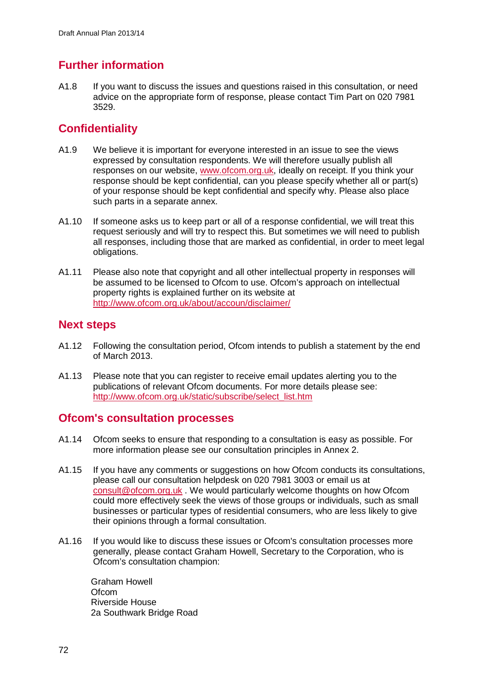### **Further information**

A1.8 If you want to discuss the issues and questions raised in this consultation, or need advice on the appropriate form of response, please contact Tim Part on 020 7981 3529.

### **Confidentiality**

- A1.9 We believe it is important for everyone interested in an issue to see the views expressed by consultation respondents. We will therefore usually publish all responses on our website, [www.ofcom.org.uk,](http://www.ofcom.org.uk/) ideally on receipt. If you think your response should be kept confidential, can you please specify whether all or part(s) of your response should be kept confidential and specify why. Please also place such parts in a separate annex.
- A1.10 If someone asks us to keep part or all of a response confidential, we will treat this request seriously and will try to respect this. But sometimes we will need to publish all responses, including those that are marked as confidential, in order to meet legal obligations.
- A1.11 Please also note that copyright and all other intellectual property in responses will be assumed to be licensed to Ofcom to use. Ofcom's approach on intellectual property rights is explained further on its website at <http://www.ofcom.org.uk/about/accoun/disclaimer/>

### **Next steps**

- A1.12 Following the consultation period, Ofcom intends to publish a statement by the end of March 2013.
- A1.13 Please note that you can register to receive email updates alerting you to the publications of relevant Ofcom documents. For more details please see: [http://www.ofcom.org.uk/static/subscribe/select\\_list.htm](http://www.ofcom.org.uk/static/subscribe/select_list.htm)

### **Ofcom's consultation processes**

- A1.14 Ofcom seeks to ensure that responding to a consultation is easy as possible. For more information please see our consultation principles in Annex 2.
- A1.15 If you have any comments or suggestions on how Ofcom conducts its consultations, please call our consultation helpdesk on 020 7981 3003 or email us at [consult@ofcom.org.uk](mailto:consult@ofcom.org.uk) . We would particularly welcome thoughts on how Ofcom could more effectively seek the views of those groups or individuals, such as small businesses or particular types of residential consumers, who are less likely to give their opinions through a formal consultation.
- A1.16 If you would like to discuss these issues or Ofcom's consultation processes more generally, please contact Graham Howell, Secretary to the Corporation, who is Ofcom's consultation champion:

Graham Howell **Ofcom** Riverside House 2a Southwark Bridge Road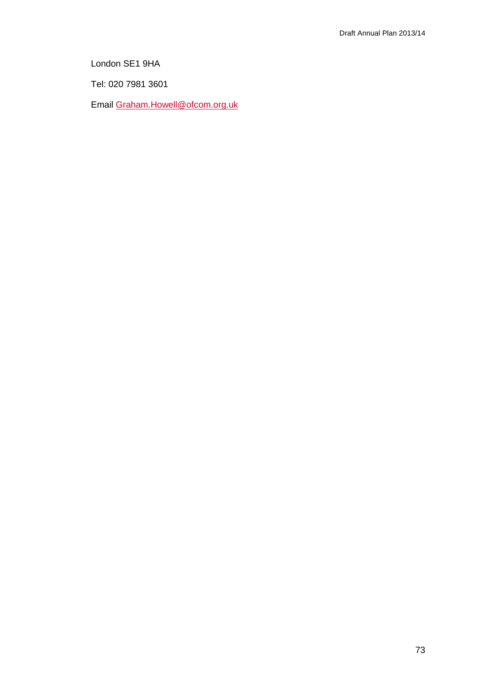London SE1 9HA

Tel: 020 7981 3601

Email [Graham.Howell@ofcom.org.uk](mailto:Graham.Howell@ofcom.org.uk)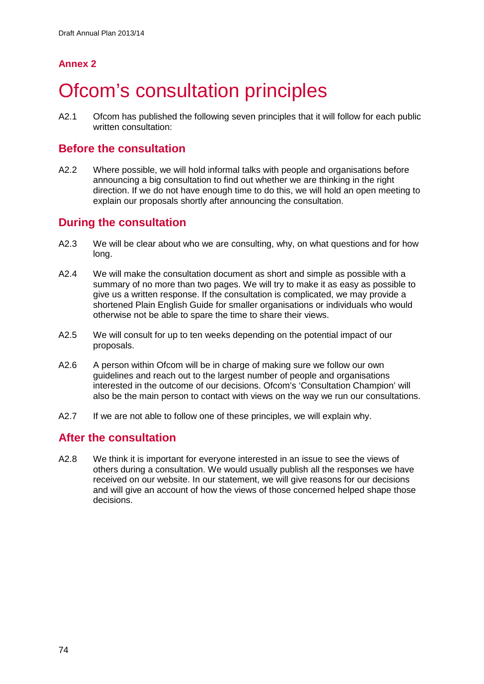### **Annex 2**

# **Ofcom's consultation principles**

A2.1 Ofcom has published the following seven principles that it will follow for each public written consultation:

### **Before the consultation**

A2.2 Where possible, we will hold informal talks with people and organisations before announcing a big consultation to find out whether we are thinking in the right direction. If we do not have enough time to do this, we will hold an open meeting to explain our proposals shortly after announcing the consultation.

### **During the consultation**

- A2.3 We will be clear about who we are consulting, why, on what questions and for how long.
- A2.4 We will make the consultation document as short and simple as possible with a summary of no more than two pages. We will try to make it as easy as possible to give us a written response. If the consultation is complicated, we may provide a shortened Plain English Guide for smaller organisations or individuals who would otherwise not be able to spare the time to share their views.
- A2.5 We will consult for up to ten weeks depending on the potential impact of our proposals.
- A2.6 A person within Ofcom will be in charge of making sure we follow our own guidelines and reach out to the largest number of people and organisations interested in the outcome of our decisions. Ofcom's 'Consultation Champion' will also be the main person to contact with views on the way we run our consultations.
- A2.7 If we are not able to follow one of these principles, we will explain why.

### **After the consultation**

A2.8 We think it is important for everyone interested in an issue to see the views of others during a consultation. We would usually publish all the responses we have received on our website. In our statement, we will give reasons for our decisions and will give an account of how the views of those concerned helped shape those decisions.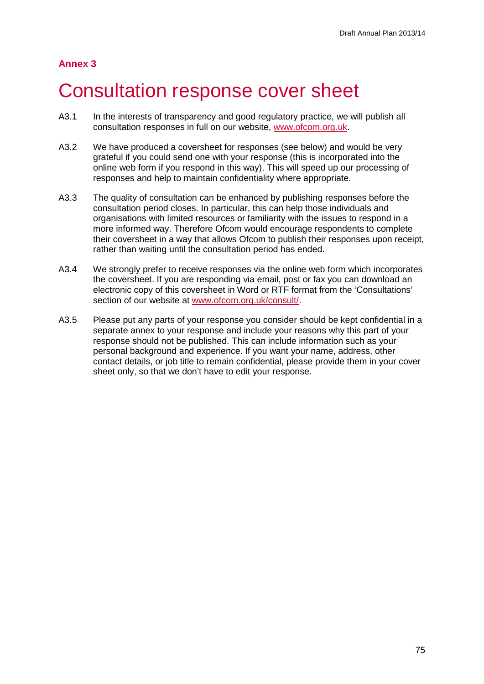#### **Annex 3**

### 3 Consultation response cover sheet

- A3.1 In the interests of transparency and good regulatory practice, we will publish all consultation responses in full on our website, [www.ofcom.org.uk.](http://www.ofcom.org.uk/)
- A3.2 We have produced a coversheet for responses (see below) and would be very grateful if you could send one with your response (this is incorporated into the online web form if you respond in this way). This will speed up our processing of responses and help to maintain confidentiality where appropriate.
- A3.3 The quality of consultation can be enhanced by publishing responses before the consultation period closes. In particular, this can help those individuals and organisations with limited resources or familiarity with the issues to respond in a more informed way. Therefore Ofcom would encourage respondents to complete their coversheet in a way that allows Ofcom to publish their responses upon receipt, rather than waiting until the consultation period has ended.
- A3.4 We strongly prefer to receive responses via the online web form which incorporates the coversheet. If you are responding via email, post or fax you can download an electronic copy of this coversheet in Word or RTF format from the 'Consultations' section of our website at [www.ofcom.org.uk/consult/.](http://www.ofcom.org.uk/consult/)
- A3.5 Please put any parts of your response you consider should be kept confidential in a separate annex to your response and include your reasons why this part of your response should not be published. This can include information such as your personal background and experience. If you want your name, address, other contact details, or job title to remain confidential, please provide them in your cover sheet only, so that we don't have to edit your response.